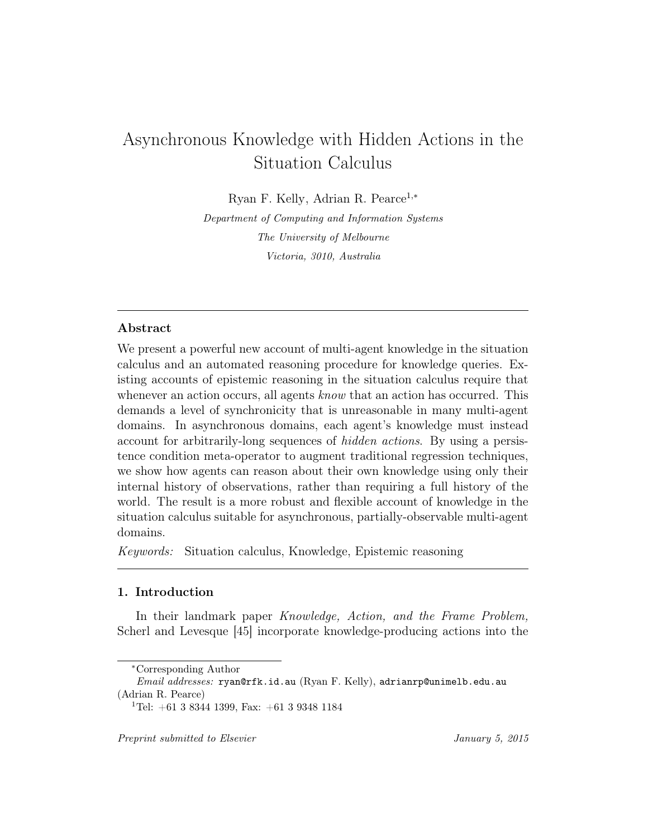# Asynchronous Knowledge with Hidden Actions in the Situation Calculus

Ryan F. Kelly, Adrian R. Pearce1,<sup>∗</sup>

Department of Computing and Information Systems The University of Melbourne Victoria, 3010, Australia

# Abstract

We present a powerful new account of multi-agent knowledge in the situation calculus and an automated reasoning procedure for knowledge queries. Existing accounts of epistemic reasoning in the situation calculus require that whenever an action occurs, all agents *know* that an action has occurred. This demands a level of synchronicity that is unreasonable in many multi-agent domains. In asynchronous domains, each agent's knowledge must instead account for arbitrarily-long sequences of hidden actions. By using a persistence condition meta-operator to augment traditional regression techniques, we show how agents can reason about their own knowledge using only their internal history of observations, rather than requiring a full history of the world. The result is a more robust and flexible account of knowledge in the situation calculus suitable for asynchronous, partially-observable multi-agent domains.

Keywords: Situation calculus, Knowledge, Epistemic reasoning

# 1. Introduction

In their landmark paper Knowledge, Action, and the Frame Problem, Scherl and Levesque [45] incorporate knowledge-producing actions into the

<sup>∗</sup>Corresponding Author

Email addresses: ryan@rfk.id.au (Ryan F. Kelly), adrianrp@unimelb.edu.au (Adrian R. Pearce)

<sup>&</sup>lt;sup>1</sup>Tel:  $+61$  3 8344 1399, Fax:  $+61$  3 9348 1184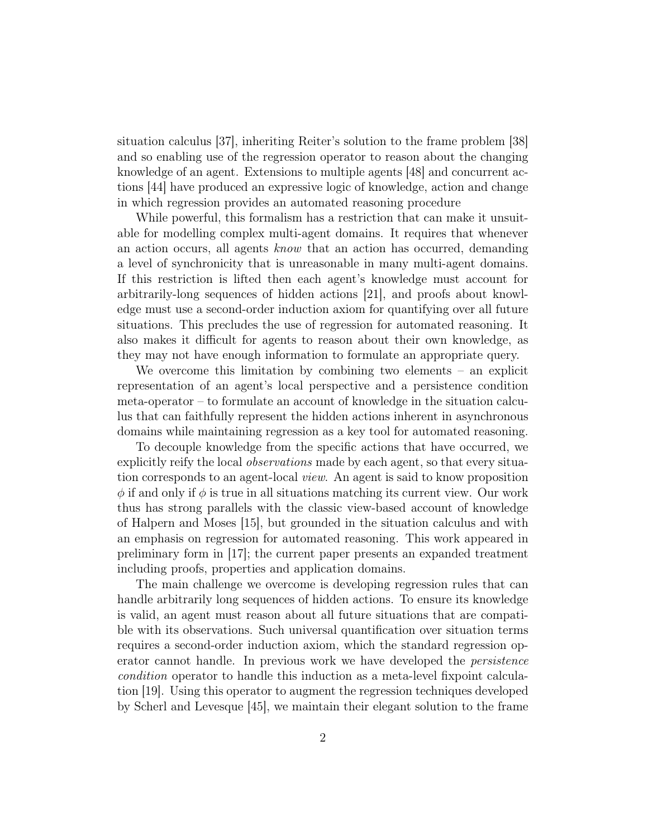situation calculus [37], inheriting Reiter's solution to the frame problem [38] and so enabling use of the regression operator to reason about the changing knowledge of an agent. Extensions to multiple agents [48] and concurrent actions [44] have produced an expressive logic of knowledge, action and change in which regression provides an automated reasoning procedure

While powerful, this formalism has a restriction that can make it unsuitable for modelling complex multi-agent domains. It requires that whenever an action occurs, all agents know that an action has occurred, demanding a level of synchronicity that is unreasonable in many multi-agent domains. If this restriction is lifted then each agent's knowledge must account for arbitrarily-long sequences of hidden actions [21], and proofs about knowledge must use a second-order induction axiom for quantifying over all future situations. This precludes the use of regression for automated reasoning. It also makes it difficult for agents to reason about their own knowledge, as they may not have enough information to formulate an appropriate query.

We overcome this limitation by combining two elements – an explicit representation of an agent's local perspective and a persistence condition meta-operator – to formulate an account of knowledge in the situation calculus that can faithfully represent the hidden actions inherent in asynchronous domains while maintaining regression as a key tool for automated reasoning.

To decouple knowledge from the specific actions that have occurred, we explicitly reify the local *observations* made by each agent, so that every situation corresponds to an agent-local view. An agent is said to know proposition  $\phi$  if and only if  $\phi$  is true in all situations matching its current view. Our work thus has strong parallels with the classic view-based account of knowledge of Halpern and Moses [15], but grounded in the situation calculus and with an emphasis on regression for automated reasoning. This work appeared in preliminary form in [17]; the current paper presents an expanded treatment including proofs, properties and application domains.

The main challenge we overcome is developing regression rules that can handle arbitrarily long sequences of hidden actions. To ensure its knowledge is valid, an agent must reason about all future situations that are compatible with its observations. Such universal quantification over situation terms requires a second-order induction axiom, which the standard regression operator cannot handle. In previous work we have developed the persistence condition operator to handle this induction as a meta-level fixpoint calculation [19]. Using this operator to augment the regression techniques developed by Scherl and Levesque [45], we maintain their elegant solution to the frame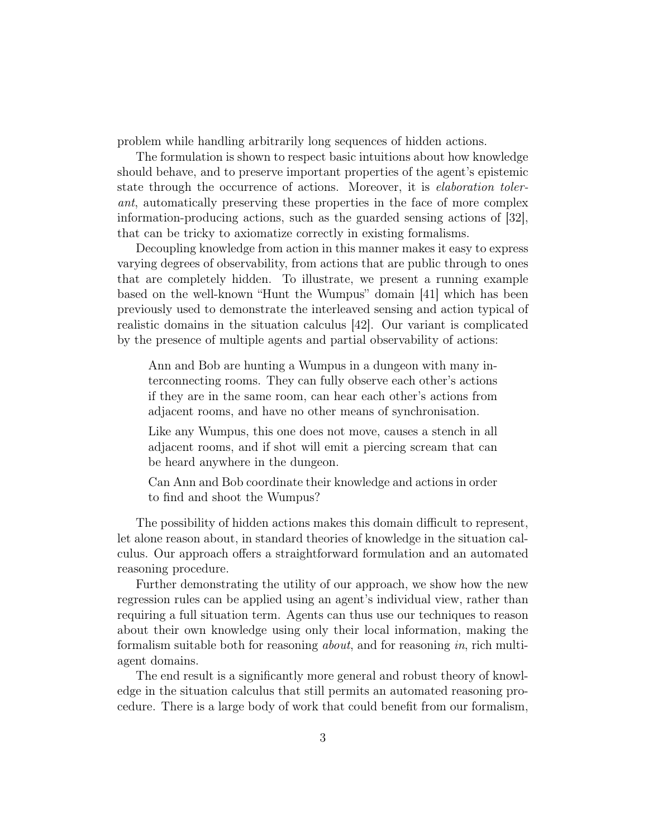problem while handling arbitrarily long sequences of hidden actions.

The formulation is shown to respect basic intuitions about how knowledge should behave, and to preserve important properties of the agent's epistemic state through the occurrence of actions. Moreover, it is *elaboration toler*ant, automatically preserving these properties in the face of more complex information-producing actions, such as the guarded sensing actions of [32], that can be tricky to axiomatize correctly in existing formalisms.

Decoupling knowledge from action in this manner makes it easy to express varying degrees of observability, from actions that are public through to ones that are completely hidden. To illustrate, we present a running example based on the well-known "Hunt the Wumpus" domain [41] which has been previously used to demonstrate the interleaved sensing and action typical of realistic domains in the situation calculus [42]. Our variant is complicated by the presence of multiple agents and partial observability of actions:

Ann and Bob are hunting a Wumpus in a dungeon with many interconnecting rooms. They can fully observe each other's actions if they are in the same room, can hear each other's actions from adjacent rooms, and have no other means of synchronisation.

Like any Wumpus, this one does not move, causes a stench in all adjacent rooms, and if shot will emit a piercing scream that can be heard anywhere in the dungeon.

Can Ann and Bob coordinate their knowledge and actions in order to find and shoot the Wumpus?

The possibility of hidden actions makes this domain difficult to represent, let alone reason about, in standard theories of knowledge in the situation calculus. Our approach offers a straightforward formulation and an automated reasoning procedure.

Further demonstrating the utility of our approach, we show how the new regression rules can be applied using an agent's individual view, rather than requiring a full situation term. Agents can thus use our techniques to reason about their own knowledge using only their local information, making the formalism suitable both for reasoning about, and for reasoning in, rich multiagent domains.

The end result is a significantly more general and robust theory of knowledge in the situation calculus that still permits an automated reasoning procedure. There is a large body of work that could benefit from our formalism,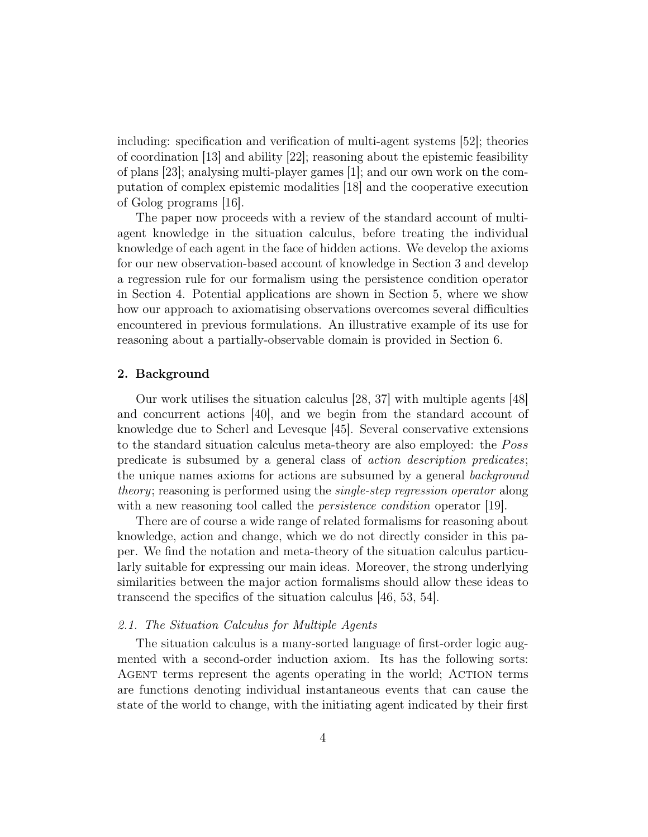including: specification and verification of multi-agent systems [52]; theories of coordination [13] and ability [22]; reasoning about the epistemic feasibility of plans [23]; analysing multi-player games [1]; and our own work on the computation of complex epistemic modalities [18] and the cooperative execution of Golog programs [16].

The paper now proceeds with a review of the standard account of multiagent knowledge in the situation calculus, before treating the individual knowledge of each agent in the face of hidden actions. We develop the axioms for our new observation-based account of knowledge in Section 3 and develop a regression rule for our formalism using the persistence condition operator in Section 4. Potential applications are shown in Section 5, where we show how our approach to axiomatising observations overcomes several difficulties encountered in previous formulations. An illustrative example of its use for reasoning about a partially-observable domain is provided in Section 6.

# 2. Background

Our work utilises the situation calculus [28, 37] with multiple agents [48] and concurrent actions [40], and we begin from the standard account of knowledge due to Scherl and Levesque [45]. Several conservative extensions to the standard situation calculus meta-theory are also employed: the Poss predicate is subsumed by a general class of action description predicates; the unique names axioms for actions are subsumed by a general background theory; reasoning is performed using the single-step regression operator along with a new reasoning tool called the *persistence condition* operator [19].

There are of course a wide range of related formalisms for reasoning about knowledge, action and change, which we do not directly consider in this paper. We find the notation and meta-theory of the situation calculus particularly suitable for expressing our main ideas. Moreover, the strong underlying similarities between the major action formalisms should allow these ideas to transcend the specifics of the situation calculus [46, 53, 54].

# 2.1. The Situation Calculus for Multiple Agents

The situation calculus is a many-sorted language of first-order logic augmented with a second-order induction axiom. Its has the following sorts: Agent terms represent the agents operating in the world; Action terms are functions denoting individual instantaneous events that can cause the state of the world to change, with the initiating agent indicated by their first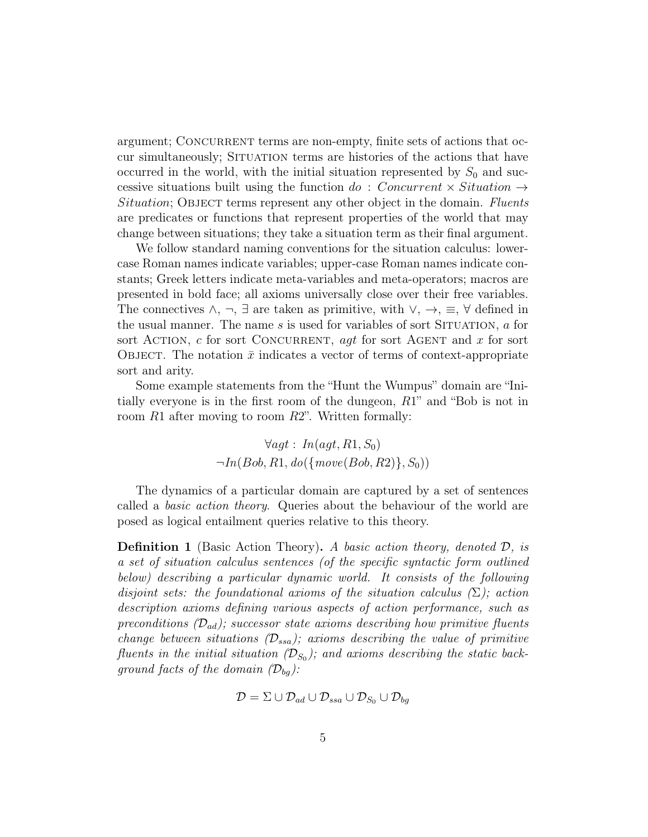argument; CONCURRENT terms are non-empty, finite sets of actions that occur simultaneously; SITUATION terms are histories of the actions that have occurred in the world, with the initial situation represented by  $S_0$  and successive situations built using the function do : Concurrent  $\times$  Situation  $\rightarrow$ Situation; OBJECT terms represent any other object in the domain. Fluents are predicates or functions that represent properties of the world that may change between situations; they take a situation term as their final argument.

We follow standard naming conventions for the situation calculus: lowercase Roman names indicate variables; upper-case Roman names indicate constants; Greek letters indicate meta-variables and meta-operators; macros are presented in bold face; all axioms universally close over their free variables. The connectives  $\wedge$ ,  $\neg$ ,  $\exists$  are taken as primitive, with  $\vee$ ,  $\rightarrow$ ,  $\equiv$ ,  $\forall$  defined in the usual manner. The name  $s$  is used for variables of sort SITUATION,  $a$  for sort ACTION, c for sort CONCURRENT, *agt* for sort AGENT and x for sort OBJECT. The notation  $\bar{x}$  indicates a vector of terms of context-appropriate sort and arity.

Some example statements from the "Hunt the Wumpus" domain are "Initially everyone is in the first room of the dungeon, R1" and "Bob is not in room  $R1$  after moving to room  $R2$ ". Written formally:

$$
\forall agt: In (agt, R1, S_0)
$$

$$
\neg In(Bob, R1, do({\text{move}(Bob, R2)}, S_0))
$$

The dynamics of a particular domain are captured by a set of sentences called a basic action theory. Queries about the behaviour of the world are posed as logical entailment queries relative to this theory.

**Definition 1** (Basic Action Theory). A basic action theory, denoted  $\mathcal{D}$ , is a set of situation calculus sentences (of the specific syntactic form outlined below) describing a particular dynamic world. It consists of the following disjoint sets: the foundational axioms of the situation calculus  $(\Sigma)$ ; action description axioms defining various aspects of action performance, such as preconditions  $(D_{ad})$ ; successor state axioms describing how primitive fluents change between situations  $(\mathcal{D}_{ssa})$ ; axioms describing the value of primitive fluents in the initial situation  $(\mathcal{D}_{S_0})$ ; and axioms describing the static background facts of the domain  $(\mathcal{D}_{bq})$ :

$$
\mathcal{D} = \Sigma \cup \mathcal{D}_{ad} \cup \mathcal{D}_{ssa} \cup \mathcal{D}_{S_0} \cup \mathcal{D}_{bg}
$$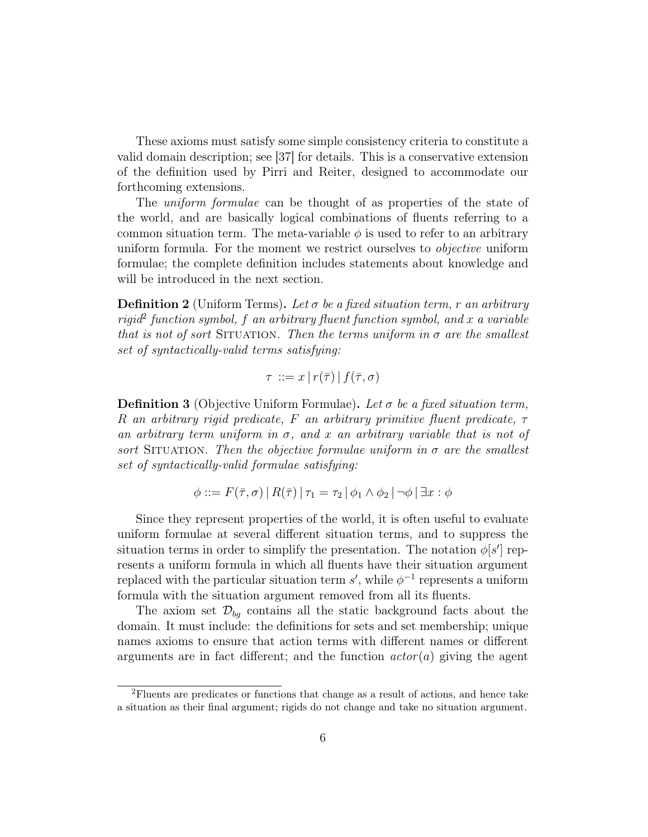These axioms must satisfy some simple consistency criteria to constitute a valid domain description; see [37] for details. This is a conservative extension of the definition used by Pirri and Reiter, designed to accommodate our forthcoming extensions.

The *uniform formulae* can be thought of as properties of the state of the world, and are basically logical combinations of fluents referring to a common situation term. The meta-variable  $\phi$  is used to refer to an arbitrary uniform formula. For the moment we restrict ourselves to *objective* uniform formulae; the complete definition includes statements about knowledge and will be introduced in the next section.

**Definition 2** (Uniform Terms). Let  $\sigma$  be a fixed situation term, r an arbitrary  $rigid<sup>2</sup> function symbol, f$  an arbitrary fluent function symbol, and x a variable that is not of sort SITUATION. Then the terms uniform in  $\sigma$  are the smallest set of syntactically-valid terms satisfying:

$$
\tau ::= x | r(\bar{\tau}) | f(\bar{\tau}, \sigma)
$$

**Definition 3** (Objective Uniform Formulae). Let  $\sigma$  be a fixed situation term, R an arbitrary rigid predicate, F an arbitrary primitive fluent predicate,  $\tau$ an arbitrary term uniform in  $\sigma$ , and x an arbitrary variable that is not of sort SITUATION. Then the objective formulae uniform in  $\sigma$  are the smallest set of syntactically-valid formulae satisfying:

$$
\phi ::= F(\bar{\tau}, \sigma) | R(\bar{\tau}) | \tau_1 = \tau_2 | \phi_1 \wedge \phi_2 | \neg \phi | \exists x : \phi
$$

Since they represent properties of the world, it is often useful to evaluate uniform formulae at several different situation terms, and to suppress the situation terms in order to simplify the presentation. The notation  $\phi[s']$  represents a uniform formula in which all fluents have their situation argument replaced with the particular situation term  $s'$ , while  $\phi^{-1}$  represents a uniform formula with the situation argument removed from all its fluents.

The axiom set  $\mathcal{D}_{bq}$  contains all the static background facts about the domain. It must include: the definitions for sets and set membership; unique names axioms to ensure that action terms with different names or different arguments are in fact different; and the function  $actor(a)$  giving the agent

<sup>2</sup>Fluents are predicates or functions that change as a result of actions, and hence take a situation as their final argument; rigids do not change and take no situation argument.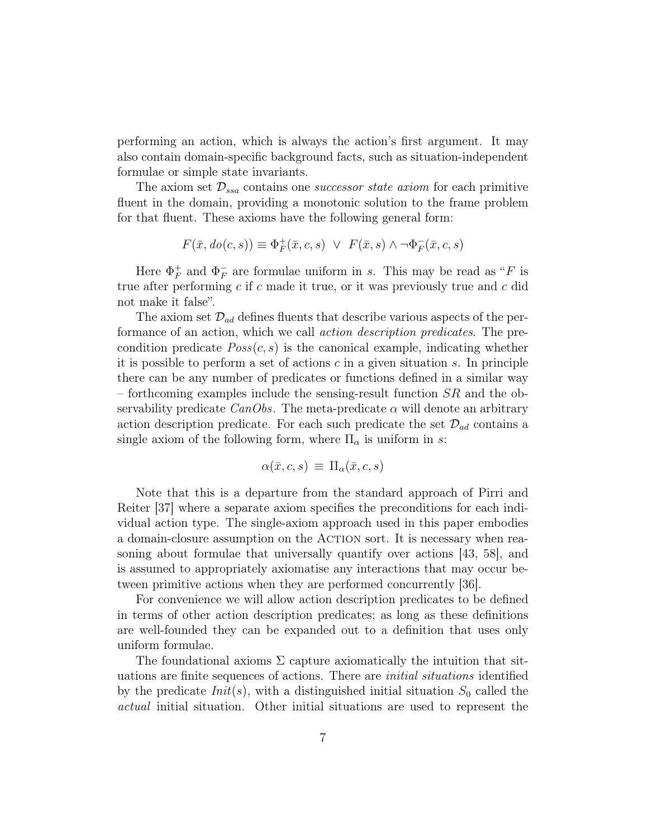performing an action, which is always the action's first argument. It may also contain domain-specific background facts, such as situation-independent formulae or simple state invariants.

The axiom set  $\mathcal{D}_{ssa}$  contains one *successor state axiom* for each primitive fluent in the domain, providing a monotonic solution to the frame problem for that fluent. These axioms have the following general form:

$$
F(\bar{x}, do(c, s)) \equiv \Phi_F^+(\bar{x}, c, s) \ \lor \ F(\bar{x}, s) \land \neg \Phi_F^-(\bar{x}, c, s)
$$

Here  $\Phi_F^+$  $_F^+$  and  $\Phi_F^ \overline{F}$  are formulae uniform in s. This may be read as "F is true after performing  $c$  if  $c$  made it true, or it was previously true and  $c$  did not make it false".

The axiom set  $\mathcal{D}_{ad}$  defines fluents that describe various aspects of the performance of an action, which we call action description predicates. The precondition predicate  $Poss(c, s)$  is the canonical example, indicating whether it is possible to perform a set of actions  $c$  in a given situation  $s$ . In principle there can be any number of predicates or functions defined in a similar way – forthcoming examples include the sensing-result function  $SR$  and the observability predicate  $CanObs$ . The meta-predicate  $\alpha$  will denote an arbitrary action description predicate. For each such predicate the set  $\mathcal{D}_{ad}$  contains a single axiom of the following form, where  $\Pi_{\alpha}$  is uniform in s:

$$
\alpha(\bar{x},c,s) \, \equiv \, \Pi_{\alpha}(\bar{x},c,s)
$$

Note that this is a departure from the standard approach of Pirri and Reiter [37] where a separate axiom specifies the preconditions for each individual action type. The single-axiom approach used in this paper embodies a domain-closure assumption on the ACTION sort. It is necessary when reasoning about formulae that universally quantify over actions [43, 58], and is assumed to appropriately axiomatise any interactions that may occur between primitive actions when they are performed concurrently [36].

For convenience we will allow action description predicates to be defined in terms of other action description predicates; as long as these definitions are well-founded they can be expanded out to a definition that uses only uniform formulae.

The foundational axioms  $\Sigma$  capture axiomatically the intuition that situations are finite sequences of actions. There are initial situations identified by the predicate  $Init(s)$ , with a distinguished initial situation  $S_0$  called the actual initial situation. Other initial situations are used to represent the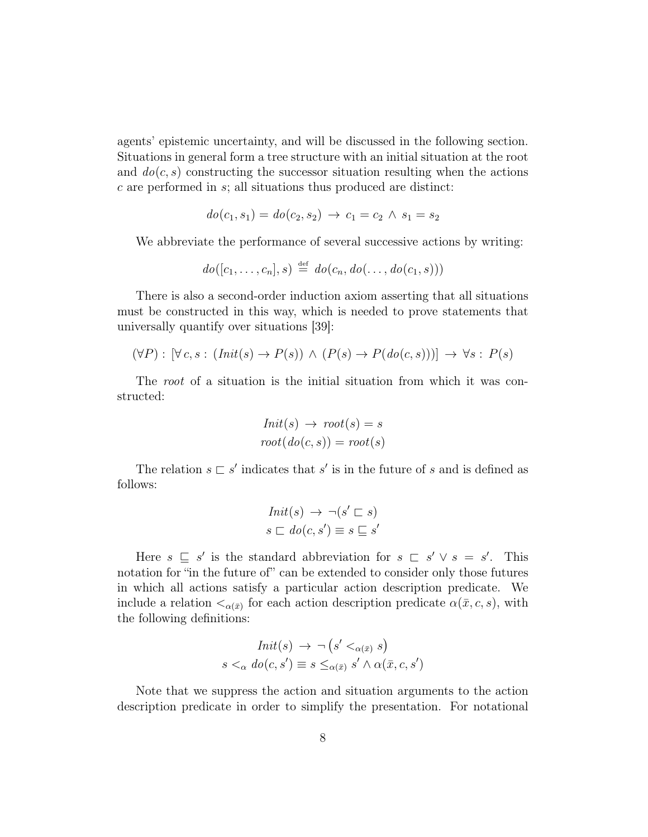agents' epistemic uncertainty, and will be discussed in the following section. Situations in general form a tree structure with an initial situation at the root and  $do(c, s)$  constructing the successor situation resulting when the actions c are performed in s; all situations thus produced are distinct:

$$
do(c_1, s_1) = do(c_2, s_2) \rightarrow c_1 = c_2 \land s_1 = s_2
$$

We abbreviate the performance of several successive actions by writing:

$$
do([c_1,\ldots,c_n],s) \stackrel{\text{def}}{=} do(c_n,do(\ldots,do(c_1,s)))
$$

There is also a second-order induction axiom asserting that all situations must be constructed in this way, which is needed to prove statements that universally quantify over situations [39]:

$$
(\forall P): [\forall c, s: (Init(s) \to P(s)) \land (P(s) \to P(do(c, s)))] \to \forall s: P(s)
$$

The root of a situation is the initial situation from which it was constructed:

$$
Init(s) \rightarrow root(s) = s
$$

$$
root(do(c, s)) = root(s)
$$

The relation  $s \sqsubset s'$  indicates that s' is in the future of s and is defined as follows:

$$
Init(s) \rightarrow \neg (s' \sqsubset s)
$$

$$
s \sqsubset do(c, s') \equiv s \sqsubseteq s'
$$

Here  $s \subseteq s'$  is the standard abbreviation for  $s \subseteq s' \vee s = s'$ . This notation for "in the future of" can be extended to consider only those futures in which all actions satisfy a particular action description predicate. We include a relation  $\langle \alpha(\bar{x}) \rangle$  for each action description predicate  $\alpha(\bar{x}, c, s)$ , with the following definitions:

$$
Init(s) \rightarrow \neg (s' <_{\alpha(\bar{x})} s)
$$
  

$$
s <_{\alpha} do(c, s') \equiv s \leq_{\alpha(\bar{x})} s' \land \alpha(\bar{x}, c, s')
$$

Note that we suppress the action and situation arguments to the action description predicate in order to simplify the presentation. For notational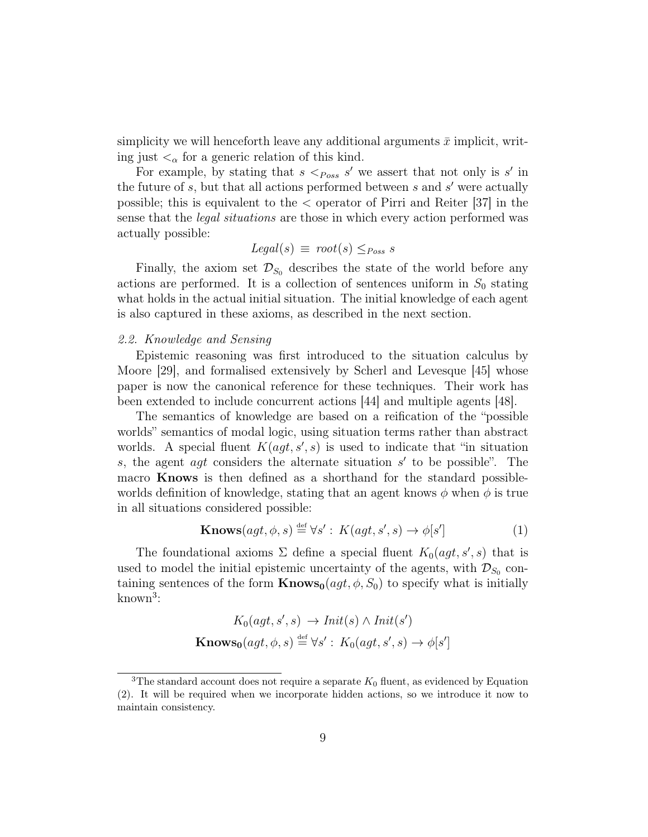simplicity we will henceforth leave any additional arguments  $\bar{x}$  implicit, writing just  $\lt_{\alpha}$  for a generic relation of this kind.

For example, by stating that  $s <_{Poss} s'$  we assert that not only is s' in the future of  $s$ , but that all actions performed between  $s$  and  $s'$  were actually possible; this is equivalent to the < operator of Pirri and Reiter [37] in the sense that the *legal situations* are those in which every action performed was actually possible:

$$
Legal(s) \equiv root(s) \leq_{Poss} s
$$

Finally, the axiom set  $\mathcal{D}_{S_0}$  describes the state of the world before any actions are performed. It is a collection of sentences uniform in  $S_0$  stating what holds in the actual initial situation. The initial knowledge of each agent is also captured in these axioms, as described in the next section.

#### 2.2. Knowledge and Sensing

Epistemic reasoning was first introduced to the situation calculus by Moore [29], and formalised extensively by Scherl and Levesque [45] whose paper is now the canonical reference for these techniques. Their work has been extended to include concurrent actions [44] and multiple agents [48].

The semantics of knowledge are based on a reification of the "possible worlds" semantics of modal logic, using situation terms rather than abstract worlds. A special fluent  $K(agt, s', s)$  is used to indicate that "in situation" s, the agent  $agt$  considers the alternate situation  $s'$  to be possible". The macro Knows is then defined as a shorthand for the standard possibleworlds definition of knowledge, stating that an agent knows  $\phi$  when  $\phi$  is true in all situations considered possible:

$$
\mathbf{Knows}(agt, \phi, s) \stackrel{\text{def}}{=} \forall s' : K(agt, s', s) \to \phi[s'] \tag{1}
$$

The foundational axioms  $\Sigma$  define a special fluent  $K_0(agt, s', s)$  that is used to model the initial epistemic uncertainty of the agents, with  $\mathcal{D}_{S_0}$  containing sentences of the form  $\mathbf{Knows}_0(agt, \phi, S_0)$  to specify what is initially known<sup>3</sup> :

$$
K_0(agt, s', s) \to Init(s) \land Init(s')
$$
  
Knows<sub>0</sub>(agt,  $\phi$ , s)  $\stackrel{\text{def}}{=} \forall s' : K_0(agt, s', s) \to \phi[s']$ 

<sup>&</sup>lt;sup>3</sup>The standard account does not require a separate  $K_0$  fluent, as evidenced by Equation (2). It will be required when we incorporate hidden actions, so we introduce it now to maintain consistency.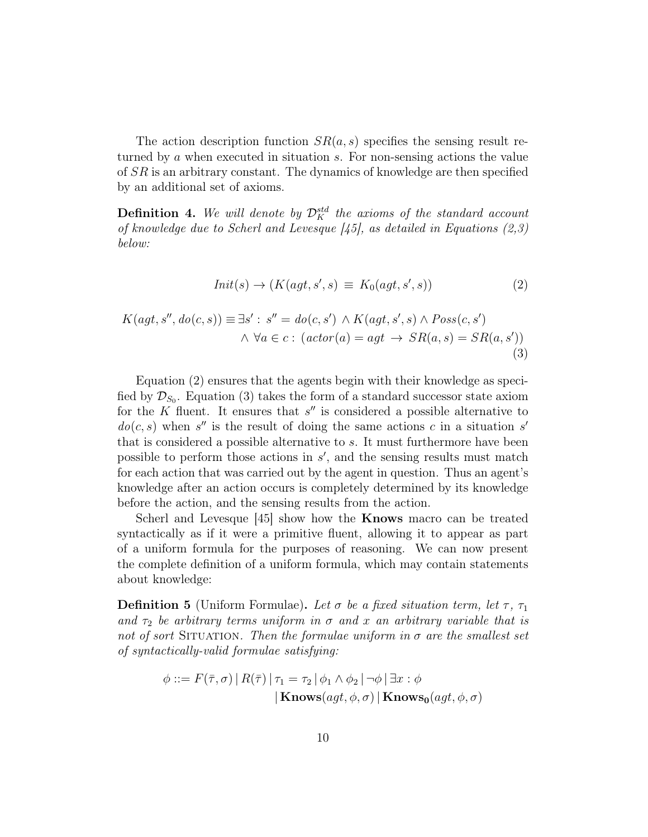The action description function  $SR(a, s)$  specifies the sensing result returned by a when executed in situation s. For non-sensing actions the value of SR is an arbitrary constant. The dynamics of knowledge are then specified by an additional set of axioms.

**Definition 4.** We will denote by  $\mathcal{D}_K^{std}$  the axioms of the standard account of knowledge due to Scherl and Levesque  $[45]$ , as detailed in Equations  $(2,3)$ below:

$$
Init(s) \rightarrow (K(agt, s', s) \equiv K_0(agt, s', s))
$$
\n<sup>(2)</sup>

$$
K(agt, s'', do(c, s)) \equiv \exists s': s'' = do(c, s') \land K(agt, s', s) \land Poss(c, s')
$$
  

$$
\land \forall a \in c: (actor(a) = agt \rightarrow SR(a, s) = SR(a, s'))
$$
  
(3)

Equation (2) ensures that the agents begin with their knowledge as specified by  $\mathcal{D}_{S_0}$ . Equation (3) takes the form of a standard successor state axiom for the  $K$  fluent. It ensures that  $s''$  is considered a possible alternative to  $do(c, s)$  when s'' is the result of doing the same actions c in a situation s' that is considered a possible alternative to s. It must furthermore have been possible to perform those actions in  $s'$ , and the sensing results must match for each action that was carried out by the agent in question. Thus an agent's knowledge after an action occurs is completely determined by its knowledge before the action, and the sensing results from the action.

Scherl and Levesque [45] show how the **Knows** macro can be treated syntactically as if it were a primitive fluent, allowing it to appear as part of a uniform formula for the purposes of reasoning. We can now present the complete definition of a uniform formula, which may contain statements about knowledge:

**Definition 5** (Uniform Formulae). Let  $\sigma$  be a fixed situation term, let  $\tau$ ,  $\tau_1$ and  $\tau_2$  be arbitrary terms uniform in  $\sigma$  and x an arbitrary variable that is not of sort SITUATION. Then the formulae uniform in  $\sigma$  are the smallest set of syntactically-valid formulae satisfying:

$$
\phi ::= F(\bar{\tau}, \sigma) | R(\bar{\tau}) | \tau_1 = \tau_2 | \phi_1 \wedge \phi_2 | \neg \phi | \exists x : \phi
$$
  
|\mathbf{Knows}(agt, \phi, \sigma) |  $\mathbf{Knows}_0(agt, \phi, \sigma)$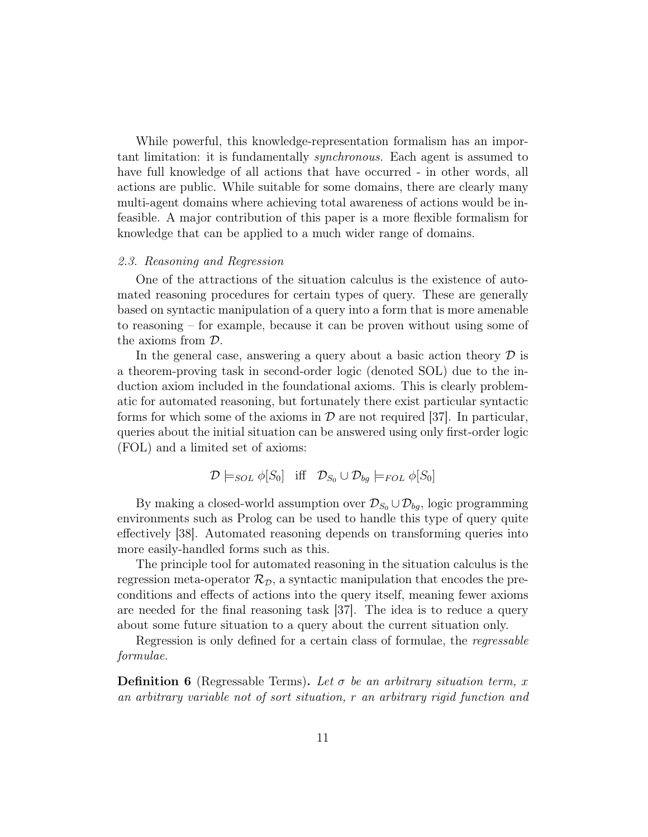While powerful, this knowledge-representation formalism has an important limitation: it is fundamentally synchronous. Each agent is assumed to have full knowledge of all actions that have occurred - in other words, all actions are public. While suitable for some domains, there are clearly many multi-agent domains where achieving total awareness of actions would be infeasible. A major contribution of this paper is a more flexible formalism for knowledge that can be applied to a much wider range of domains.

## 2.3. Reasoning and Regression

One of the attractions of the situation calculus is the existence of automated reasoning procedures for certain types of query. These are generally based on syntactic manipulation of a query into a form that is more amenable to reasoning – for example, because it can be proven without using some of the axioms from D.

In the general case, answering a query about a basic action theory  $\mathcal D$  is a theorem-proving task in second-order logic (denoted SOL) due to the induction axiom included in the foundational axioms. This is clearly problematic for automated reasoning, but fortunately there exist particular syntactic forms for which some of the axioms in  $\mathcal D$  are not required [37]. In particular, queries about the initial situation can be answered using only first-order logic (FOL) and a limited set of axioms:

$$
\mathcal{D} \models_{SOL} \phi[S_0] \quad \text{iff} \quad \mathcal{D}_{S_0} \cup \mathcal{D}_{bg} \models_{FOL} \phi[S_0]
$$

By making a closed-world assumption over  $\mathcal{D}_{S_0} \cup \mathcal{D}_{bg}$ , logic programming environments such as Prolog can be used to handle this type of query quite effectively [38]. Automated reasoning depends on transforming queries into more easily-handled forms such as this.

The principle tool for automated reasoning in the situation calculus is the regression meta-operator  $\mathcal{R}_{\mathcal{D}}$ , a syntactic manipulation that encodes the preconditions and effects of actions into the query itself, meaning fewer axioms are needed for the final reasoning task [37]. The idea is to reduce a query about some future situation to a query about the current situation only.

Regression is only defined for a certain class of formulae, the regressable formulae.

**Definition 6** (Regressable Terms). Let  $\sigma$  be an arbitrary situation term, x an arbitrary variable not of sort situation, r an arbitrary rigid function and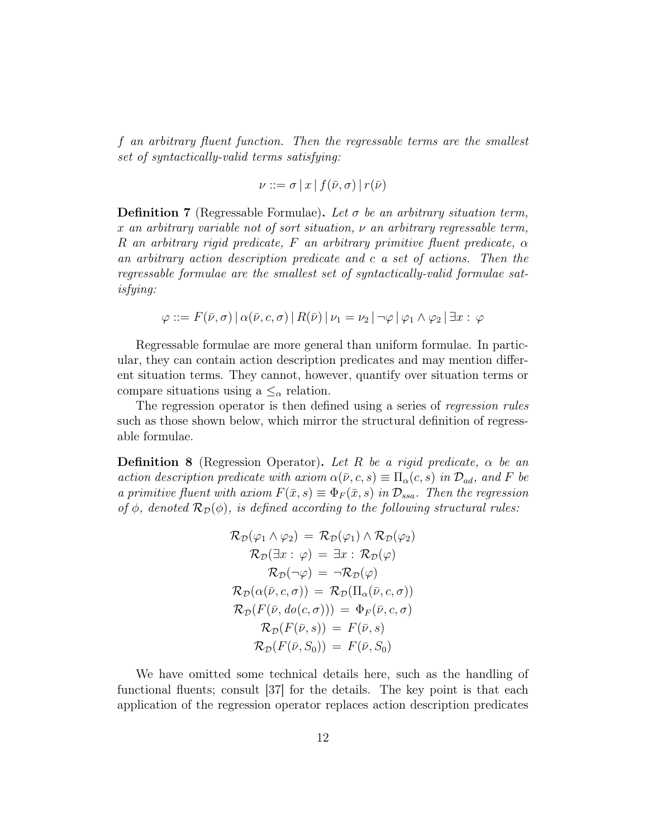f an arbitrary fluent function. Then the regressable terms are the smallest set of syntactically-valid terms satisfying:

$$
\nu ::= \sigma | x | f(\bar{\nu}, \sigma) | r(\bar{\nu})
$$

**Definition 7** (Regressable Formulae). Let  $\sigma$  be an arbitrary situation term, x an arbitrary variable not of sort situation,  $\nu$  an arbitrary regressable term, R an arbitrary rigid predicate, F an arbitrary primitive fluent predicate,  $\alpha$ an arbitrary action description predicate and c a set of actions. Then the regressable formulae are the smallest set of syntactically-valid formulae satisfying:

$$
\varphi ::= F(\bar{\nu}, \sigma) | \alpha(\bar{\nu}, c, \sigma) | R(\bar{\nu}) | \nu_1 = \nu_2 | \neg \varphi | \varphi_1 \wedge \varphi_2 | \exists x : \varphi
$$

Regressable formulae are more general than uniform formulae. In particular, they can contain action description predicates and may mention different situation terms. They cannot, however, quantify over situation terms or compare situations using a  $\leq_\alpha$  relation.

The regression operator is then defined using a series of regression rules such as those shown below, which mirror the structural definition of regressable formulae.

**Definition 8** (Regression Operator). Let R be a rigid predicate,  $\alpha$  be an action description predicate with axiom  $\alpha(\bar{\nu}, c, s) \equiv \Pi_{\alpha}(c, s)$  in  $\mathcal{D}_{ad}$ , and F be a primitive fluent with axiom  $F(\bar{x}, s) \equiv \Phi_F(\bar{x}, s)$  in  $\mathcal{D}_{ssa}$ . Then the regression of  $\phi$ , denoted  $\mathcal{R}_{\mathcal{D}}(\phi)$ , is defined according to the following structural rules:

$$
\mathcal{R}_{\mathcal{D}}(\varphi_1 \wedge \varphi_2) = \mathcal{R}_{\mathcal{D}}(\varphi_1) \wedge \mathcal{R}_{\mathcal{D}}(\varphi_2)
$$
  
\n
$$
\mathcal{R}_{\mathcal{D}}(\exists x : \varphi) = \exists x : \mathcal{R}_{\mathcal{D}}(\varphi)
$$
  
\n
$$
\mathcal{R}_{\mathcal{D}}(\neg \varphi) = \neg \mathcal{R}_{\mathcal{D}}(\varphi)
$$
  
\n
$$
\mathcal{R}_{\mathcal{D}}(\alpha(\bar{\nu}, c, \sigma)) = \mathcal{R}_{\mathcal{D}}(\Pi_{\alpha}(\bar{\nu}, c, \sigma))
$$
  
\n
$$
\mathcal{R}_{\mathcal{D}}(F(\bar{\nu}, do(c, \sigma))) = \Phi_F(\bar{\nu}, c, \sigma)
$$
  
\n
$$
\mathcal{R}_{\mathcal{D}}(F(\bar{\nu}, s)) = F(\bar{\nu}, s)
$$
  
\n
$$
\mathcal{R}_{\mathcal{D}}(F(\bar{\nu}, S_0)) = F(\bar{\nu}, S_0)
$$

We have omitted some technical details here, such as the handling of functional fluents; consult [37] for the details. The key point is that each application of the regression operator replaces action description predicates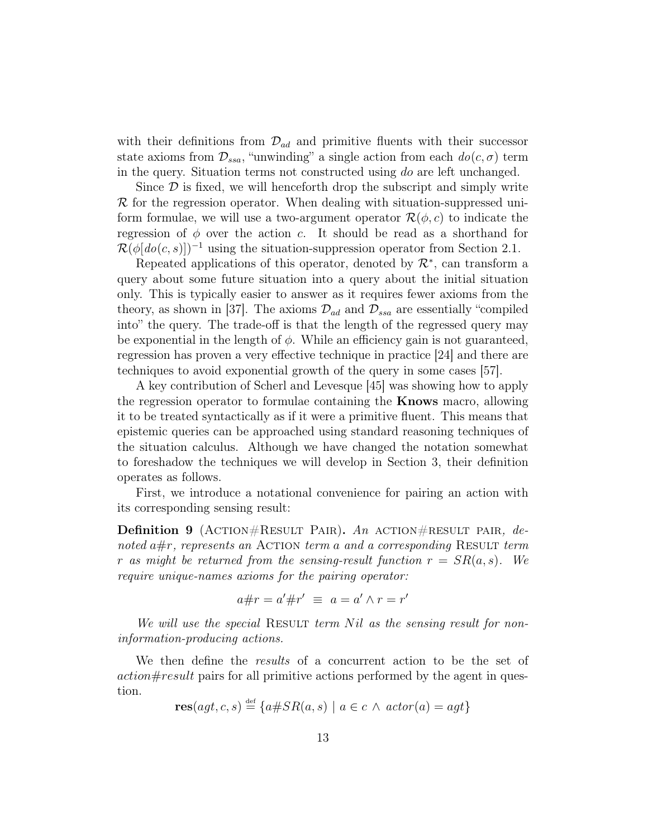with their definitions from  $\mathcal{D}_{ad}$  and primitive fluents with their successor state axioms from  $\mathcal{D}_{ssa}$ , "unwinding" a single action from each  $do(c, \sigma)$  term in the query. Situation terms not constructed using do are left unchanged.

Since  $\mathcal D$  is fixed, we will henceforth drop the subscript and simply write  $\mathcal R$  for the regression operator. When dealing with situation-suppressed uniform formulae, we will use a two-argument operator  $\mathcal{R}(\phi, c)$  to indicate the regression of  $\phi$  over the action c. It should be read as a shorthand for  $\mathcal{R}(\phi[do(c, s)])^{-1}$  using the situation-suppression operator from Section 2.1.

Repeated applications of this operator, denoted by  $\mathcal{R}^*$ , can transform a query about some future situation into a query about the initial situation only. This is typically easier to answer as it requires fewer axioms from the theory, as shown in [37]. The axioms  $\mathcal{D}_{ad}$  and  $\mathcal{D}_{ssa}$  are essentially "compiled into" the query. The trade-off is that the length of the regressed query may be exponential in the length of  $\phi$ . While an efficiency gain is not guaranteed, regression has proven a very effective technique in practice [24] and there are techniques to avoid exponential growth of the query in some cases [57].

A key contribution of Scherl and Levesque [45] was showing how to apply the regression operator to formulae containing the Knows macro, allowing it to be treated syntactically as if it were a primitive fluent. This means that epistemic queries can be approached using standard reasoning techniques of the situation calculus. Although we have changed the notation somewhat to foreshadow the techniques we will develop in Section 3, their definition operates as follows.

First, we introduce a notational convenience for pairing an action with its corresponding sensing result:

**Definition 9** (ACTION#RESULT PAIR). An ACTION#RESULT PAIR, denoted  $a \#r$ , represents an ACTION term a and a corresponding RESULT term r as might be returned from the sensing-result function  $r = SR(a, s)$ . We require unique-names axioms for the pairing operator:

$$
a \# r = a' \# r' \equiv a = a' \land r = r'
$$

We will use the special RESULT term  $Nil$  as the sensing result for noninformation-producing actions.

We then define the *results* of a concurrent action to be the set of action#result pairs for all primitive actions performed by the agent in question.

 $res(ag, c, s) \stackrel{\text{def}}{=} \{a \# SR(a, s) \mid a \in c \land actor(a) = agt\}$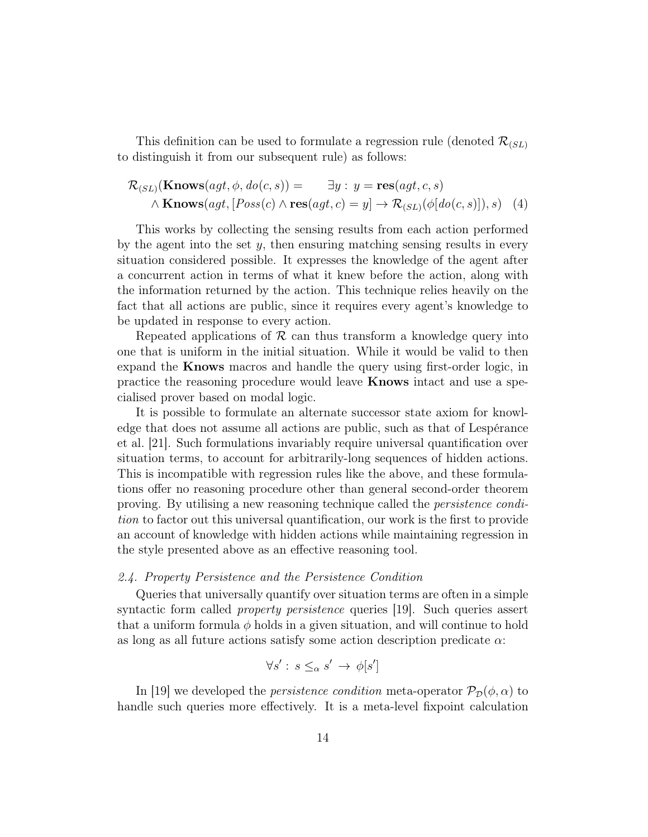This definition can be used to formulate a regression rule (denoted  $\mathcal{R}_{(SL)}$ ) to distinguish it from our subsequent rule) as follows:

$$
\mathcal{R}_{(SL)}(\mathbf{Knows}(agt, \phi, do(c, s))) = \exists y : y = \mathbf{res}(agt, c, s)
$$
  
 
$$
\land \mathbf{Knows}(agt, [Poss(c) \land \mathbf{res}(agt, c) = y] \rightarrow \mathcal{R}_{(SL)}(\phi[do(c, s)]), s)
$$
 (4)

This works by collecting the sensing results from each action performed by the agent into the set  $y$ , then ensuring matching sensing results in every situation considered possible. It expresses the knowledge of the agent after a concurrent action in terms of what it knew before the action, along with the information returned by the action. This technique relies heavily on the fact that all actions are public, since it requires every agent's knowledge to be updated in response to every action.

Repeated applications of  $\mathcal R$  can thus transform a knowledge query into one that is uniform in the initial situation. While it would be valid to then expand the Knows macros and handle the query using first-order logic, in practice the reasoning procedure would leave Knows intact and use a specialised prover based on modal logic.

It is possible to formulate an alternate successor state axiom for knowledge that does not assume all actions are public, such as that of Lespérance et al. [21]. Such formulations invariably require universal quantification over situation terms, to account for arbitrarily-long sequences of hidden actions. This is incompatible with regression rules like the above, and these formulations offer no reasoning procedure other than general second-order theorem proving. By utilising a new reasoning technique called the persistence condition to factor out this universal quantification, our work is the first to provide an account of knowledge with hidden actions while maintaining regression in the style presented above as an effective reasoning tool.

# 2.4. Property Persistence and the Persistence Condition

Queries that universally quantify over situation terms are often in a simple syntactic form called *property persistence* queries [19]. Such queries assert that a uniform formula  $\phi$  holds in a given situation, and will continue to hold as long as all future actions satisfy some action description predicate α:

$$
\forall s':\, s \leq_\alpha s' \to \phi[s']
$$

In [19] we developed the *persistence condition* meta-operator  $\mathcal{P}_{\mathcal{D}}(\phi,\alpha)$  to handle such queries more effectively. It is a meta-level fixpoint calculation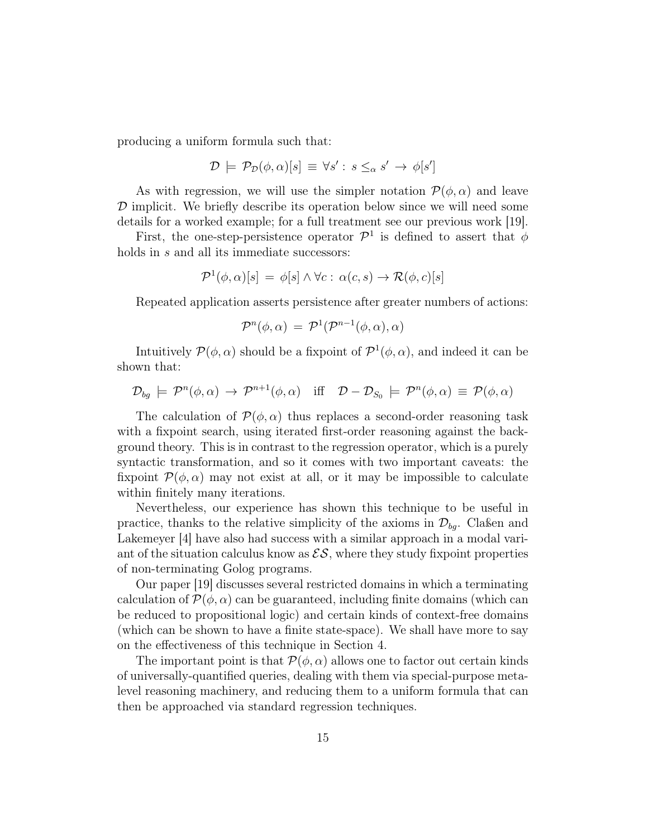producing a uniform formula such that:

$$
\mathcal{D} \models \mathcal{P}_{\mathcal{D}}(\phi, \alpha)[s] \equiv \forall s' : s \leq_{\alpha} s' \rightarrow \phi[s']
$$

As with regression, we will use the simpler notation  $\mathcal{P}(\phi,\alpha)$  and leave  $\mathcal D$  implicit. We briefly describe its operation below since we will need some details for a worked example; for a full treatment see our previous work [19].

First, the one-step-persistence operator  $\mathcal{P}^1$  is defined to assert that  $\phi$ holds in s and all its immediate successors:

$$
\mathcal{P}^1(\phi,\alpha)[s] = \phi[s] \land \forall c : \alpha(c,s) \to \mathcal{R}(\phi,c)[s]
$$

Repeated application asserts persistence after greater numbers of actions:

$$
\mathcal{P}^n(\phi,\alpha) \,=\, \mathcal{P}^1(\mathcal{P}^{n-1}(\phi,\alpha),\alpha)
$$

Intuitively  $\mathcal{P}(\phi,\alpha)$  should be a fixpoint of  $\mathcal{P}^1(\phi,\alpha)$ , and indeed it can be shown that:

$$
\mathcal{D}_{bg} \models \mathcal{P}^n(\phi, \alpha) \rightarrow \mathcal{P}^{n+1}(\phi, \alpha) \quad \text{iff} \quad \mathcal{D} - \mathcal{D}_{S_0} \models \mathcal{P}^n(\phi, \alpha) \equiv \mathcal{P}(\phi, \alpha)
$$

The calculation of  $\mathcal{P}(\phi,\alpha)$  thus replaces a second-order reasoning task with a fixpoint search, using iterated first-order reasoning against the background theory. This is in contrast to the regression operator, which is a purely syntactic transformation, and so it comes with two important caveats: the fixpoint  $\mathcal{P}(\phi,\alpha)$  may not exist at all, or it may be impossible to calculate within finitely many iterations.

Nevertheless, our experience has shown this technique to be useful in practice, thanks to the relative simplicity of the axioms in  $\mathcal{D}_{ba}$ . Classen and Lakemeyer [4] have also had success with a similar approach in a modal variant of the situation calculus know as  $\mathcal{ES}$ , where they study fixpoint properties of non-terminating Golog programs.

Our paper [19] discusses several restricted domains in which a terminating calculation of  $\mathcal{P}(\phi,\alpha)$  can be guaranteed, including finite domains (which can be reduced to propositional logic) and certain kinds of context-free domains (which can be shown to have a finite state-space). We shall have more to say on the effectiveness of this technique in Section 4.

The important point is that  $\mathcal{P}(\phi,\alpha)$  allows one to factor out certain kinds of universally-quantified queries, dealing with them via special-purpose metalevel reasoning machinery, and reducing them to a uniform formula that can then be approached via standard regression techniques.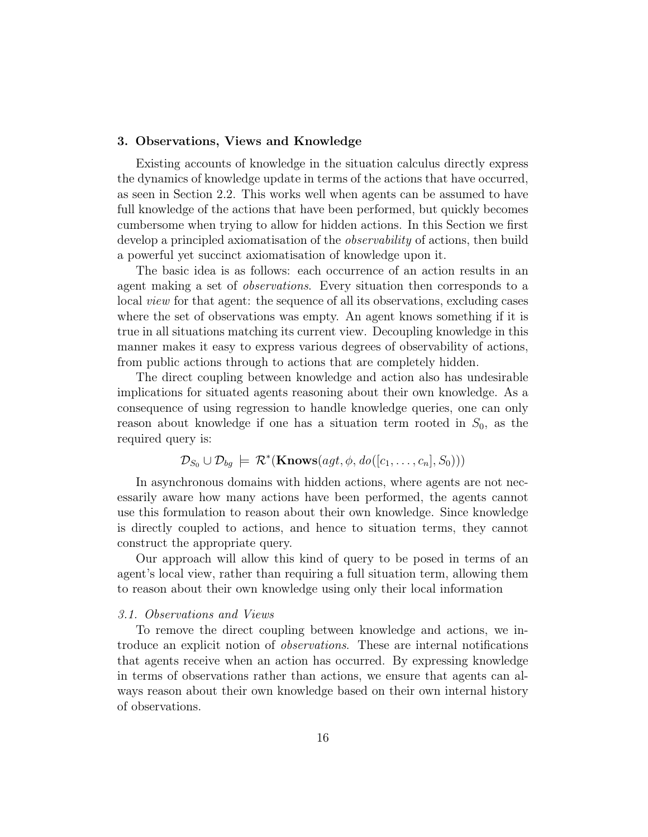#### 3. Observations, Views and Knowledge

Existing accounts of knowledge in the situation calculus directly express the dynamics of knowledge update in terms of the actions that have occurred, as seen in Section 2.2. This works well when agents can be assumed to have full knowledge of the actions that have been performed, but quickly becomes cumbersome when trying to allow for hidden actions. In this Section we first develop a principled axiomatisation of the *observability* of actions, then build a powerful yet succinct axiomatisation of knowledge upon it.

The basic idea is as follows: each occurrence of an action results in an agent making a set of observations. Every situation then corresponds to a local view for that agent: the sequence of all its observations, excluding cases where the set of observations was empty. An agent knows something if it is true in all situations matching its current view. Decoupling knowledge in this manner makes it easy to express various degrees of observability of actions, from public actions through to actions that are completely hidden.

The direct coupling between knowledge and action also has undesirable implications for situated agents reasoning about their own knowledge. As a consequence of using regression to handle knowledge queries, one can only reason about knowledge if one has a situation term rooted in  $S_0$ , as the required query is:

$$
\mathcal{D}_{S_0} \cup \mathcal{D}_{bg} \models \mathcal{R}^*(\mathbf{Knows}(agt, \phi, do([c_1, \ldots, c_n], S_0)))
$$

In asynchronous domains with hidden actions, where agents are not necessarily aware how many actions have been performed, the agents cannot use this formulation to reason about their own knowledge. Since knowledge is directly coupled to actions, and hence to situation terms, they cannot construct the appropriate query.

Our approach will allow this kind of query to be posed in terms of an agent's local view, rather than requiring a full situation term, allowing them to reason about their own knowledge using only their local information

#### 3.1. Observations and Views

To remove the direct coupling between knowledge and actions, we introduce an explicit notion of observations. These are internal notifications that agents receive when an action has occurred. By expressing knowledge in terms of observations rather than actions, we ensure that agents can always reason about their own knowledge based on their own internal history of observations.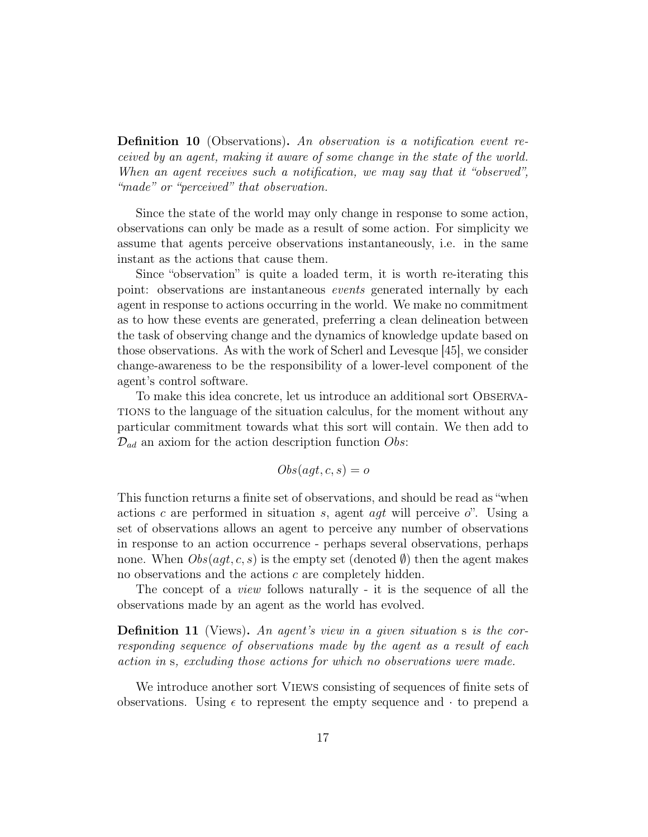Definition 10 (Observations). An observation is a notification event received by an agent, making it aware of some change in the state of the world. When an agent receives such a notification, we may say that it "observed", "made" or "perceived" that observation.

Since the state of the world may only change in response to some action, observations can only be made as a result of some action. For simplicity we assume that agents perceive observations instantaneously, i.e. in the same instant as the actions that cause them.

Since "observation" is quite a loaded term, it is worth re-iterating this point: observations are instantaneous events generated internally by each agent in response to actions occurring in the world. We make no commitment as to how these events are generated, preferring a clean delineation between the task of observing change and the dynamics of knowledge update based on those observations. As with the work of Scherl and Levesque [45], we consider change-awareness to be the responsibility of a lower-level component of the agent's control software.

To make this idea concrete, let us introduce an additional sort Observations to the language of the situation calculus, for the moment without any particular commitment towards what this sort will contain. We then add to  $\mathcal{D}_{ad}$  an axiom for the action description function Obs:

$$
Obs(agt, c, s) = o
$$

This function returns a finite set of observations, and should be read as "when actions c are performed in situation s, agent agt will perceive  $o$ ". Using a set of observations allows an agent to perceive any number of observations in response to an action occurrence - perhaps several observations, perhaps none. When  $Obs(aqt, c, s)$  is the empty set (denoted  $\emptyset$ ) then the agent makes no observations and the actions c are completely hidden.

The concept of a view follows naturally - it is the sequence of all the observations made by an agent as the world has evolved.

**Definition 11** (Views). An agent's view in a given situation s is the corresponding sequence of observations made by the agent as a result of each action in s, excluding those actions for which no observations were made.

We introduce another sort VIEWS consisting of sequences of finite sets of observations. Using  $\epsilon$  to represent the empty sequence and  $\cdot$  to prepend a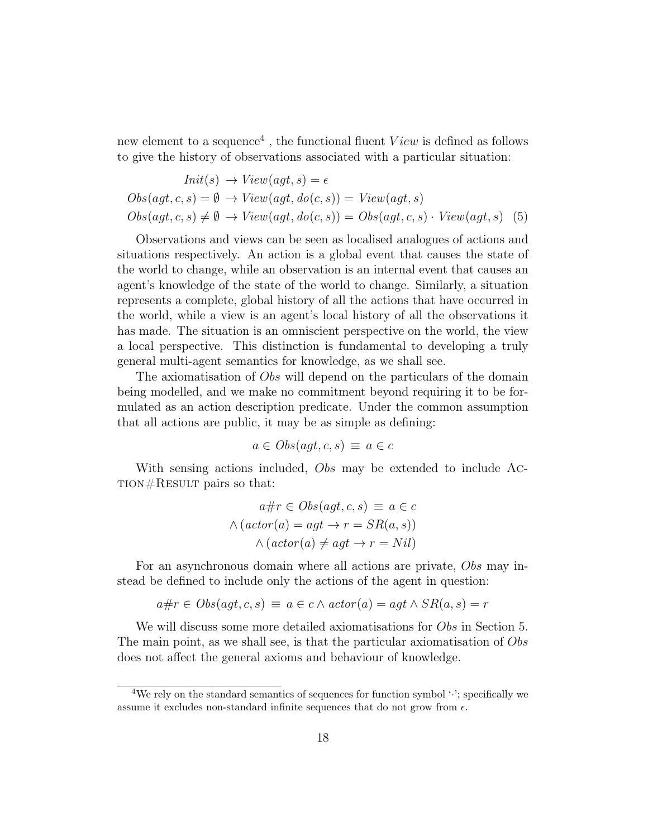new element to a sequence<sup>4</sup>, the functional fluent  $View$  is defined as follows to give the history of observations associated with a particular situation:

$$
Init(s) \rightarrow View(agt, s) = \epsilon
$$
  
Obs(agt, c, s) =  $\emptyset \rightarrow View(agt, do(c, s)) = View(agt, s)$   

$$
Obs(agt, c, s) \neq \emptyset \rightarrow View(agt, do(c, s)) = Obs(agt, c, s) \cdot View(agt, s)
$$
 (5)

Observations and views can be seen as localised analogues of actions and situations respectively. An action is a global event that causes the state of the world to change, while an observation is an internal event that causes an agent's knowledge of the state of the world to change. Similarly, a situation represents a complete, global history of all the actions that have occurred in the world, while a view is an agent's local history of all the observations it has made. The situation is an omniscient perspective on the world, the view a local perspective. This distinction is fundamental to developing a truly general multi-agent semantics for knowledge, as we shall see.

The axiomatisation of Obs will depend on the particulars of the domain being modelled, and we make no commitment beyond requiring it to be formulated as an action description predicate. Under the common assumption that all actions are public, it may be as simple as defining:

$$
a \in Obs(agt, c, s) \equiv a \in c
$$

With sensing actions included, Obs may be extended to include Ac-TION $#$ RESULT pairs so that:

$$
a \# r \in Obs(agt, c, s) \equiv a \in c
$$

$$
\land (actor(a) = agt \rightarrow r = SR(a, s))
$$

$$
\land (actor(a) \neq agt \rightarrow r = Nil)
$$

For an asynchronous domain where all actions are private, Obs may instead be defined to include only the actions of the agent in question:

$$
a \# r \in Obs(agt, c, s) \equiv a \in c \land actor(a) = agt \land SR(a, s) = r
$$

We will discuss some more detailed axiomatisations for *Obs* in Section 5. The main point, as we shall see, is that the particular axiomatisation of Obs does not affect the general axioms and behaviour of knowledge.

<sup>&</sup>lt;sup>4</sup>We rely on the standard semantics of sequences for function symbol  $\cdot$ : specifically we assume it excludes non-standard infinite sequences that do not grow from  $\epsilon$ .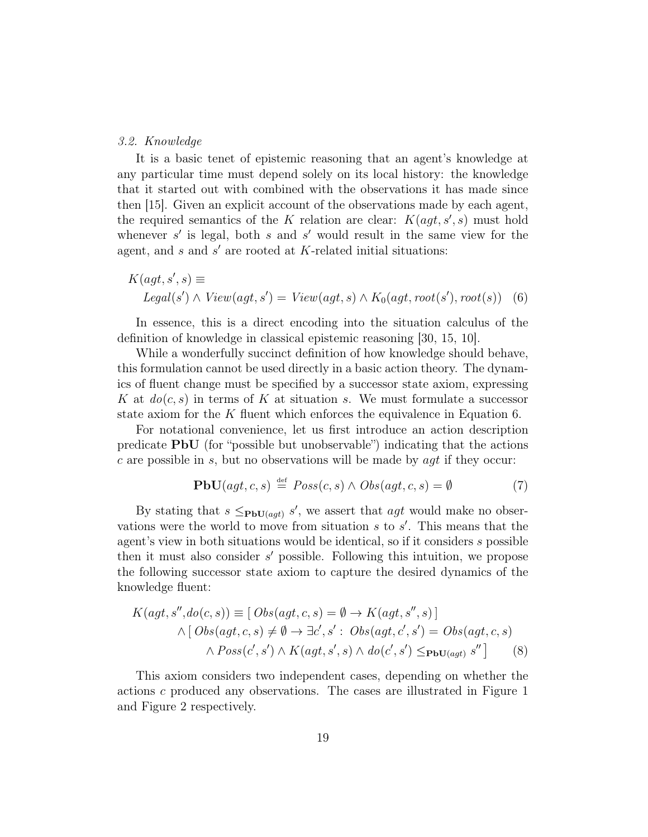## 3.2. Knowledge

It is a basic tenet of epistemic reasoning that an agent's knowledge at any particular time must depend solely on its local history: the knowledge that it started out with combined with the observations it has made since then [15]. Given an explicit account of the observations made by each agent, the required semantics of the K relation are clear:  $K(agt, s', s)$  must hold whenever  $s'$  is legal, both s and s' would result in the same view for the agent, and  $s$  and  $s'$  are rooted at  $K$ -related initial situations:

$$
K(agt, s', s) \equiv
$$
  

$$
legal(s') \land View(agt, s') = View(agt, s) \land K_0(agt, root(s'), root(s))
$$
 (6)

In essence, this is a direct encoding into the situation calculus of the definition of knowledge in classical epistemic reasoning [30, 15, 10].

While a wonderfully succinct definition of how knowledge should behave, this formulation cannot be used directly in a basic action theory. The dynamics of fluent change must be specified by a successor state axiom, expressing K at  $do(c, s)$  in terms of K at situation s. We must formulate a successor state axiom for the K fluent which enforces the equivalence in Equation 6.

For notational convenience, let us first introduce an action description predicate PbU (for "possible but unobservable") indicating that the actions c are possible in s, but no observations will be made by  $agt$  if they occur:

$$
\mathbf{PbU}(agt, c, s) \stackrel{\text{def}}{=} Poss(c, s) \land Obs(agt, c, s) = \emptyset \tag{7}
$$

By stating that  $s \leq_{\text{PbU}(agt)} s'$ , we assert that  $agt$  would make no observations were the world to move from situation  $s$  to  $s'$ . This means that the agent's view in both situations would be identical, so if it considers s possible then it must also consider  $s'$  possible. Following this intuition, we propose the following successor state axiom to capture the desired dynamics of the knowledge fluent:

$$
K(agt, s'', do(c, s)) \equiv [Obs(agt, c, s) = \emptyset \rightarrow K(agt, s'', s)]
$$
  
 
$$
\wedge [Obs(agt, c, s) \neq \emptyset \rightarrow \exists c', s': Obs(agt, c', s') = Obs(agt, c, s)
$$
  
 
$$
\wedge Poss(c', s') \wedge K(agt, s', s) \wedge do(c', s') \leq_{\text{PbU}(agt)} s''] \qquad (8)
$$

This axiom considers two independent cases, depending on whether the actions c produced any observations. The cases are illustrated in Figure 1 and Figure 2 respectively.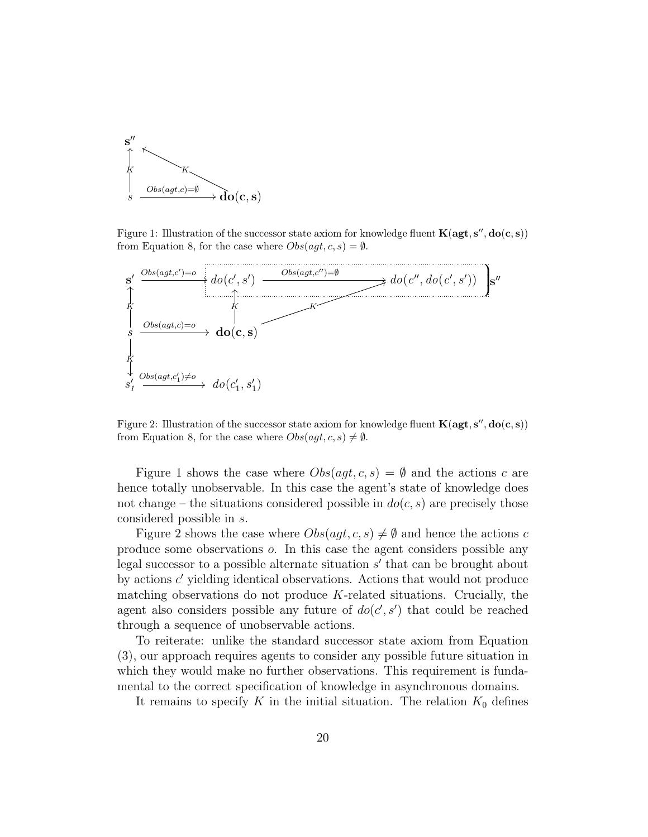

Figure 1: Illustration of the successor state axiom for knowledge fluent  $\mathbf{K}(\mathbf{agt}, \mathbf{s}'', \mathbf{do}(\mathbf{c}, \mathbf{s}))$ from Equation 8, for the case where  $Obs(agt, c, s) = \emptyset$ .



Figure 2: Illustration of the successor state axiom for knowledge fluent  $\mathbf{K}(\mathbf{agt}, \mathbf{s}'', \mathbf{do}(\mathbf{c}, \mathbf{s}))$ from Equation 8, for the case where  $Obs(agt, c, s) \neq \emptyset$ .

Figure 1 shows the case where  $Obs(aqt, c, s) = \emptyset$  and the actions c are hence totally unobservable. In this case the agent's state of knowledge does not change – the situations considered possible in  $do(c, s)$  are precisely those considered possible in s.

Figure 2 shows the case where  $Obs(agt, c, s) \neq \emptyset$  and hence the actions c produce some observations o. In this case the agent considers possible any legal successor to a possible alternate situation  $s'$  that can be brought about by actions  $c'$  yielding identical observations. Actions that would not produce matching observations do not produce  $K$ -related situations. Crucially, the agent also considers possible any future of  $do(c', s')$  that could be reached through a sequence of unobservable actions.

To reiterate: unlike the standard successor state axiom from Equation (3), our approach requires agents to consider any possible future situation in which they would make no further observations. This requirement is fundamental to the correct specification of knowledge in asynchronous domains.

It remains to specify K in the initial situation. The relation  $K_0$  defines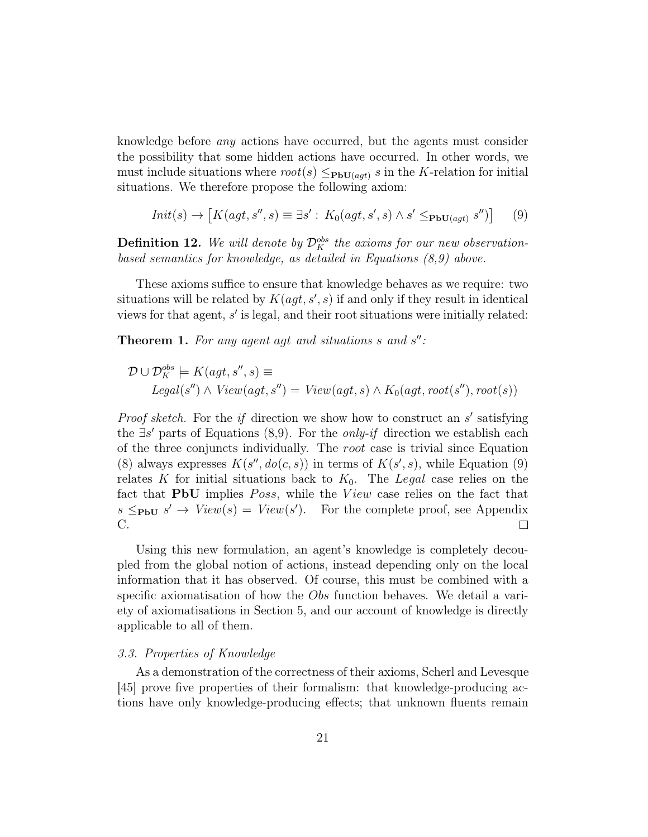knowledge before any actions have occurred, but the agents must consider the possibility that some hidden actions have occurred. In other words, we must include situations where  $root(s) \leq_{\text{PbU}(agt)} s$  in the K-relation for initial situations. We therefore propose the following axiom:

$$
Init(s) \rightarrow [K(agt, s'', s) \equiv \exists s': K_0(agt, s', s) \land s' \leq_{\text{PbU}(agt)} s'')]
$$
(9)

**Definition 12.** We will denote by  $\mathcal{D}_K^{obs}$  the axioms for our new observationbased semantics for knowledge, as detailed in Equations (8,9) above.

These axioms suffice to ensure that knowledge behaves as we require: two situations will be related by  $K(agt, s', s)$  if and only if they result in identical views for that agent,  $s'$  is legal, and their root situations were initially related:

**Theorem 1.** For any agent agt and situations  $s$  and  $s''$ :

$$
\mathcal{D} \cup \mathcal{D}_K^{obs} \models K(agt, s'', s) \equiv
$$
  

$$
legal(s'') \land View(agt, s'') = View(agt, s) \land K_0(agt, root(s''), root(s))
$$

*Proof sketch*. For the *if* direction we show how to construct an  $s'$  satisfying the  $\exists s'$  parts of Equations (8,9). For the *only-if* direction we establish each of the three conjuncts individually. The root case is trivial since Equation (8) always expresses  $K(s'', do(c, s))$  in terms of  $K(s', s)$ , while Equation (9) relates K for initial situations back to  $K_0$ . The Legal case relies on the fact that **PbU** implies *Poss*, while the View case relies on the fact that  $s \leq_{\text{PbU}} s' \rightarrow View(s) = View(s')$ . For the complete proof, see Appendix C.  $\Box$ 

Using this new formulation, an agent's knowledge is completely decoupled from the global notion of actions, instead depending only on the local information that it has observed. Of course, this must be combined with a specific axiomatisation of how the Obs function behaves. We detail a variety of axiomatisations in Section 5, and our account of knowledge is directly applicable to all of them.

## 3.3. Properties of Knowledge

As a demonstration of the correctness of their axioms, Scherl and Levesque [45] prove five properties of their formalism: that knowledge-producing actions have only knowledge-producing effects; that unknown fluents remain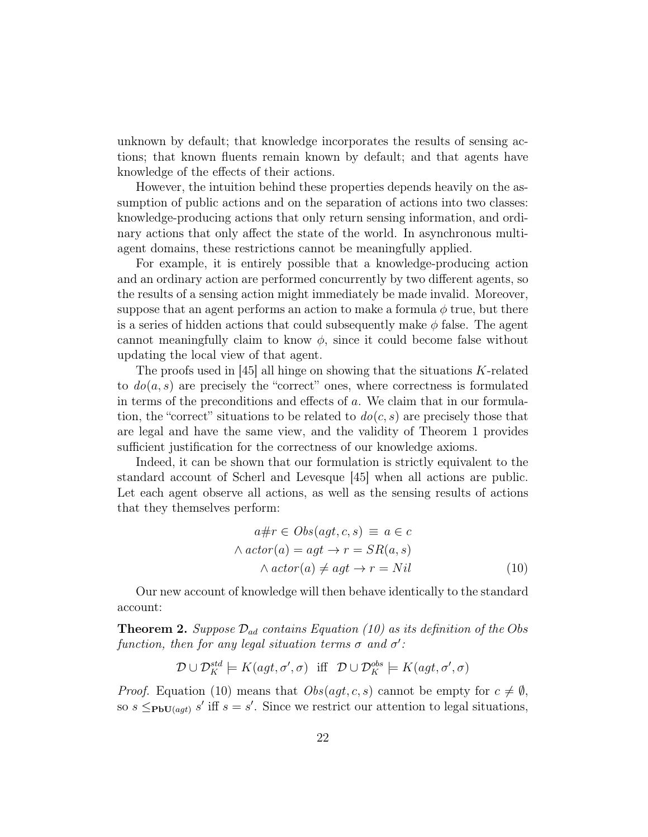unknown by default; that knowledge incorporates the results of sensing actions; that known fluents remain known by default; and that agents have knowledge of the effects of their actions.

However, the intuition behind these properties depends heavily on the assumption of public actions and on the separation of actions into two classes: knowledge-producing actions that only return sensing information, and ordinary actions that only affect the state of the world. In asynchronous multiagent domains, these restrictions cannot be meaningfully applied.

For example, it is entirely possible that a knowledge-producing action and an ordinary action are performed concurrently by two different agents, so the results of a sensing action might immediately be made invalid. Moreover, suppose that an agent performs an action to make a formula  $\phi$  true, but there is a series of hidden actions that could subsequently make  $\phi$  false. The agent cannot meaningfully claim to know  $\phi$ , since it could become false without updating the local view of that agent.

The proofs used in  $[45]$  all hinge on showing that the situations K-related to  $do(a, s)$  are precisely the "correct" ones, where correctness is formulated in terms of the preconditions and effects of a. We claim that in our formulation, the "correct" situations to be related to  $do(c, s)$  are precisely those that are legal and have the same view, and the validity of Theorem 1 provides sufficient justification for the correctness of our knowledge axioms.

Indeed, it can be shown that our formulation is strictly equivalent to the standard account of Scherl and Levesque [45] when all actions are public. Let each agent observe all actions, as well as the sensing results of actions that they themselves perform:

$$
a \# r \in Obs(agt, c, s) \equiv a \in c
$$
  
 
$$
\land actor(a) = agt \rightarrow r = SR(a, s)
$$
  
 
$$
\land actor(a) \neq agt \rightarrow r = Nil
$$
 (10)

Our new account of knowledge will then behave identically to the standard account:

**Theorem 2.** Suppose  $\mathcal{D}_{ad}$  contains Equation (10) as its definition of the Obs function, then for any legal situation terms  $\sigma$  and  $\sigma'$ :

$$
\mathcal{D} \cup \mathcal{D}^{std}_K \models K(agt, \sigma', \sigma) \text{ iff } \mathcal{D} \cup \mathcal{D}^{obs}_K \models K(agt, \sigma', \sigma)
$$

*Proof.* Equation (10) means that  $Obs(agt, c, s)$  cannot be empty for  $c \neq \emptyset$ , so  $s \leq_{\text{PbU}(agt)} s'$  iff  $s = s'$ . Since we restrict our attention to legal situations,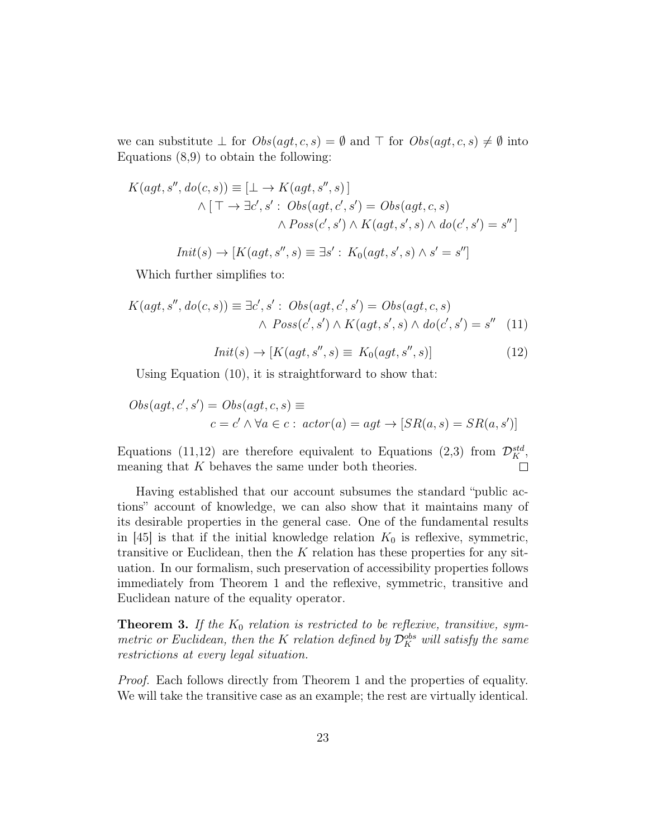we can substitute  $\bot$  for  $Obs(agt, c, s) = \emptyset$  and  $\top$  for  $Obs(agt, c, s) \neq \emptyset$  into Equations (8,9) to obtain the following:

$$
K(agt, s'', do(c, s)) \equiv [\bot \rightarrow K(agt, s'', s)]
$$
  

$$
\wedge [\top \rightarrow \exists c', s' : Obs(agt, c', s') = Obs(agt, c, s)
$$
  

$$
\wedge Poss(c', s') \wedge K(agt, s', s) \wedge do(c', s') = s'']
$$

$$
Init(s) \rightarrow [K(agt, s'', s) \equiv \exists s': K_0(agt, s', s) \land s' = s'']
$$

Which further simplifies to:

$$
K(agt, s'', do(c, s)) \equiv \exists c', s' : Obs(agt, c', s') = Obs(agt, c, s)
$$

$$
\land \; Poss(c', s') \land K(agt, s', s) \land do(c', s') = s'' \quad (11)
$$

$$
Init(s) \rightarrow [K(agt, s'', s) \equiv K_0(agt, s'', s)] \tag{12}
$$

Using Equation (10), it is straightforward to show that:

$$
Obs(agt, c', s') = Obs(agt, c, s) \equiv
$$
  

$$
c = c' \land \forall a \in c : actor(a) = agt \rightarrow [SR(a, s) = SR(a, s')]
$$

Equations (11,12) are therefore equivalent to Equations (2,3) from  $\mathcal{D}_K^{std}$ , meaning that  $K$  behaves the same under both theories.  $\overline{\phantom{a}}$ 

Having established that our account subsumes the standard "public actions" account of knowledge, we can also show that it maintains many of its desirable properties in the general case. One of the fundamental results in [45] is that if the initial knowledge relation  $K_0$  is reflexive, symmetric, transitive or Euclidean, then the  $K$  relation has these properties for any situation. In our formalism, such preservation of accessibility properties follows immediately from Theorem 1 and the reflexive, symmetric, transitive and Euclidean nature of the equality operator.

**Theorem 3.** If the  $K_0$  relation is restricted to be reflexive, transitive, symmetric or Euclidean, then the K relation defined by  $\mathcal{D}_K^{obs}$  will satisfy the same restrictions at every legal situation.

Proof. Each follows directly from Theorem 1 and the properties of equality. We will take the transitive case as an example; the rest are virtually identical.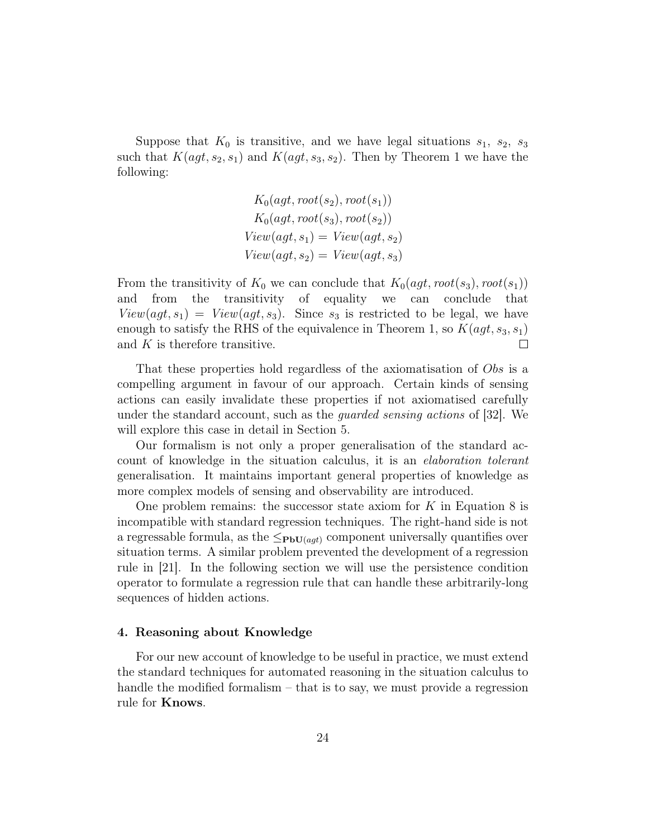Suppose that  $K_0$  is transitive, and we have legal situations  $s_1, s_2, s_3$ such that  $K(agt, s_2, s_1)$  and  $K(agt, s_3, s_2)$ . Then by Theorem 1 we have the following:

$$
K_0(agt, root(s_2), root(s_1))
$$
  
\n
$$
K_0(agt, root(s_3), root(s_2))
$$
  
\n
$$
View(agt, s_1) = View(agt, s_2)
$$
  
\n
$$
View(agt, s_2) = View(agt, s_3)
$$

From the transitivity of  $K_0$  we can conclude that  $K_0(agt, root(s_3), root(s_1))$ and from the transitivity of equality we can conclude that  $View(agt, s_1) = View(agt, s_3)$ . Since s<sub>3</sub> is restricted to be legal, we have enough to satisfy the RHS of the equivalence in Theorem 1, so  $K(agt, s_3, s_1)$ and  $K$  is therefore transitive.  $\Box$ 

That these properties hold regardless of the axiomatisation of Obs is a compelling argument in favour of our approach. Certain kinds of sensing actions can easily invalidate these properties if not axiomatised carefully under the standard account, such as the *quarded sensing actions* of [32]. We will explore this case in detail in Section 5.

Our formalism is not only a proper generalisation of the standard account of knowledge in the situation calculus, it is an elaboration tolerant generalisation. It maintains important general properties of knowledge as more complex models of sensing and observability are introduced.

One problem remains: the successor state axiom for  $K$  in Equation 8 is incompatible with standard regression techniques. The right-hand side is not a regressable formula, as the  $\leq_{\text{PbU}(agt)}$  component universally quantifies over situation terms. A similar problem prevented the development of a regression rule in [21]. In the following section we will use the persistence condition operator to formulate a regression rule that can handle these arbitrarily-long sequences of hidden actions.

# 4. Reasoning about Knowledge

For our new account of knowledge to be useful in practice, we must extend the standard techniques for automated reasoning in the situation calculus to handle the modified formalism – that is to say, we must provide a regression rule for Knows.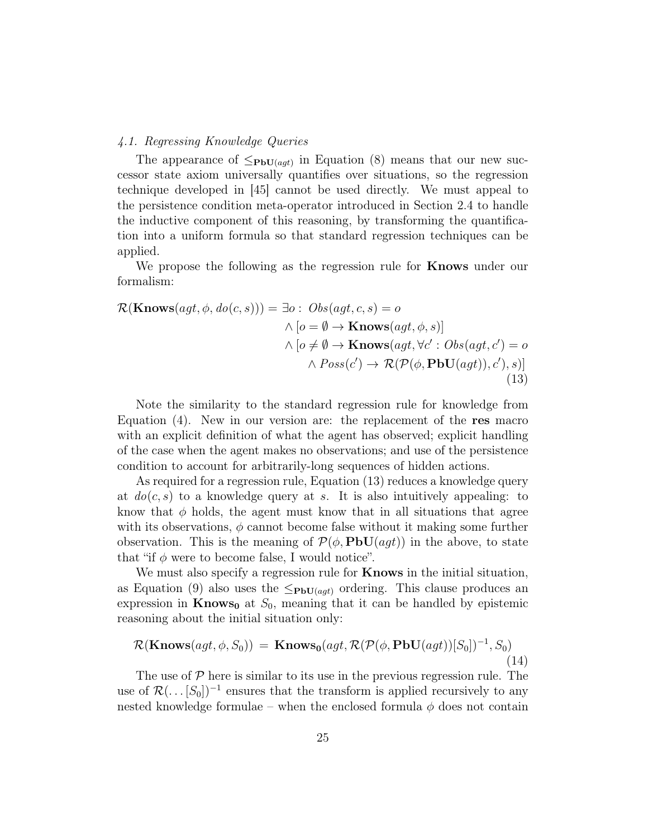# 4.1. Regressing Knowledge Queries

The appearance of  $\leq_{\text{PbU}(agt)}$  in Equation (8) means that our new successor state axiom universally quantifies over situations, so the regression technique developed in [45] cannot be used directly. We must appeal to the persistence condition meta-operator introduced in Section 2.4 to handle the inductive component of this reasoning, by transforming the quantification into a uniform formula so that standard regression techniques can be applied.

We propose the following as the regression rule for **Knows** under our formalism:

$$
\mathcal{R}(\mathbf{Knows}(agt, \phi, do(c, s))) = \exists o : \; Obs(agt, c, s) = o
$$
\n
$$
\land [o = \emptyset \to \mathbf{Knows}(agt, \phi, s)]
$$
\n
$$
\land [o \neq \emptyset \to \mathbf{Knows}(agt, \forall c' : Obs(agt, c') = o
$$
\n
$$
\land \; Poss(c') \to \mathcal{R}(\mathcal{P}(\phi, \mathbf{PbU}(agt)), c'), s)]
$$
\n(13)

Note the similarity to the standard regression rule for knowledge from Equation (4). New in our version are: the replacement of the res macro with an explicit definition of what the agent has observed; explicit handling of the case when the agent makes no observations; and use of the persistence condition to account for arbitrarily-long sequences of hidden actions.

As required for a regression rule, Equation (13) reduces a knowledge query at  $do(c, s)$  to a knowledge query at s. It is also intuitively appealing: to know that  $\phi$  holds, the agent must know that in all situations that agree with its observations,  $\phi$  cannot become false without it making some further observation. This is the meaning of  $\mathcal{P}(\phi, \text{PbU}(agt))$  in the above, to state that "if  $\phi$  were to become false, I would notice".

We must also specify a regression rule for **Knows** in the initial situation, as Equation (9) also uses the  $\leq_{\text{PbU}(agt)}$  ordering. This clause produces an expression in  $\mathbf{Knows}_{0}$  at  $S_{0}$ , meaning that it can be handled by epistemic reasoning about the initial situation only:

$$
\mathcal{R}(\mathbf{Knows}(agt, \phi, S_0)) = \mathbf{Knows_0}(agt, \mathcal{R}(\mathcal{P}(\phi, \mathbf{PbU}(agt))[S_0])^{-1}, S_0)
$$
\n(14)

The use of  $P$  here is similar to its use in the previous regression rule. The use of  $\mathcal{R}(\ldots [S_0])^{-1}$  ensures that the transform is applied recursively to any nested knowledge formulae – when the enclosed formula  $\phi$  does not contain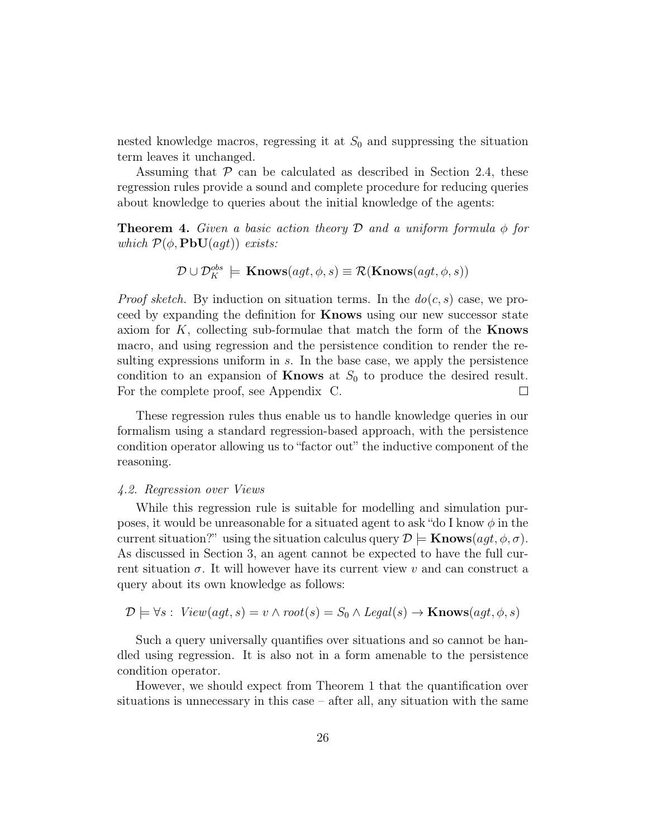nested knowledge macros, regressing it at  $S_0$  and suppressing the situation term leaves it unchanged.

Assuming that  $P$  can be calculated as described in Section 2.4, these regression rules provide a sound and complete procedure for reducing queries about knowledge to queries about the initial knowledge of the agents:

**Theorem 4.** Given a basic action theory D and a uniform formula  $\phi$  for which  $\mathcal{P}(\phi, \textbf{PbU}(agt))$  exists:

$$
\mathcal{D} \cup \mathcal{D}_K^{obs} \models \mathbf{Knows}(agt, \phi, s) \equiv \mathcal{R}(\mathbf{Knows}(agt, \phi, s))
$$

*Proof sketch.* By induction on situation terms. In the  $do(c, s)$  case, we proceed by expanding the definition for Knows using our new successor state axiom for  $K$ , collecting sub-formulae that match the form of the **Knows** macro, and using regression and the persistence condition to render the resulting expressions uniform in  $s$ . In the base case, we apply the persistence condition to an expansion of **Knows** at  $S_0$  to produce the desired result. For the complete proof, see Appendix C.  $\Box$ 

These regression rules thus enable us to handle knowledge queries in our formalism using a standard regression-based approach, with the persistence condition operator allowing us to "factor out" the inductive component of the reasoning.

#### 4.2. Regression over Views

While this regression rule is suitable for modelling and simulation purposes, it would be unreasonable for a situated agent to ask "do I know  $\phi$  in the current situation?" using the situation calculus query  $\mathcal{D} \models$  **Knows** $(agt, \phi, \sigma)$ . As discussed in Section 3, an agent cannot be expected to have the full current situation  $\sigma$ . It will however have its current view v and can construct a query about its own knowledge as follows:

$$
\mathcal{D} \models \forall s: \text{View}(agt, s) = v \land \text{root}(s) = S_0 \land \text{legal}(s) \rightarrow \text{Knows}(agt, \phi, s)
$$

Such a query universally quantifies over situations and so cannot be handled using regression. It is also not in a form amenable to the persistence condition operator.

However, we should expect from Theorem 1 that the quantification over situations is unnecessary in this case – after all, any situation with the same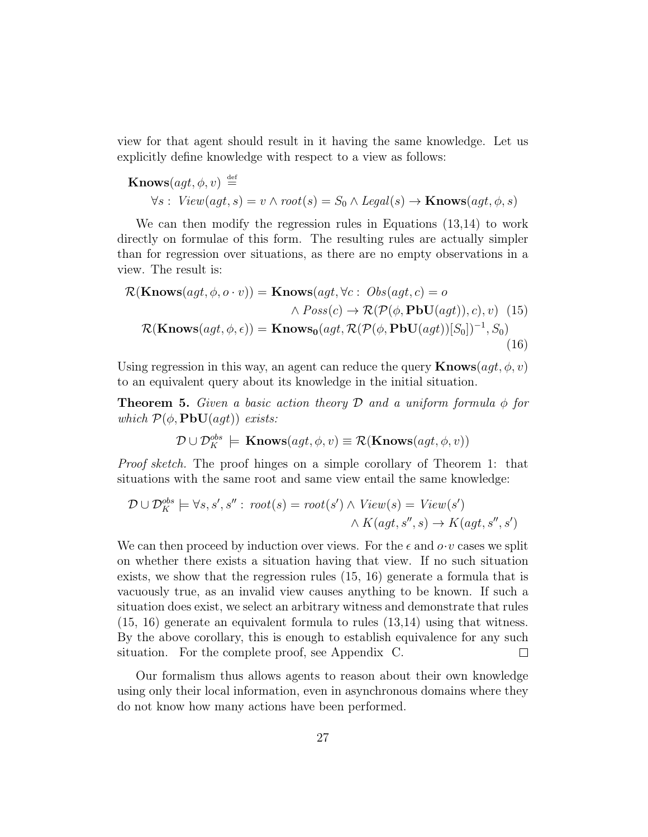view for that agent should result in it having the same knowledge. Let us explicitly define knowledge with respect to a view as follows:

$$
\begin{aligned} \textbf{Knows}(agt, \phi, v) & \stackrel{\text{def}}{=} \\ \forall s: \text{View}(agt, s) = v \land \text{root}(s) = S_0 \land \text{legal}(s) \to \textbf{Knows}(agt, \phi, s) \end{aligned}
$$

We can then modify the regression rules in Equations (13,14) to work directly on formulae of this form. The resulting rules are actually simpler than for regression over situations, as there are no empty observations in a view. The result is:

$$
\mathcal{R}(\mathbf{Knows}(agt, \phi, o \cdot v)) = \mathbf{Knows}(agt, \forall c : Obs(agt, c) = o \land Poss(c) \rightarrow \mathcal{R}(\mathcal{P}(\phi, \mathbf{PbU}(agt)), c), v) \tag{15}
$$

$$
\mathcal{R}(\mathbf{Knows}(agt, \phi, \epsilon)) = \mathbf{Knows}_{0}(agt, \mathcal{R}(\mathcal{P}(\phi, \mathbf{PbU}(agt))[S_{0}])^{-1}, S_{0})
$$
(16)

Using regression in this way, an agent can reduce the query  $\mathbf{Knows}(agt, \phi, v)$ to an equivalent query about its knowledge in the initial situation.

**Theorem 5.** Given a basic action theory D and a uniform formula  $\phi$  for which  $\mathcal{P}(\phi, \textbf{PbU}(agt))$  exists:

$$
\mathcal{D} \cup \mathcal{D}_K^{obs} \models \mathbf{Knows}(agt, \phi, v) \equiv \mathcal{R}(\mathbf{Knows}(agt, \phi, v))
$$

Proof sketch. The proof hinges on a simple corollary of Theorem 1: that situations with the same root and same view entail the same knowledge:

$$
\mathcal{D} \cup \mathcal{D}_K^{obs} \models \forall s, s', s'': root(s) = root(s') \land View(s) = View(s') \\ \land K(agt, s'', s) \rightarrow K(agt, s'', s')
$$

We can then proceed by induction over views. For the  $\epsilon$  and  $o \cdot v$  cases we split on whether there exists a situation having that view. If no such situation exists, we show that the regression rules (15, 16) generate a formula that is vacuously true, as an invalid view causes anything to be known. If such a situation does exist, we select an arbitrary witness and demonstrate that rules (15, 16) generate an equivalent formula to rules (13,14) using that witness. By the above corollary, this is enough to establish equivalence for any such situation. For the complete proof, see Appendix C.  $\Box$ 

Our formalism thus allows agents to reason about their own knowledge using only their local information, even in asynchronous domains where they do not know how many actions have been performed.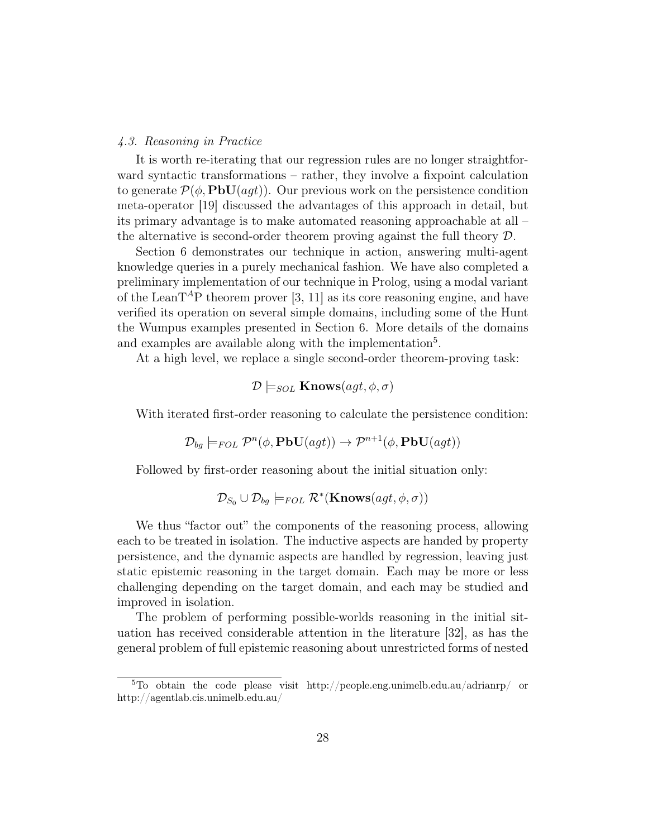#### 4.3. Reasoning in Practice

It is worth re-iterating that our regression rules are no longer straightforward syntactic transformations – rather, they involve a fixpoint calculation to generate  $\mathcal{P}(\phi, \text{PbU}(agt))$ . Our previous work on the persistence condition meta-operator [19] discussed the advantages of this approach in detail, but its primary advantage is to make automated reasoning approachable at all – the alternative is second-order theorem proving against the full theory D.

Section 6 demonstrates our technique in action, answering multi-agent knowledge queries in a purely mechanical fashion. We have also completed a preliminary implementation of our technique in Prolog, using a modal variant of the LeanT<sup>A</sup>P theorem prover [3, 11] as its core reasoning engine, and have verified its operation on several simple domains, including some of the Hunt the Wumpus examples presented in Section 6. More details of the domains and examples are available along with the implementation<sup>5</sup>.

At a high level, we replace a single second-order theorem-proving task:

$$
\mathcal{D} \models_{SOL} \mathbf{Knows}(agt, \phi, \sigma)
$$

With iterated first-order reasoning to calculate the persistence condition:

$$
\mathcal{D}_{bg} \models_{FOL} \mathcal{P}^n(\phi, \mathbf{PbU}(agt)) \to \mathcal{P}^{n+1}(\phi, \mathbf{PbU}(agt))
$$

Followed by first-order reasoning about the initial situation only:

$$
\mathcal{D}_{S_0} \cup \mathcal{D}_{bg} \models_{FOL} \mathcal{R}^*(\mathbf{Knows}(agt, \phi, \sigma))
$$

We thus "factor out" the components of the reasoning process, allowing each to be treated in isolation. The inductive aspects are handed by property persistence, and the dynamic aspects are handled by regression, leaving just static epistemic reasoning in the target domain. Each may be more or less challenging depending on the target domain, and each may be studied and improved in isolation.

The problem of performing possible-worlds reasoning in the initial situation has received considerable attention in the literature [32], as has the general problem of full epistemic reasoning about unrestricted forms of nested

<sup>5</sup>To obtain the code please visit http://people.eng.unimelb.edu.au/adrianrp/ or http://agentlab.cis.unimelb.edu.au/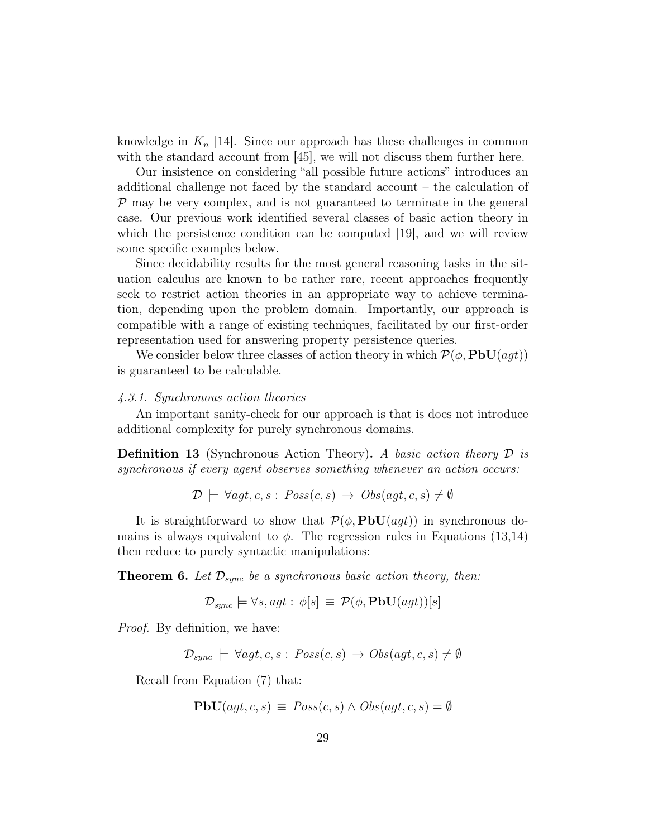knowledge in  $K_n$  [14]. Since our approach has these challenges in common with the standard account from [45], we will not discuss them further here.

Our insistence on considering "all possible future actions" introduces an additional challenge not faced by the standard account – the calculation of  $P$  may be very complex, and is not guaranteed to terminate in the general case. Our previous work identified several classes of basic action theory in which the persistence condition can be computed [19], and we will review some specific examples below.

Since decidability results for the most general reasoning tasks in the situation calculus are known to be rather rare, recent approaches frequently seek to restrict action theories in an appropriate way to achieve termination, depending upon the problem domain. Importantly, our approach is compatible with a range of existing techniques, facilitated by our first-order representation used for answering property persistence queries.

We consider below three classes of action theory in which  $\mathcal{P}(\phi, \mathbf{PbU}(aqt))$ is guaranteed to be calculable.

#### 4.3.1. Synchronous action theories

An important sanity-check for our approach is that is does not introduce additional complexity for purely synchronous domains.

**Definition 13** (Synchronous Action Theory). A basic action theory  $\mathcal{D}$  is synchronous if every agent observes something whenever an action occurs:

$$
\mathcal{D} \models \forall agt, c, s : Poss(c, s) \rightarrow Obs(gt, c, s) \neq \emptyset
$$

It is straightforward to show that  $\mathcal{P}(\phi, \text{PbU}(aqt))$  in synchronous domains is always equivalent to  $\phi$ . The regression rules in Equations (13,14) then reduce to purely syntactic manipulations:

**Theorem 6.** Let  $\mathcal{D}_{sync}$  be a synchronous basic action theory, then:

$$
\mathcal{D}_{sync} \models \forall s, agt : \phi[s] \equiv \mathcal{P}(\phi, \mathbf{PbU}(agt))[s]
$$

Proof. By definition, we have:

 $\mathcal{D}_{sync} \models \forall aqt, c, s : Poss(c, s) \rightarrow Obs(aqt, c, s) \neq \emptyset$ 

Recall from Equation (7) that:

$$
\mathbf{PbU}(agt, c, s) \equiv Poss(c, s) \land Obs(agt, c, s) = \emptyset
$$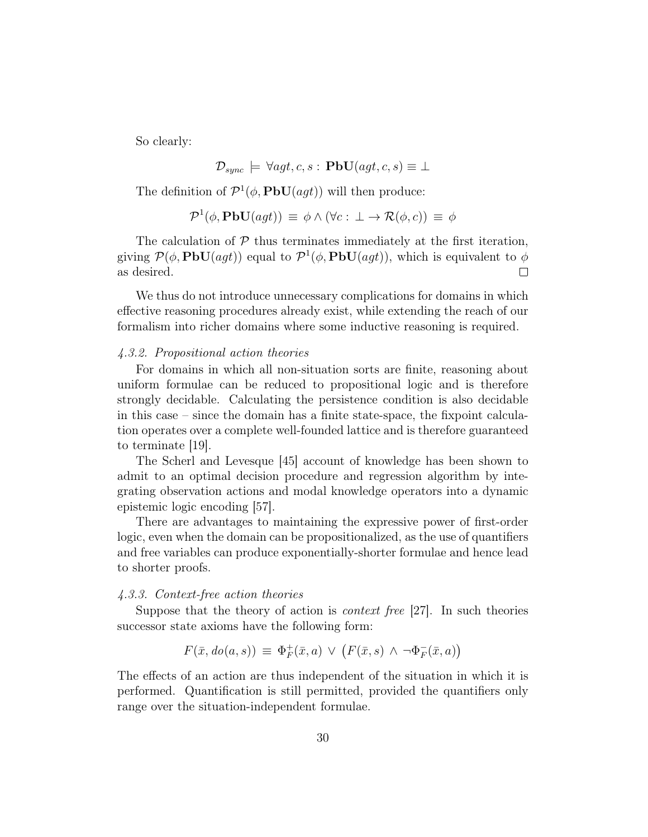So clearly:

$$
\mathcal{D}_{sync} \models \forall agt, c, s : \mathbf{PbU}(agt, c, s) \equiv \bot
$$

The definition of  $\mathcal{P}^1(\phi, \text{PbU}(agt))$  will then produce:

$$
\mathcal{P}^{1}(\phi, \mathbf{PbU}(agt)) \equiv \phi \wedge (\forall c : \bot \to \mathcal{R}(\phi, c)) \equiv \phi
$$

The calculation of  $P$  thus terminates immediately at the first iteration, giving  $\mathcal{P}(\phi, \text{PbU}(agt))$  equal to  $\mathcal{P}^1(\phi, \text{PbU}(agt))$ , which is equivalent to  $\phi$ as desired.  $\Box$ 

We thus do not introduce unnecessary complications for domains in which effective reasoning procedures already exist, while extending the reach of our formalism into richer domains where some inductive reasoning is required.

# 4.3.2. Propositional action theories

For domains in which all non-situation sorts are finite, reasoning about uniform formulae can be reduced to propositional logic and is therefore strongly decidable. Calculating the persistence condition is also decidable in this case – since the domain has a finite state-space, the fixpoint calculation operates over a complete well-founded lattice and is therefore guaranteed to terminate [19].

The Scherl and Levesque [45] account of knowledge has been shown to admit to an optimal decision procedure and regression algorithm by integrating observation actions and modal knowledge operators into a dynamic epistemic logic encoding [57].

There are advantages to maintaining the expressive power of first-order logic, even when the domain can be propositionalized, as the use of quantifiers and free variables can produce exponentially-shorter formulae and hence lead to shorter proofs.

# 4.3.3. Context-free action theories

Suppose that the theory of action is *context free* [27]. In such theories successor state axioms have the following form:

$$
F(\bar{x}, do(a, s)) \equiv \Phi_F^+(\bar{x}, a) \vee (F(\bar{x}, s) \wedge \neg \Phi_F^-(\bar{x}, a))
$$

The effects of an action are thus independent of the situation in which it is performed. Quantification is still permitted, provided the quantifiers only range over the situation-independent formulae.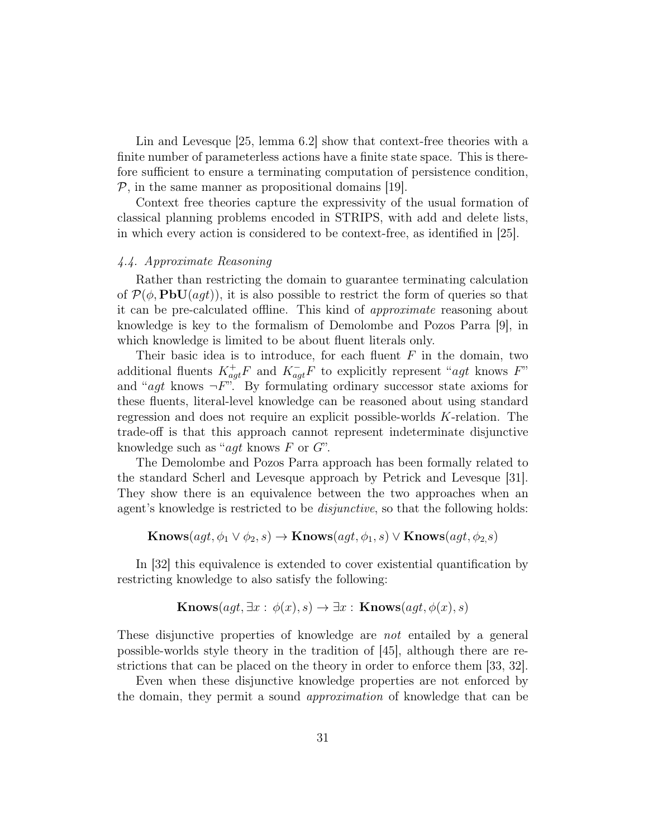Lin and Levesque [25, lemma 6.2] show that context-free theories with a finite number of parameterless actions have a finite state space. This is therefore sufficient to ensure a terminating computation of persistence condition,  $P$ , in the same manner as propositional domains [19].

Context free theories capture the expressivity of the usual formation of classical planning problems encoded in STRIPS, with add and delete lists, in which every action is considered to be context-free, as identified in [25].

# 4.4. Approximate Reasoning

Rather than restricting the domain to guarantee terminating calculation of  $\mathcal{P}(\phi, \text{PbU}(agt))$ , it is also possible to restrict the form of queries so that it can be pre-calculated offline. This kind of approximate reasoning about knowledge is key to the formalism of Demolombe and Pozos Parra [9], in which knowledge is limited to be about fluent literals only.

Their basic idea is to introduce, for each fluent  $F$  in the domain, two additional fluents  $K_{agt}^+F$  and  $K_{agt}^-F$  to explicitly represent "agt knows F" and "*agt* knows  $\neg F$ ". By formulating ordinary successor state axioms for these fluents, literal-level knowledge can be reasoned about using standard regression and does not require an explicit possible-worlds K-relation. The trade-off is that this approach cannot represent indeterminate disjunctive knowledge such as " $agt$  knows  $F$  or  $G$ ".

The Demolombe and Pozos Parra approach has been formally related to the standard Scherl and Levesque approach by Petrick and Levesque [31]. They show there is an equivalence between the two approaches when an agent's knowledge is restricted to be *disjunctive*, so that the following holds:

$$
Knows(agt, \phi_1 \lor \phi_2, s) \rightarrow Knows(agt, \phi_1, s) \lor Knows(agt, \phi_2, s)
$$

In [32] this equivalence is extended to cover existential quantification by restricting knowledge to also satisfy the following:

$$
\mathbf{Knows}(agt, \exists x : \phi(x), s) \rightarrow \exists x : \mathbf{Knows}(agt, \phi(x), s)
$$

These disjunctive properties of knowledge are not entailed by a general possible-worlds style theory in the tradition of [45], although there are restrictions that can be placed on the theory in order to enforce them [33, 32].

Even when these disjunctive knowledge properties are not enforced by the domain, they permit a sound approximation of knowledge that can be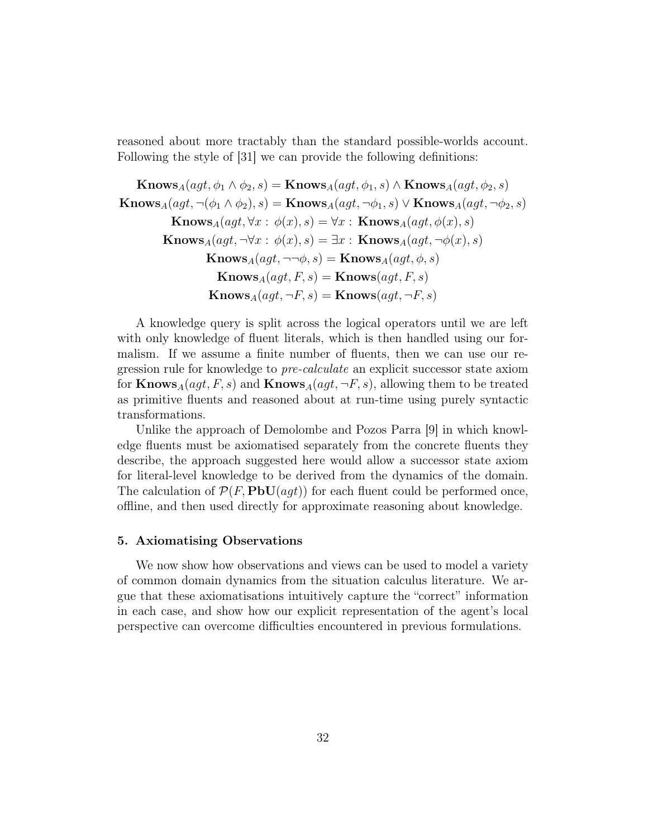reasoned about more tractably than the standard possible-worlds account. Following the style of [31] we can provide the following definitions:

 $\text{Knows}_{A}(agt, \phi_1 \land \phi_2, s) = \text{Knows}_{A}(agt, \phi_1, s) \land \text{Knows}_{A}(agt, \phi_2, s)$  $\text{Knows}_{A}(agt, \neg(\phi_1 \land \phi_2), s) = \text{Knows}_{A}(agt, \neg\phi_1, s) \lor \text{Knows}_{A}(agt, \neg\phi_2, s)$  $\textbf{Knows}_A(qgt, \forall x : \phi(x), s) = \forall x : \textbf{Knows}_A(qgt, \phi(x), s)$  $\text{Knows}_{A}(agt, \neg \forall x : \phi(x), s) = \exists x : \text{Knows}_{A}(agt, \neg \phi(x), s)$  $\text{Knows}_{A}(agt, \neg\neg \phi, s) = \text{Knows}_{A}(agt, \phi, s)$  $\text{Knows}_{A}(agt, F, s) = \text{Knows}(agt, F, s)$  $\textbf{Knows}_A(agt, \neg F, s) = \textbf{Knows}(agt, \neg F, s)$ 

A knowledge query is split across the logical operators until we are left with only knowledge of fluent literals, which is then handled using our formalism. If we assume a finite number of fluents, then we can use our regression rule for knowledge to pre-calculate an explicit successor state axiom for  $\text{Knows}_A(qgt, F, s)$  and  $\text{Knows}_A(qgt, \neg F, s)$ , allowing them to be treated as primitive fluents and reasoned about at run-time using purely syntactic transformations.

Unlike the approach of Demolombe and Pozos Parra [9] in which knowledge fluents must be axiomatised separately from the concrete fluents they describe, the approach suggested here would allow a successor state axiom for literal-level knowledge to be derived from the dynamics of the domain. The calculation of  $\mathcal{P}(F, \text{PbU}(agt))$  for each fluent could be performed once, offline, and then used directly for approximate reasoning about knowledge.

# 5. Axiomatising Observations

We now show how observations and views can be used to model a variety of common domain dynamics from the situation calculus literature. We argue that these axiomatisations intuitively capture the "correct" information in each case, and show how our explicit representation of the agent's local perspective can overcome difficulties encountered in previous formulations.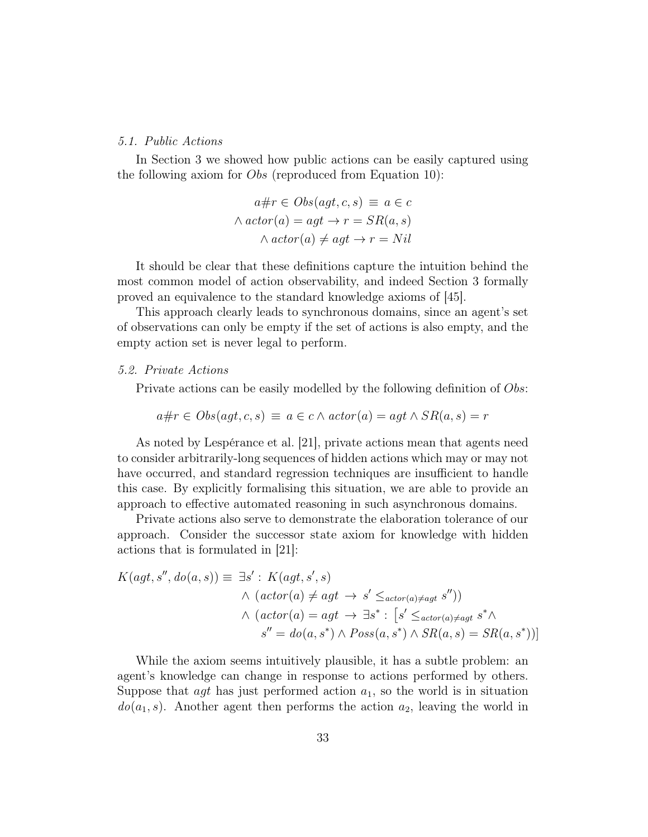## 5.1. Public Actions

In Section 3 we showed how public actions can be easily captured using the following axiom for Obs (reproduced from Equation 10):

$$
a \# r \in Obs(agt, c, s) \equiv a \in c
$$
  
 
$$
\land actor(a) = agt \rightarrow r = SR(a, s)
$$
  
 
$$
\land actor(a) \neq agt \rightarrow r = Nil
$$

It should be clear that these definitions capture the intuition behind the most common model of action observability, and indeed Section 3 formally proved an equivalence to the standard knowledge axioms of [45].

This approach clearly leads to synchronous domains, since an agent's set of observations can only be empty if the set of actions is also empty, and the empty action set is never legal to perform.

#### 5.2. Private Actions

Private actions can be easily modelled by the following definition of *Obs*:

$$
a \# r \in Obs(agt, c, s) \equiv a \in c \land actor(a) = agt \land SR(a, s) = r
$$

As noted by Lespérance et al. [21], private actions mean that agents need to consider arbitrarily-long sequences of hidden actions which may or may not have occurred, and standard regression techniques are insufficient to handle this case. By explicitly formalising this situation, we are able to provide an approach to effective automated reasoning in such asynchronous domains.

Private actions also serve to demonstrate the elaboration tolerance of our approach. Consider the successor state axiom for knowledge with hidden actions that is formulated in [21]:

$$
K(agt, s'', do(a, s)) \equiv \exists s' : K(agt, s', s)
$$
  

$$
\wedge (actor(a) \neq agt \rightarrow s' \leq_{actor(a) \neq agt} s''))
$$
  

$$
\wedge (actor(a) = agt \rightarrow \exists s^* : [s' \leq_{actor(a) \neq agt} s^* \wedge
$$
  

$$
s'' = do(a, s^*) \wedge Poss(a, s^*) \wedge SR(a, s) = SR(a, s^*))]
$$

While the axiom seems intuitively plausible, it has a subtle problem: an agent's knowledge can change in response to actions performed by others. Suppose that  $agt$  has just performed action  $a_1$ , so the world is in situation  $do(a_1, s)$ . Another agent then performs the action  $a_2$ , leaving the world in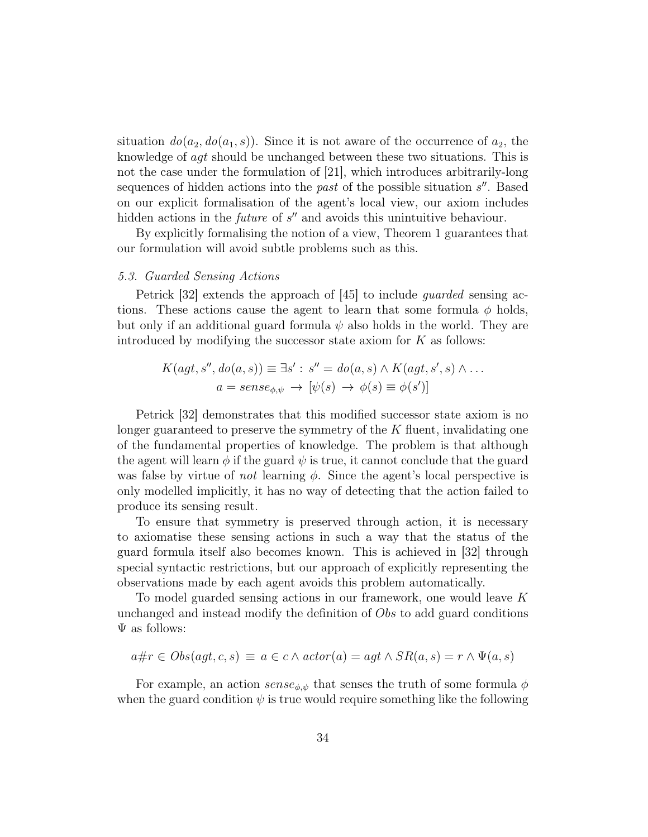situation  $do(a_2, do(a_1, s))$ . Since it is not aware of the occurrence of  $a_2$ , the knowledge of agt should be unchanged between these two situations. This is not the case under the formulation of [21], which introduces arbitrarily-long sequences of hidden actions into the *past* of the possible situation  $s''$ . Based on our explicit formalisation of the agent's local view, our axiom includes hidden actions in the *future* of  $s''$  and avoids this unintuitive behaviour.

By explicitly formalising the notion of a view, Theorem 1 guarantees that our formulation will avoid subtle problems such as this.

# 5.3. Guarded Sensing Actions

Petrick [32] extends the approach of [45] to include guarded sensing actions. These actions cause the agent to learn that some formula  $\phi$  holds, but only if an additional guard formula  $\psi$  also holds in the world. They are introduced by modifying the successor state axiom for  $K$  as follows:

$$
K(agt, s'', do(a, s)) \equiv \exists s' : s'' = do(a, s) \land K(agt, s', s) \land \dots
$$

$$
a = sense_{\phi, \psi} \rightarrow [\psi(s) \rightarrow \phi(s) \equiv \phi(s')]
$$

Petrick [32] demonstrates that this modified successor state axiom is no longer guaranteed to preserve the symmetry of the  $K$  fluent, invalidating one of the fundamental properties of knowledge. The problem is that although the agent will learn  $\phi$  if the guard  $\psi$  is true, it cannot conclude that the guard was false by virtue of *not* learning  $\phi$ . Since the agent's local perspective is only modelled implicitly, it has no way of detecting that the action failed to produce its sensing result.

To ensure that symmetry is preserved through action, it is necessary to axiomatise these sensing actions in such a way that the status of the guard formula itself also becomes known. This is achieved in [32] through special syntactic restrictions, but our approach of explicitly representing the observations made by each agent avoids this problem automatically.

To model guarded sensing actions in our framework, one would leave K unchanged and instead modify the definition of Obs to add guard conditions  $\Psi$  as follows:

$$
a \# r \in Obs(agt, c, s) \equiv a \in c \land actor(a) = agt \land SR(a, s) = r \land \Psi(a, s)
$$

For example, an action  $\textit{sense}_{\phi,\psi}$  that senses the truth of some formula  $\phi$ when the guard condition  $\psi$  is true would require something like the following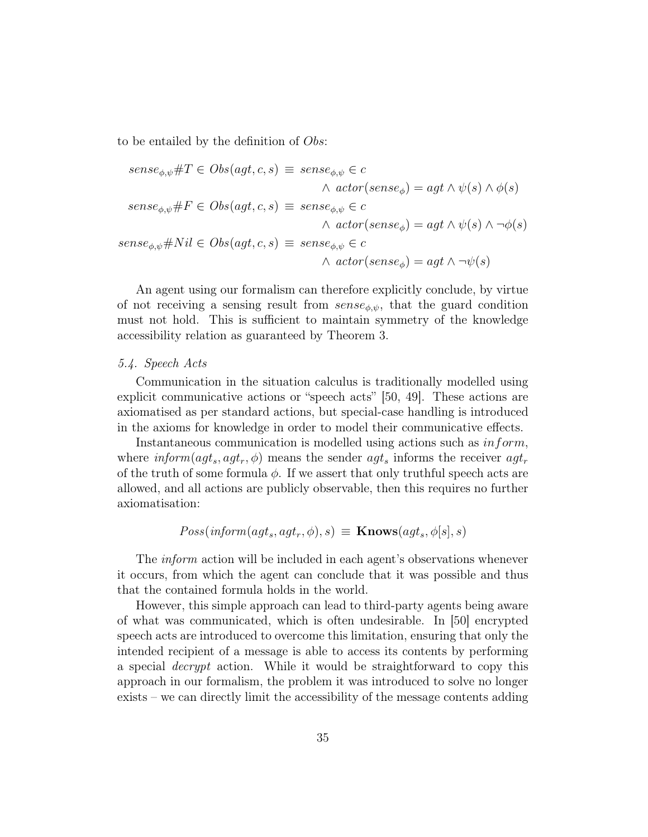to be entailed by the definition of Obs:

$$
sense_{\phi,\psi} \# T \in Obs(agt, c, s) \equiv sense_{\phi,\psi} \in c
$$
  

$$
\wedge actor(sense_{\phi}) = agt \wedge \psi(s) \wedge \phi(s)
$$
  

$$
sense_{\phi,\psi} \# F \in Obs(agt, c, s) \equiv sense_{\phi,\psi} \in c
$$
  

$$
\wedge actor(sense_{\phi}) = agt \wedge \psi(s) \wedge \neg \phi(s)
$$
  

$$
sense_{\phi,\psi} \# Nil \in Obs(agt, c, s) \equiv sense_{\phi,\psi} \in c
$$
  

$$
\wedge actor(sense_{\phi}) = agt \wedge \neg \psi(s)
$$

An agent using our formalism can therefore explicitly conclude, by virtue of not receiving a sensing result from  $\textit{sense}_{\phi,\psi}$ , that the guard condition must not hold. This is sufficient to maintain symmetry of the knowledge accessibility relation as guaranteed by Theorem 3.

#### 5.4. Speech Acts

Communication in the situation calculus is traditionally modelled using explicit communicative actions or "speech acts" [50, 49]. These actions are axiomatised as per standard actions, but special-case handling is introduced in the axioms for knowledge in order to model their communicative effects.

Instantaneous communication is modelled using actions such as inform, where  $\text{inform}(agt_s, agt_r, \phi)$  means the sender  $agt_s$  informs the receiver  $agt_r$ of the truth of some formula  $\phi$ . If we assert that only truthful speech acts are allowed, and all actions are publicly observable, then this requires no further axiomatisation:

$$
Poss(inform (agt_s,agt_r, \phi), s) \equiv
$$
**Knows** $(agt_s, \phi[s], s)$ 

The *inform* action will be included in each agent's observations whenever it occurs, from which the agent can conclude that it was possible and thus that the contained formula holds in the world.

However, this simple approach can lead to third-party agents being aware of what was communicated, which is often undesirable. In [50] encrypted speech acts are introduced to overcome this limitation, ensuring that only the intended recipient of a message is able to access its contents by performing a special decrypt action. While it would be straightforward to copy this approach in our formalism, the problem it was introduced to solve no longer exists – we can directly limit the accessibility of the message contents adding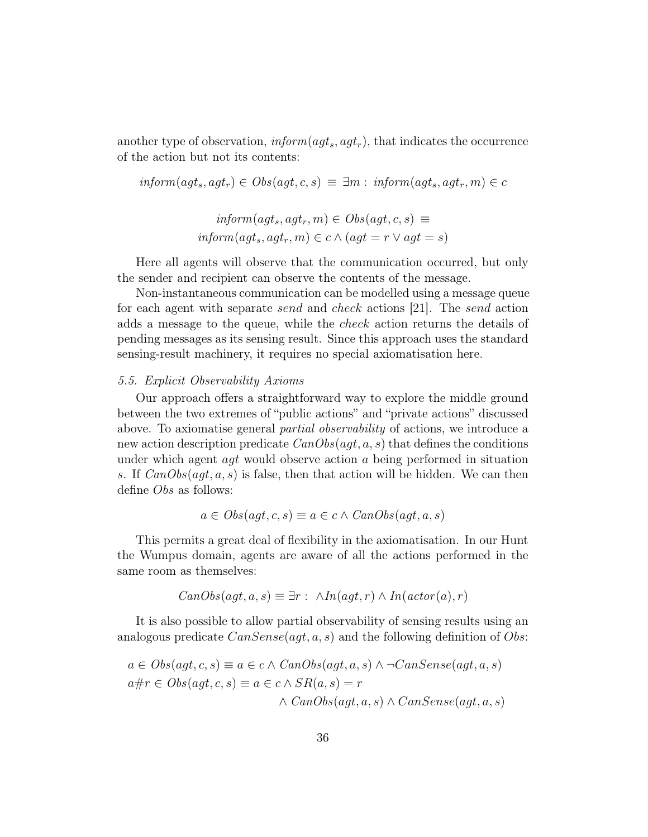another type of observation,  $\text{inform}(agt_s, agt_r)$ , that indicates the occurrence of the action but not its contents:

$$
inform(agt_s,agt_r) \in Obs(agt, c, s) \equiv \exists m: inform(agt_s,agt_r, m) \in c
$$

$$
inform(agt_s,agt_r, m) \in Obs(agt, c, s) \equiv
$$
  

$$
inform(agt_s,agt_r, m) \in c \land (agt = r \lor agt = s)
$$

Here all agents will observe that the communication occurred, but only the sender and recipient can observe the contents of the message.

Non-instantaneous communication can be modelled using a message queue for each agent with separate send and check actions [21]. The send action adds a message to the queue, while the check action returns the details of pending messages as its sensing result. Since this approach uses the standard sensing-result machinery, it requires no special axiomatisation here.

## 5.5. Explicit Observability Axioms

Our approach offers a straightforward way to explore the middle ground between the two extremes of "public actions" and "private actions" discussed above. To axiomatise general partial observability of actions, we introduce a new action description predicate  $CanObs(aqt, a, s)$  that defines the conditions under which agent  $aqt$  would observe action a being performed in situation s. If  $CanObs(agt, a, s)$  is false, then that action will be hidden. We can then define Obs as follows:

$$
a \in Obs(agt, c, s) \equiv a \in c \land CanObs(agt, a, s)
$$

This permits a great deal of flexibility in the axiomatisation. In our Hunt the Wumpus domain, agents are aware of all the actions performed in the same room as themselves:

$$
CanObs(agt, a, s) \equiv \exists r : \land In(agt, r) \land In(actor(a), r)
$$

It is also possible to allow partial observability of sensing results using an analogous predicate  $CanSense(agt, a, s)$  and the following definition of Obs:

$$
a \in Obs(agt, c, s) \equiv a \in c \land CanObs(agt, a, s) \land \neg CanSense(agt, a, s)
$$

$$
a \# r \in Obs(agt, c, s) \equiv a \in c \land SR(a, s) = r
$$

$$
\land CanObs(agt, a, s) \land CanSense(agt, a, s)
$$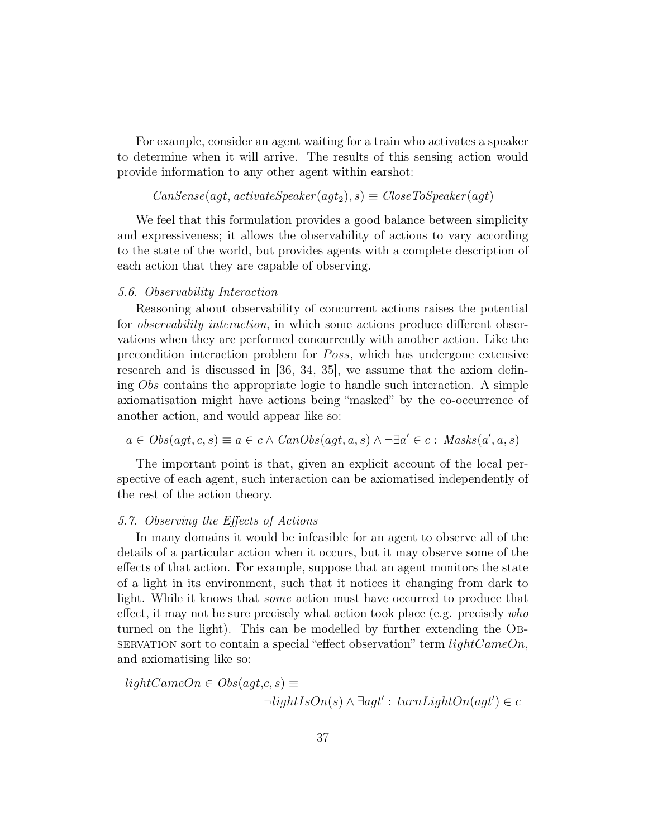For example, consider an agent waiting for a train who activates a speaker to determine when it will arrive. The results of this sensing action would provide information to any other agent within earshot:

 $CanSense(agt, activate Speaker(agt_2), s) \equiv CloseToSpeaker(agt)$ 

We feel that this formulation provides a good balance between simplicity and expressiveness; it allows the observability of actions to vary according to the state of the world, but provides agents with a complete description of each action that they are capable of observing.

## 5.6. Observability Interaction

Reasoning about observability of concurrent actions raises the potential for observability interaction, in which some actions produce different observations when they are performed concurrently with another action. Like the precondition interaction problem for *Poss*, which has undergone extensive research and is discussed in [36, 34, 35], we assume that the axiom defining Obs contains the appropriate logic to handle such interaction. A simple axiomatisation might have actions being "masked" by the co-occurrence of another action, and would appear like so:

 $a \in Obs(agt, c, s) \equiv a \in c \land CanObs(agt, a, s) \land \neg \exists a' \in c : \text{Mass}(a', a, s)$ 

The important point is that, given an explicit account of the local perspective of each agent, such interaction can be axiomatised independently of the rest of the action theory.

# 5.7. Observing the Effects of Actions

In many domains it would be infeasible for an agent to observe all of the details of a particular action when it occurs, but it may observe some of the effects of that action. For example, suppose that an agent monitors the state of a light in its environment, such that it notices it changing from dark to light. While it knows that some action must have occurred to produce that effect, it may not be sure precisely what action took place (e.g. precisely who turned on the light). This can be modelled by further extending the Ob-SERVATION sort to contain a special "effect observation" term  $lightCam <sub>0</sub>$ and axiomatising like so:

 $lightCameOn \in Obs(aqt,c,s) \equiv$ 

 $\neg lightIsOn(s) \land \exists agt' : turnLightOn(agt') \in c$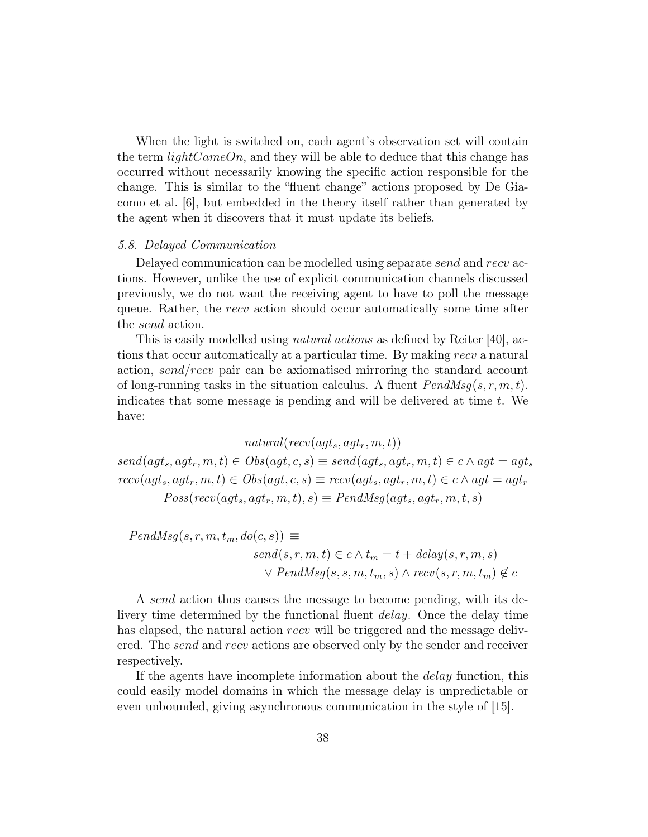When the light is switched on, each agent's observation set will contain the term  $lightCameOn$ , and they will be able to deduce that this change has occurred without necessarily knowing the specific action responsible for the change. This is similar to the "fluent change" actions proposed by De Giacomo et al. [6], but embedded in the theory itself rather than generated by the agent when it discovers that it must update its beliefs.

#### 5.8. Delayed Communication

Delayed communication can be modelled using separate send and recv actions. However, unlike the use of explicit communication channels discussed previously, we do not want the receiving agent to have to poll the message queue. Rather, the recv action should occur automatically some time after the send action.

This is easily modelled using *natural actions* as defined by Reiter [40], actions that occur automatically at a particular time. By making recv a natural action, send/recv pair can be axiomatised mirroring the standard account of long-running tasks in the situation calculus. A fluent  $PendMsg(s, r, m, t)$ . indicates that some message is pending and will be delivered at time  $t$ . We have:

 $natural(recv(aqt_s, aqt_r, m, t))$ 

 $send(agt_s,agt_r, m, t) \in Obs(agt, c, s) \equiv send(agt_s,agt_r, m, t) \in c \land agt = agt_s$  $rccv(agt_s, agt_r, m, t) \in Obs(agt, c, s) \equiv recv(agt_s, agt_r, m, t) \in c \land agt = agt_r$  $Poss(recv(agt_s, agt_r, m, t), s) \equiv PendMsg(agt_s, agt_r, m, t, s)$ 

 $PendMsg(s, r, m, t_m, do(c, s)) \equiv$  $send(s, r, m, t) \in c \land t_m = t + delay(s, r, m, s)$  $\vee$  PendMsg(s, s, m,  $t_m$ , s)  $\wedge$  recv(s, r, m,  $t_m$ )  $\notin c$ 

A send action thus causes the message to become pending, with its delivery time determined by the functional fluent *delay*. Once the delay time has elapsed, the natural action recv will be triggered and the message delivered. The *send* and *recv* actions are observed only by the sender and receiver respectively.

If the agents have incomplete information about the delay function, this could easily model domains in which the message delay is unpredictable or even unbounded, giving asynchronous communication in the style of [15].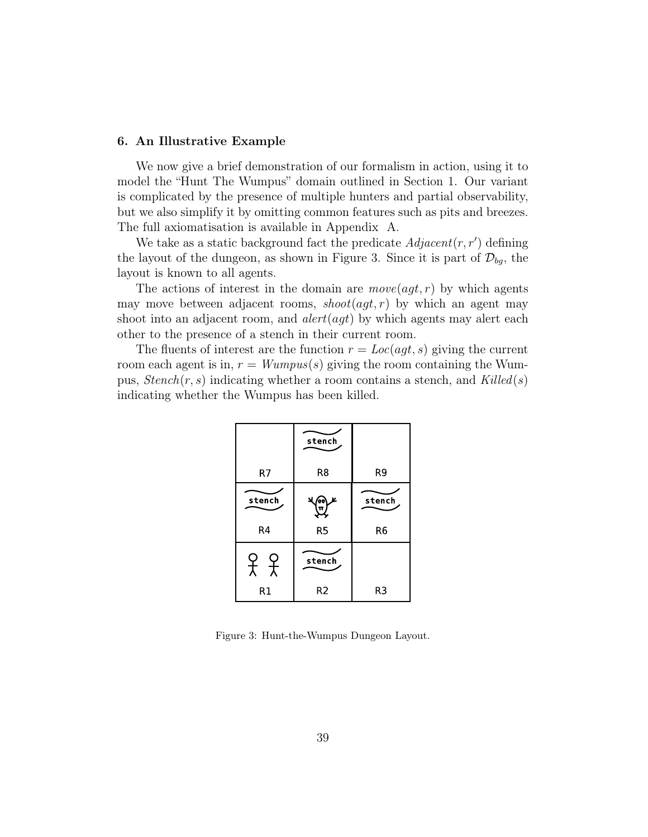## 6. An Illustrative Example

We now give a brief demonstration of our formalism in action, using it to model the "Hunt The Wumpus" domain outlined in Section 1. Our variant is complicated by the presence of multiple hunters and partial observability, but we also simplify it by omitting common features such as pits and breezes. The full axiomatisation is available in Appendix A.

We take as a static background fact the predicate  $Adjacent(r, r')$  defining the layout of the dungeon, as shown in Figure 3. Since it is part of  $\mathcal{D}_{bq}$ , the layout is known to all agents.

The actions of interest in the domain are  $move(agt, r)$  by which agents may move between adjacent rooms,  $\textit{shoot}(\textit{agt}, r)$  by which an agent may shoot into an adjacent room, and  $\det(\alpha \cdot dt)$  by which agents may alert each other to the presence of a stench in their current room.

The fluents of interest are the function  $r = Loc(agt, s)$  giving the current room each agent is in,  $r = Wumpus(s)$  giving the room containing the Wumpus,  $Stench(r, s)$  indicating whether a room contains a stench, and Killed(s) indicating whether the Wumpus has been killed.

|             | stench         |                |
|-------------|----------------|----------------|
| R7          | R8             | R <sub>9</sub> |
| stench      | K<br>o,<br>П   | stench         |
| R4          | R5             | R <sub>6</sub> |
| 오<br>大<br>Y | stench         |                |
| R1          | R <sub>2</sub> | R <sub>3</sub> |

Figure 3: Hunt-the-Wumpus Dungeon Layout.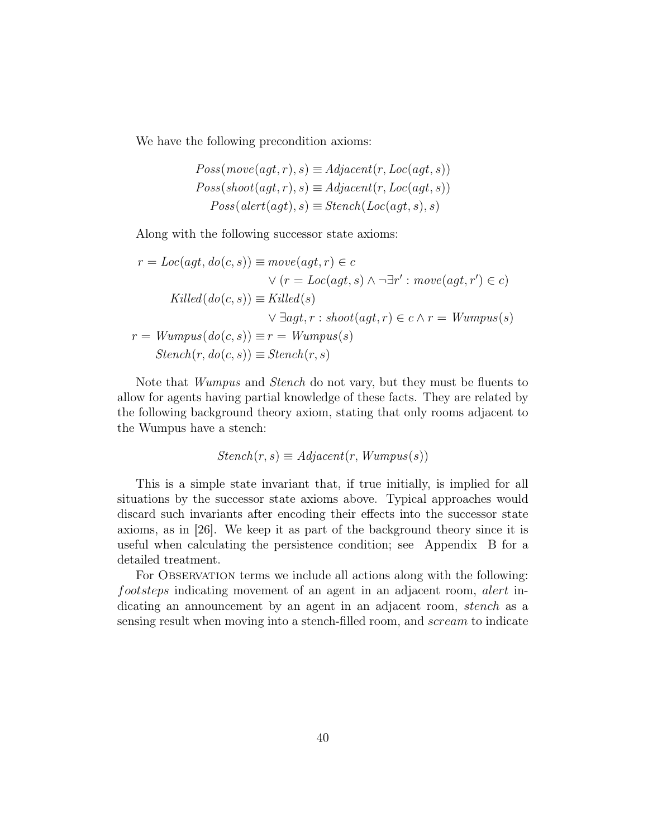We have the following precondition axioms:

$$
Poss(move(agt, r), s) \equiv Adjacent(r, Loc(agt, s))
$$
  
\n
$$
Poss(shoot(agt, r), s) \equiv Adjacent(r, Loc(agt, s))
$$
  
\n
$$
Poss(alert(agt), s) \equiv Stench(Loc(agt, s), s)
$$

Along with the following successor state axioms:

$$
r = Loc(agt, do(c, s)) \equiv move(agt, r) \in c
$$
  
\n
$$
\lor (r = Loc(agt, s) \land \neg \exists r' : move(agt, r') \in c)
$$
  
\n
$$
Killed(do(c, s)) \equiv Killed(s)
$$
  
\n
$$
\lor \exists agt, r : shoot(agt, r) \in c \land r = Wumpus(s)
$$
  
\n
$$
r = Wumpus(do(c, s)) \equiv r = Wumpus(s)
$$
  
\n
$$
Stench(r, do(c, s)) \equiv Stench(r, s)
$$

Note that Wumpus and Stench do not vary, but they must be fluents to allow for agents having partial knowledge of these facts. They are related by the following background theory axiom, stating that only rooms adjacent to the Wumpus have a stench:

$$
Stench(r, s) \equiv Adjacent(r, Wumpus(s))
$$

This is a simple state invariant that, if true initially, is implied for all situations by the successor state axioms above. Typical approaches would discard such invariants after encoding their effects into the successor state axioms, as in [26]. We keep it as part of the background theory since it is useful when calculating the persistence condition; see Appendix B for a detailed treatment.

For OBSERVATION terms we include all actions along with the following: footsteps indicating movement of an agent in an adjacent room, alert indicating an announcement by an agent in an adjacent room, *stench* as a sensing result when moving into a stench-filled room, and *scream* to indicate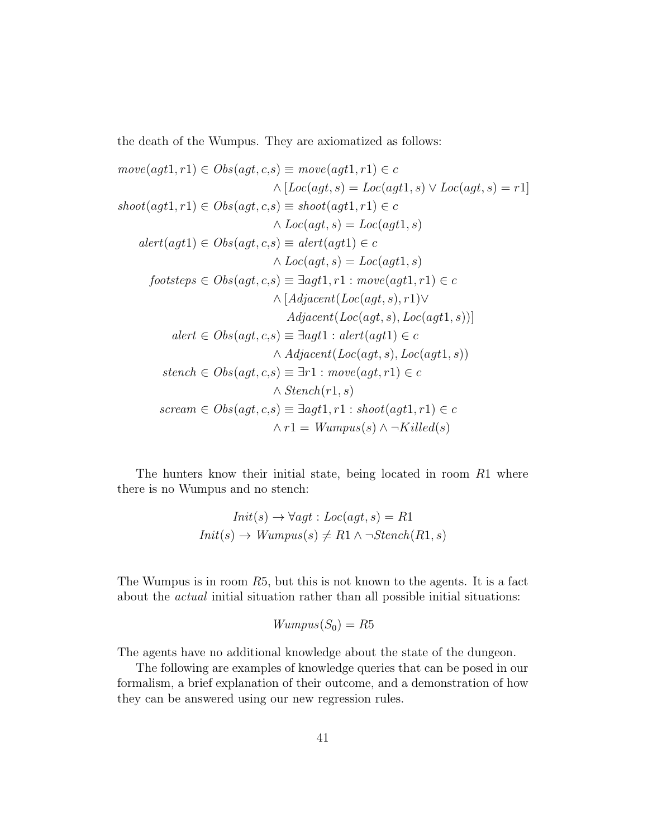the death of the Wumpus. They are axiomatized as follows:

$$
move(agt1, r1) \in Obs(agt, c, s) \equiv move(agt1, r1) \in c
$$

$$
\land [Loc(agt, s) = Loc(agt1, s) \lor Loc(agt, s) = r1]
$$

$$
shot(agt1, r1) \in Obs(agt, c, s) \equiv shoot(agt1, r1) \in c
$$

$$
\land Loc(agt, s) = Loc(agt1, s)
$$

$$
alert(agt1) \in Obs(agt, c, s) \equiv alert(agt1) \in c
$$

$$
\land Loc(agt, s) = Loc(agt1, s)
$$

$$
footsteps \in Obs(agt, c, s) \equiv \exists agt1, r1 : move(agt1, r1) \in c
$$

$$
\land [Adjacent(Loc(agt, s), r1) \lor
$$

$$
Adjacent(Loc(agt, s), Loc(agt1, s))]
$$

$$
alert \in Obs(agt, c, s) \equiv \exists agt1 : alert(agt1) \in c
$$

$$
\land Adjacent(Loc(agt, s), Loc(agt1, s))
$$

$$
stench \in Obs(agt, c, s) \equiv \exists r1 : move(agt, r1) \in c
$$

$$
\land Stench(r1, s)
$$

$$
screen \in Obs(agt, c, s) \equiv \exists agt1, r1 : shoot(agt1, r1) \in c
$$

$$
\land r1 = Wumpus(s) \land \neg Killed(s)
$$

The hunters know their initial state, being located in room R1 where there is no Wumpus and no stench:

$$
Init(s) \rightarrow \forall agt : Loc(agt, s) = R1
$$
  

$$
Init(s) \rightarrow Wumpus(s) \neq R1 \land \neg Stench(R1, s)
$$

The Wumpus is in room R5, but this is not known to the agents. It is a fact about the actual initial situation rather than all possible initial situations:

$$
Wumpus(S_0)=R5
$$

The agents have no additional knowledge about the state of the dungeon.

The following are examples of knowledge queries that can be posed in our formalism, a brief explanation of their outcome, and a demonstration of how they can be answered using our new regression rules.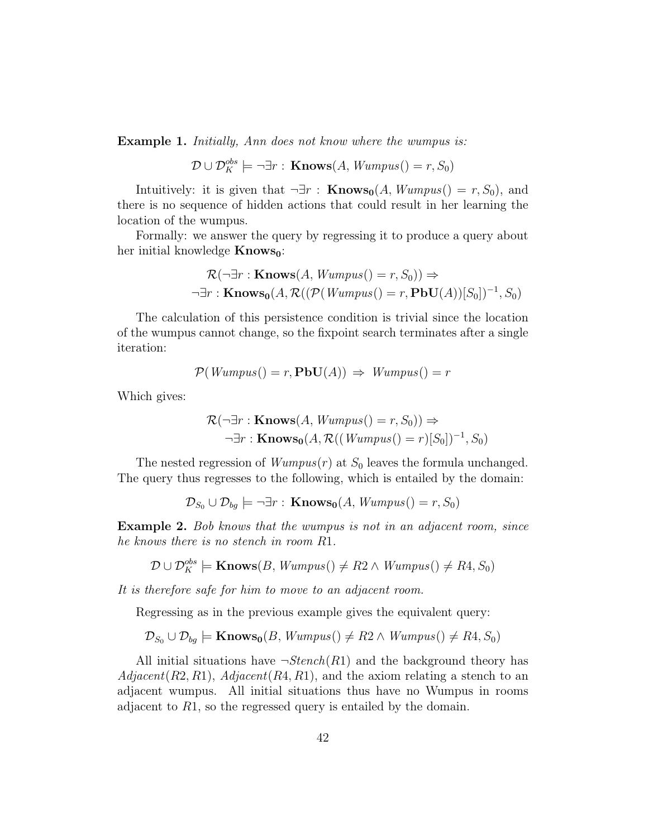**Example 1.** Initially, Ann does not know where the wumpus is:

 $\mathcal{D} \cup \mathcal{D}_K^{obs} \models \neg \exists r : \textbf{Knows}(A, Wumpus() = r, S_0)$ 

Intuitively: it is given that  $\neg \exists r : \textbf{Knows}_{0}(A, Wumpus) = r, S_{0}),$  and there is no sequence of hidden actions that could result in her learning the location of the wumpus.

Formally: we answer the query by regressing it to produce a query about her initial knowledge  $Knows_0$ :

$$
\mathcal{R}(\neg \exists r : \mathbf{Knows}(A, Wumpus() = r, S_0)) \Rightarrow
$$
  

$$
\neg \exists r : \mathbf{Knows_0}(A, \mathcal{R}((\mathcal{P}(Wumpus() = r, \mathbf{PbU}(A))[S_0])^{-1}, S_0))
$$

The calculation of this persistence condition is trivial since the location of the wumpus cannot change, so the fixpoint search terminates after a single iteration:

$$
\mathcal{P}(Wumpus() = r, \mathbf{PbU}(A)) \Rightarrow Wumpus() = r
$$

Which gives:

$$
\mathcal{R}(\neg \exists r : \mathbf{Knows}(A, Wumpus() = r, S_0)) \Rightarrow
$$
  

$$
\neg \exists r : \mathbf{Knows_0}(A, \mathcal{R}((Wumpus() = r)[S_0])^{-1}, S_0)
$$

The nested regression of  $Wumpus(r)$  at  $S_0$  leaves the formula unchanged. The query thus regresses to the following, which is entailed by the domain:

$$
\mathcal{D}_{S_0} \cup \mathcal{D}_{bg} \models \neg \exists r : \mathbf{Knows_0}(A, Wumpus() = r, S_0)
$$

**Example 2.** Bob knows that the wumpus is not in an adjacent room, since he knows there is no stench in room R1.

 $D \cup \mathcal{D}_K^{obs} \models \mathbf{Knows}(B, Wumpus() \neq R2 \land Wumpus() \neq R4, S_0)$ 

It is therefore safe for him to move to an adjacent room.

Regressing as in the previous example gives the equivalent query:

 $\mathcal{D}_{S_0} \cup \mathcal{D}_{bg} \models$  Knows<sub>0</sub> $(B, Wumpus() \neq R2 \land Wumpus() \neq R4, S_0)$ 

All initial situations have  $\neg Stench(R1)$  and the background theory has  $Adjacent(R2, R1), Adjacent(R4, R1),$  and the axiom relating a stench to an adjacent wumpus. All initial situations thus have no Wumpus in rooms adjacent to R1, so the regressed query is entailed by the domain.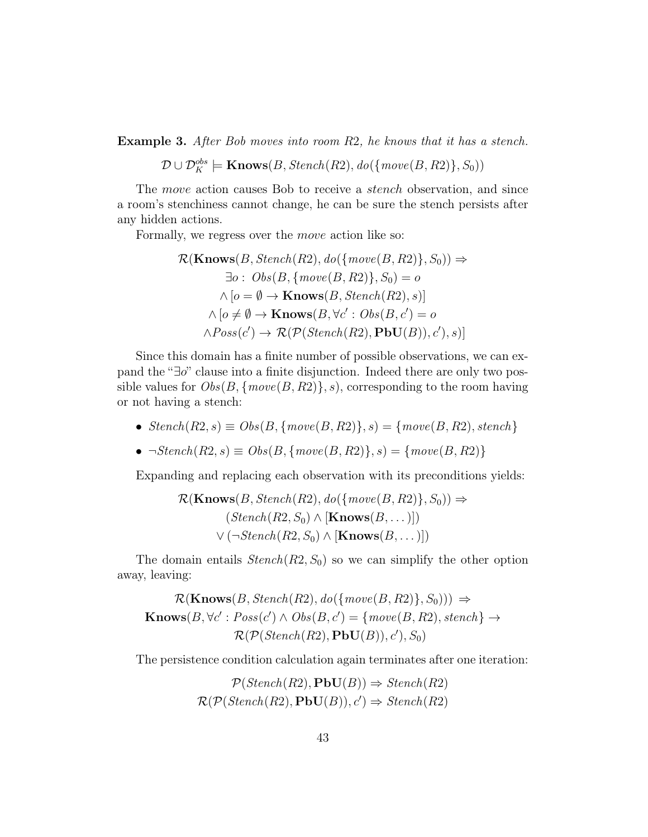Example 3. After Bob moves into room R2, he knows that it has a stench.

 $\mathcal{D} \cup \mathcal{D}^{obs}_K \models$  Knows $(B, Stench(R2), do(\{move(B, R2)\}, S_0))$ 

The *move* action causes Bob to receive a *stench* observation, and since a room's stenchiness cannot change, he can be sure the stench persists after any hidden actions.

Formally, we regress over the move action like so:

$$
\mathcal{R}(\mathbf{Knows}(B, Stench(R2), do(\{move(B, R2)\}, S_0)) \Rightarrow
$$
  
\n
$$
\exists o: Obs(B, \{move(B, R2)\}, S_0) = o
$$
  
\n
$$
\land [o = \emptyset \rightarrow \mathbf{Knows}(B, Stench(R2), s)]
$$
  
\n
$$
\land [o \neq \emptyset \rightarrow \mathbf{Knows}(B, \forall c': Obs(B, c') = o
$$
  
\n
$$
\land Poss(c') \rightarrow \mathcal{R}(\mathcal{P}(Stench(R2), \mathbf{PbU}(B)), c'), s)]
$$

Since this domain has a finite number of possible observations, we can expand the "∃o" clause into a finite disjunction. Indeed there are only two possible values for  $Obs(B, \{move(B, R2)\}, s)$ , corresponding to the room having or not having a stench:

- $Stench(R2, s) \equiv Obs(B, \{move(B, R2)\}, s) = \{move(B, R2), stench\}$
- $\neg Stench(R2, s) \equiv Obs(B, \{move(B, R2)\}, s) = \{move(B, R2)\}\$

Expanding and replacing each observation with its preconditions yields:

$$
\mathcal{R}(\mathbf{Knows}(B, Stench(R2), do(\{move(B, R2)\}, S_0)) \Rightarrow (Stench(R2, S_0) \land [\mathbf{Knows}(B, \dots)])
$$

$$
\lor (\neg Stench(R2, S_0) \land [\mathbf{Knows}(B, \dots)])
$$

The domain entails  $Stench(R2, S_0)$  so we can simplify the other option away, leaving:

$$
\mathcal{R}(\mathbf{Knows}(B, Stench(R2), do(\{move(B, R2)\}, S_0))) \Rightarrow
$$
  
Knows $(B, \forall c': Poss(c') \land Obs(B, c') = \{move(B, R2), stench\} \rightarrow$   
 $\mathcal{R}(\mathcal{P}(Stench(R2), PbU(B)), c'), S_0)$ 

The persistence condition calculation again terminates after one iteration:

$$
\mathcal{P}(Stench(R2), \text{PbU}(B)) \Rightarrow Stench(R2)
$$
  

$$
\mathcal{R}(\mathcal{P}(Stench(R2), \text{PbU}(B)), c') \Rightarrow Stench(R2)
$$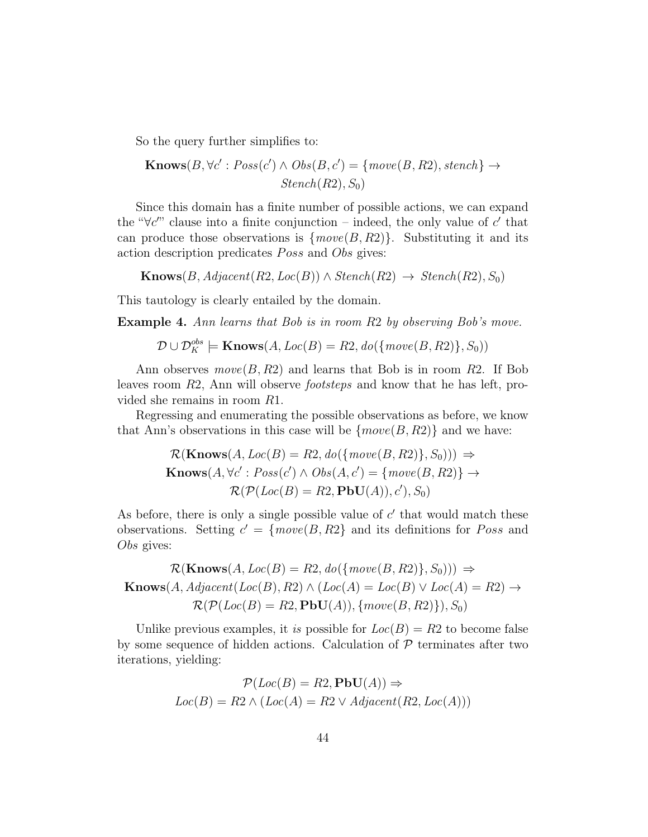So the query further simplifies to:

$$
Knows(B, \forall c': Poss(c') \land Obs(B, c') = \{move(B, R2), stench\} \rightarrow
$$
  
Stench(R2), S<sub>0</sub>)

Since this domain has a finite number of possible actions, we can expand the " $\forall c''$  clause into a finite conjunction – indeed, the only value of c' that can produce those observations is  ${move(B, R2)}$ . Substituting it and its action description predicates *Poss* and *Obs* gives:

 $\textbf{Knows}(B, Adjacent(R2, Loc(B)) \wedge Stench(R2) \rightarrow Stench(R2), S_0)$ 

This tautology is clearly entailed by the domain.

**Example 4.** Ann learns that Bob is in room R2 by observing Bob's move.

 $\mathcal{D} \cup \mathcal{D}^{obs}_K \models$  Knows $(A, Loc(B) = R2, do(\{move(B, R2)\}, S_0))$ 

Ann observes  $move(B, R2)$  and learns that Bob is in room R2. If Bob leaves room R2, Ann will observe footsteps and know that he has left, provided she remains in room R1.

Regressing and enumerating the possible observations as before, we know that Ann's observations in this case will be  $\{move(B, R2)\}$  and we have:

$$
\mathcal{R}(\mathbf{Knows}(A, Loc(B) = R2, do(\{move(B, R2)\}, S_0))) \Rightarrow \mathbf{Knows}(A, \forall c': Poss(c') \land Obs(A, c') = \{move(B, R2)\} \rightarrow \mathcal{R}(\mathcal{P}(Loc(B) = R2, \mathbf{PbU}(A)), c'), S_0)
$$

As before, there is only a single possible value of  $c'$  that would match these observations. Setting  $c' = \{move(B, R2\}$  and its definitions for *Poss* and Obs gives:

 $\mathcal{R}(\mathbf{Knows}(A, Loc(B) = R2, do(\{move(B, R2)\}, S_0))) \Rightarrow$  $\text{Knows}(A, Adjacent(Loc(B), R2) \wedge (Loc(A) = Loc(B) \vee Loc(A) = R2) \rightarrow$  $\mathcal{R}(\mathcal{P}(Loc(B) = R2, \mathbf{PbU}(A)), \{move(B, R2)\}), S_0)$ 

Unlike previous examples, it is possible for  $Loc(B) = R2$  to become false by some sequence of hidden actions. Calculation of  $P$  terminates after two iterations, yielding:

$$
\mathcal{P}(Loc(B) = R2, \mathbf{PbU}(A)) \Rightarrow
$$

$$
Loc(B) = R2 \land (Loc(A) = R2 \lor Adjacent(R2, Loc(A)))
$$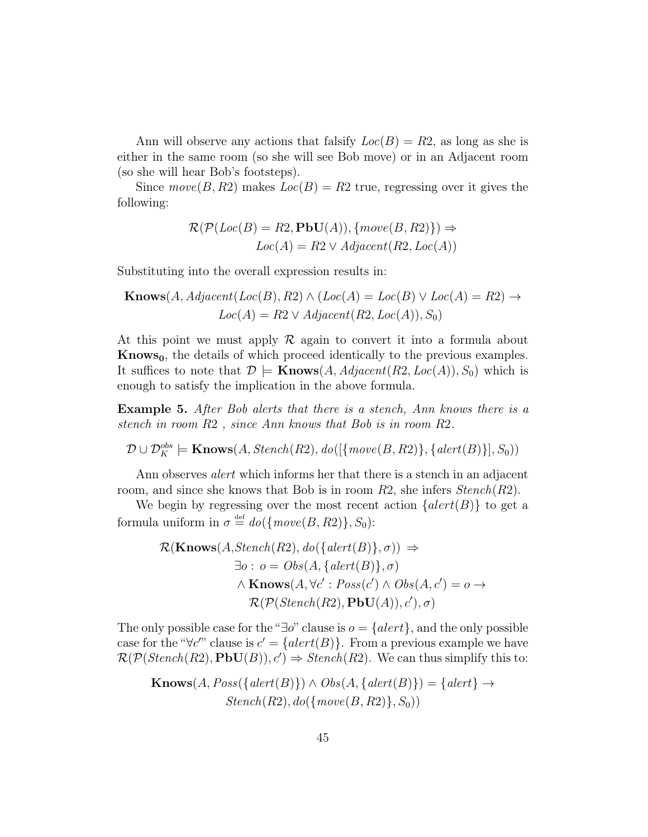Ann will observe any actions that falsify  $Loc(B) = R2$ , as long as she is either in the same room (so she will see Bob move) or in an Adjacent room (so she will hear Bob's footsteps).

Since  $move(B, R2)$  makes  $Loc(B) = R2$  true, regressing over it gives the following:

$$
\mathcal{R}(\mathcal{P}(Loc(B) = R2, \mathbf{PbU}(A)), \{move(B, R2)\}) \Rightarrow Loc(A) = R2 \lor Adjacent(R2, Loc(A))
$$

Substituting into the overall expression results in:

$$
Knows(A, Adjacent(Loc(B), R2) \land (Loc(A) = Loc(B) \lor Loc(A) = R2) \rightarrow Loc(A) = R2 \lor Adjacent(R2, Loc(A)), S_0)
$$

At this point we must apply  $\mathcal R$  again to convert it into a formula about Knows<sub>0</sub>, the details of which proceed identically to the previous examples. It suffices to note that  $\mathcal{D} \models$  **Knows** $(A, Adjacent(R2, Loc(A)), S_0)$  which is enough to satisfy the implication in the above formula.

Example 5. After Bob alerts that there is a stench, Ann knows there is a stench in room R2 , since Ann knows that Bob is in room R2.

 $\mathcal{D} \cup \mathcal{D}^{obs}_K \models \textbf{Knows}(A, Stench(R2), do([{move}(B, R2)), {alert}(B)], S_0))$ 

Ann observes *alert* which informs her that there is a stench in an adjacent room, and since she knows that Bob is in room  $R2$ , she infers  $Stench(R2)$ .

We begin by regressing over the most recent action  $\{ \text{alert}(B) \}$  to get a formula uniform in  $\sigma \stackrel{\text{def}}{=} do({\{move(B, R2)\}, S_0):$ 

$$
\mathcal{R}(\mathbf{Knows}(A, Stench(R2), do({\lbrace alert(B)\rbrace}, \sigma)) \Rightarrow
$$
  
\n
$$
\exists o : o = Obs(A, {\lbrace alert(B)\rbrace}, \sigma)
$$
  
\n
$$
\land \mathbf{Knows}(A, \forall c' : Poss(c') \land Obs(A, c') = o \rightarrow
$$
  
\n
$$
\mathcal{R}(\mathcal{P}(Stench(R2), \mathbf{PbU}(A)), c'), \sigma)
$$

The only possible case for the "∃o" clause is  $o = \{alert\}$ , and the only possible case for the " $\forall c''$  clause is  $c' = \{ \text{alert}(B) \}.$  From a previous example we have  $\mathcal{R}(\mathcal{P}(Stench(R2),\textbf{PbU}(B)), c') \Rightarrow Stench(R2).$  We can thus simplify this to:

$$
Knows(A, Poss({\text{alert}(B)} ) \land Obs(A, {\text{alert}(B)} ) = {\text{alert}} \rightarrow \text{Stench}(R2), \text{do}({\text{move}(B, R2)} , S_0))
$$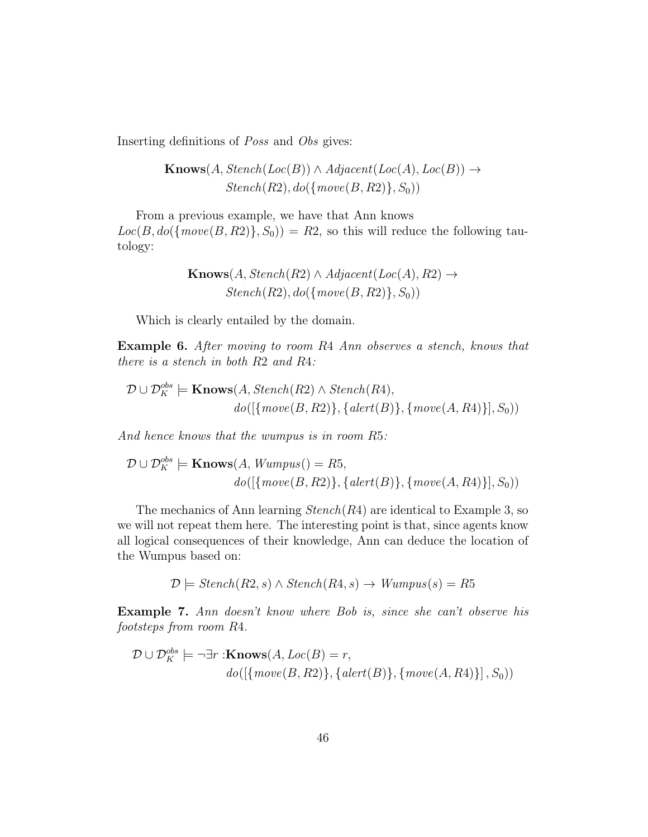Inserting definitions of Poss and Obs gives:

 $\textbf{Knows}(A, Stench(Loc(B)) \wedge Adjacent(Loc(A), Loc(B)) \rightarrow$  $Stench(R2), do(\{move(B, R2)\}, S_0))$ 

From a previous example, we have that Ann knows  $Loc(B, do({\{move (B, R2)\}}, S_0)) = R2$ , so this will reduce the following tautology:

$$
Knows(A, Stench(R2) \land Adjacent(Loc(A), R2) \rightarrow
$$

$$
Stench(R2), do(\{move(B, R2)\}, S_0))
$$

Which is clearly entailed by the domain.

Example 6. After moving to room R4 Ann observes a stench, knows that there is a stench in both R2 and R4:

$$
\mathcal{D} \cup \mathcal{D}_K^{obs} \models \mathbf{Knows}(A, Stench(R2) \land Stench(R4),
$$
  

$$
do([\{move(B, R2)\}, \{ alert(B)\}, \{move(A, R4)\}], S_0))
$$

And hence knows that the wumpus is in room R5:

$$
\mathcal{D} \cup \mathcal{D}_K^{obs} \models \mathbf{Knows}(A, Wumpus() = R5, \quad \text{do}([\{move(B, R2)\}, \{actor(B)\}, \{move(A, R4)\}], S_0))
$$

The mechanics of Ann learning  $Stench(R4)$  are identical to Example 3, so we will not repeat them here. The interesting point is that, since agents know all logical consequences of their knowledge, Ann can deduce the location of the Wumpus based on:

$$
\mathcal{D} \models \text{Stench}(R2, s) \land \text{Stench}(R4, s) \rightarrow \text{Wumpus}(s) = R5
$$

Example 7. Ann doesn't know where Bob is, since she can't observe his footsteps from room R4.

$$
\mathcal{D} \cup \mathcal{D}_K^{obs} \models \neg \exists r : \mathbf{Knows}(A, Loc(B) = r, \quad \text{do}([\{move(B, R2)\}, \{actor(B)\}, \{move(A, R4)\}], S_0))
$$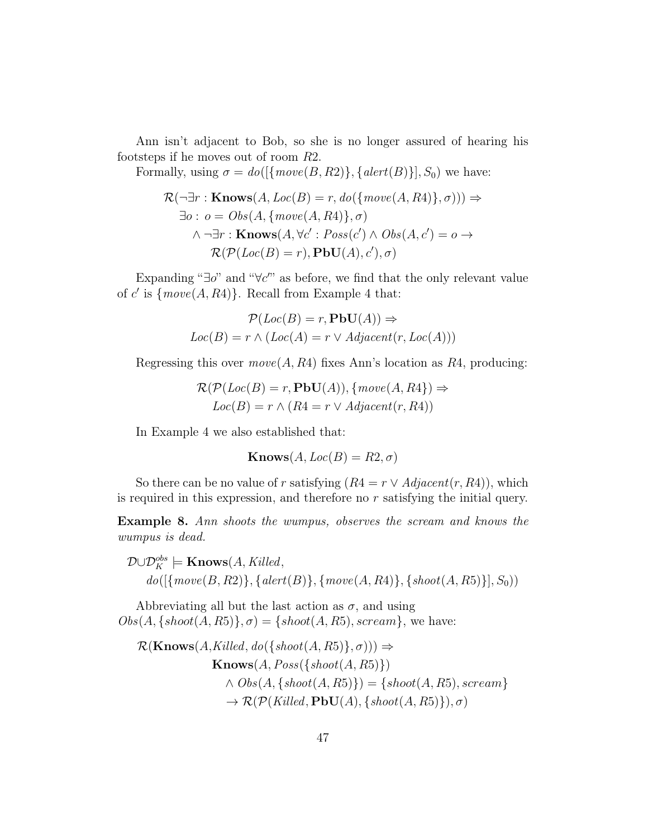Ann isn't adjacent to Bob, so she is no longer assured of hearing his footsteps if he moves out of room R2.

Formally, using  $\sigma = do([\{move(B, R2)\}, \{ alert(B)\}], S_0)$  we have:

$$
\mathcal{R}(\neg \exists r : \mathbf{Knows}(A, Loc(B) = r, do(\{move(A, R4)\}, \sigma))) \Rightarrow
$$
  

$$
\exists o : o = Obs(A, \{move(A, R4)\}, \sigma)
$$
  

$$
\land \neg \exists r : \mathbf{Knows}(A, \forall c' : Poss(c') \land Obs(A, c') = o \rightarrow
$$
  

$$
\mathcal{R}(\mathcal{P}(Loc(B) = r), \mathbf{PbU}(A), c'), \sigma)
$$

Expanding " $\exists o$ " and " $\forall c'$ " as before, we find that the only relevant value of c' is  $\{move(A, R4)\}$ . Recall from Example 4 that:

$$
\mathcal{P}(Loc(B) = r, \mathbf{PbU}(A)) \Rightarrow
$$

$$
Loc(B) = r \land (Loc(A) = r \lor Adjacent(r, Loc(A)))
$$

Regressing this over  $move(A, R4)$  fixes Ann's location as R4, producing:

$$
\mathcal{R}(\mathcal{P}(Loc(B) = r, \mathbf{PbU}(A)), \{move(A, R4\}) \Rightarrow
$$

$$
Loc(B) = r \land (R4 = r \lor Adjacent(r, R4))
$$

In Example 4 we also established that:

$$
\mathbf{Knows}(A, Loc(B) = R2, \sigma)
$$

So there can be no value of r satisfying  $(R4 = r \vee Adjacent(r, R4))$ , which is required in this expression, and therefore no r satisfying the initial query.

Example 8. Ann shoots the wumpus, observes the scream and knows the wumpus is dead.

$$
\mathcal{D} \cup \mathcal{D}_K^{obs} \models \mathbf{Knows}(A, Killed, \text{10}) \cup \{ \text{10} \} \cup \{ \text{10} \} \cup \{ \text{10} \} \cup \{ \text{10} \} \cup \{ \text{10} \} \cup \{ \text{10} \} \cup \{ \text{10} \} \cup \{ \text{10} \} \cup \{ \text{10} \} \cup \{ \text{10} \} \cup \{ \text{10} \} \cup \{ \text{10} \} \cup \{ \text{10} \} \cup \{ \text{11} \} \cup \{ \text{12} \} \cup \{ \text{13} \} \cup \{ \text{16} \} \cup \{ \text{17} \} \cup \{ \text{18} \} \cup \{ \text{18} \} \cup \{ \text{19} \} \cup \{ \text{19} \} \cup \{ \text{19} \} \cup \{ \text{19} \} \cup \{ \text{19} \} \cup \{ \text{19} \} \cup \{ \text{19} \} \cup \{ \text{19} \} \cup \{ \text{19} \} \cup \{ \text{19} \} \cup \{ \text{19} \} \cup \{ \text{19} \} \cup \{ \text{19} \} \cup \{ \text{19} \} \cup \{ \text{19} \} \cup \{ \text{19} \} \cup \{ \text{19} \} \cup \{ \text{19} \} \cup \{ \text{19} \} \cup \{ \text{19} \} \cup \{ \text{19} \} \cup \{ \text{19} \} \cup \{ \text{19} \} \cup \{ \text{19} \} \cup \{ \text{19} \} \cup \{ \text{19} \} \cup \{ \text{19} \} \cup \{ \text{19} \} \cup \{ \text{19} \} \cup \{ \text{19} \} \cup \{ \text{19} \} \cup \{ \text{19} \} \cup \{ \text{19} \} \cup \{ \text{19} \} \cup \{ \text{19} \} \cup \{ \text{19} \} \cup \{ \text{19} \} \cup \{ \text{19} \} \cup \{ \text{19} \} \cup \{ \text{19} \} \cup
$$

Abbreviating all but the last action as  $\sigma$ , and using  $Obs(A, \{shot(A, R5)\}, \sigma) = \{ shoot(A, R5), screen\}$ , we have:

$$
\mathcal{R}(\mathbf{Knows}(A, Killed, do(\{shoot(A, R5)\}, \sigma))) \Rightarrow
$$
  
\n
$$
\mathbf{Knows}(A, Poss(\{shoot(A, R5)\})
$$
  
\n
$$
\wedge Obs(A, \{shoot(A, R5)\}) = \{shoot(A, R5), screen\}
$$
  
\n
$$
\rightarrow \mathcal{R}(\mathcal{P}(Killed, PbU(A), \{shoot(A, R5)\}), \sigma)
$$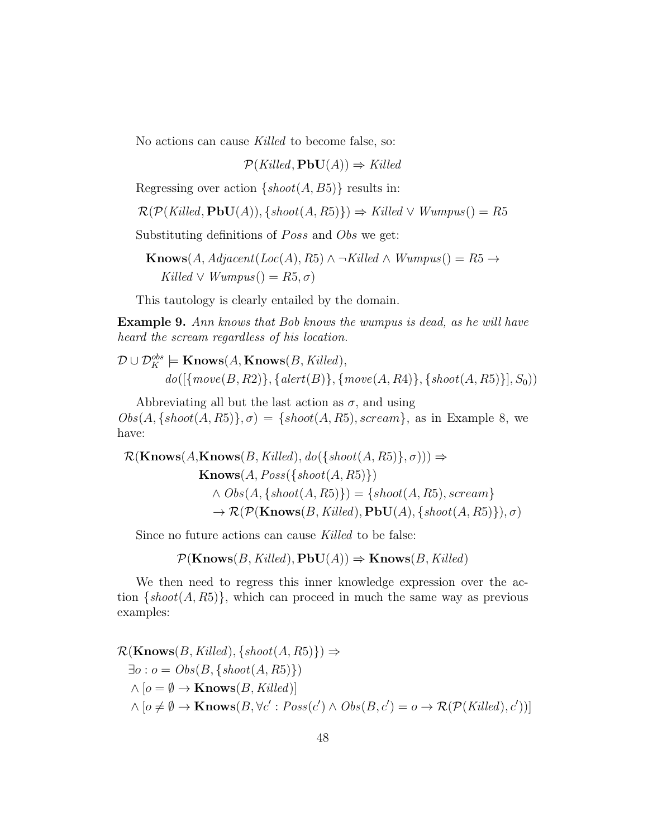No actions can cause Killed to become false, so:

 $\mathcal{P}(Killed, PbU(A)) \Rightarrow Killed$ 

Regressing over action  $\{shoot(A, B5)\}\)$  results in:

$$
\mathcal{R}(\mathcal{P}(Killed, PbU(A)), \{ shoot(A, R5)\}) \Rightarrow Killed \vee Wumpus() = R5
$$

Substituting definitions of *Poss* and *Obs* we get:

Knows(A, Adjacent(Loc(A), R5) ∧ ¬Killed ∧ Wumpus() = R5 →  $Killed \vee Wumpus() = R5, \sigma)$ 

This tautology is clearly entailed by the domain.

Example 9. Ann knows that Bob knows the wumpus is dead, as he will have heard the scream regardless of his location.

 $\mathcal{D} \cup \mathcal{D}^{obs}_K \models \textbf{Knows}(A, \textbf{Knows}(B, Killed),$  $do([{move}(B, R2)], {altert}(B), {move}(A, R4), {shoot}(A, R5)], S_0)$ 

Abbreviating all but the last action as  $\sigma$ , and using  $Obs(A, \{ shoot(A, R5) \}, \sigma) = \{ shoot(A, R5), screen\}$ , as in Example 8, we have:

 $\mathcal{R}(\mathbf{Knows}(A, \mathbf{Knows}(B, Killed), do(\{shot(A, R5)\}, \sigma))) \Rightarrow$  $Knows(A, Poss({\text{shoot}(A, R5)}))$  $\wedge \textit{Obs}(A, \{\textit{shoot}(A, R5)\}) = \{\textit{shoot}(A, R5), \textit{screen}\}\$  $\rightarrow \mathcal{R}(\mathcal{P}(\mathbf{Knows}(B, Killed), \mathbf{PbU}(A), \{ shoot(A, R5)\}), \sigma)$ 

Since no future actions can cause Killed to be false:

$$
\mathcal{P}(\mathbf{Knows}(B, Killed), \mathbf{PbU}(A)) \Rightarrow \mathbf{Knows}(B, Killed)
$$

We then need to regress this inner knowledge expression over the action  $\{shot(A, R5)\},$  which can proceed in much the same way as previous examples:

 $\mathcal{R}(\mathbf{Knows}(B, Killed), \{ shoot(A, R5)\}) \Rightarrow$  $\exists o : o = Obs(B, \{ shoot(A, R5) \})$  $\wedge$  [ $o = \emptyset \rightarrow$  **Knows** $(B, Killed)$ ]  $\wedge [\circ \neq \emptyset \rightarrow$  Knows $(B, \forall c' : Poss(c') \wedge Obs(B, c') = o \rightarrow \mathcal{R}(\mathcal{P}(Killed), c'))]$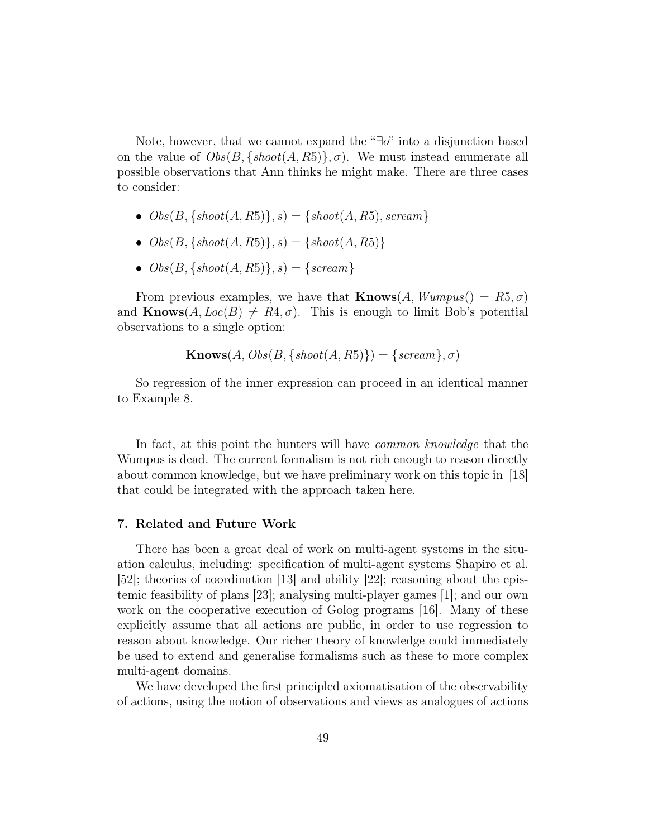Note, however, that we cannot expand the "∃o" into a disjunction based on the value of  $Obs(B, \{ shoot(A, R5) \}, \sigma)$ . We must instead enumerate all possible observations that Ann thinks he might make. There are three cases to consider:

- $Obs(B, \{ shoot(A, R5)\}, s) = \{ shoot(A, R5), screen\}$
- $Obs(B, \{ shoot(A, R5) \}, s) = \{ shoot(A, R5) \}$
- $Obs(B, \{ shoot(A, R5)\}, s) = \{ screen\}$

From previous examples, we have that **Knows** $(A, Wumpus) = R5, \sigma$ and  $\text{Knows}(A, Loc(B) \neq R4, \sigma)$ . This is enough to limit Bob's potential observations to a single option:

$$
\mathbf{Knows}(A, Obs(B, \{ shoot(A, R5)\}) = \{screen\}, \sigma)
$$

So regression of the inner expression can proceed in an identical manner to Example 8.

In fact, at this point the hunters will have *common knowledge* that the Wumpus is dead. The current formalism is not rich enough to reason directly about common knowledge, but we have preliminary work on this topic in [18] that could be integrated with the approach taken here.

### 7. Related and Future Work

There has been a great deal of work on multi-agent systems in the situation calculus, including: specification of multi-agent systems Shapiro et al. [52]; theories of coordination [13] and ability [22]; reasoning about the epistemic feasibility of plans [23]; analysing multi-player games [1]; and our own work on the cooperative execution of Golog programs [16]. Many of these explicitly assume that all actions are public, in order to use regression to reason about knowledge. Our richer theory of knowledge could immediately be used to extend and generalise formalisms such as these to more complex multi-agent domains.

We have developed the first principled axiomatisation of the observability of actions, using the notion of observations and views as analogues of actions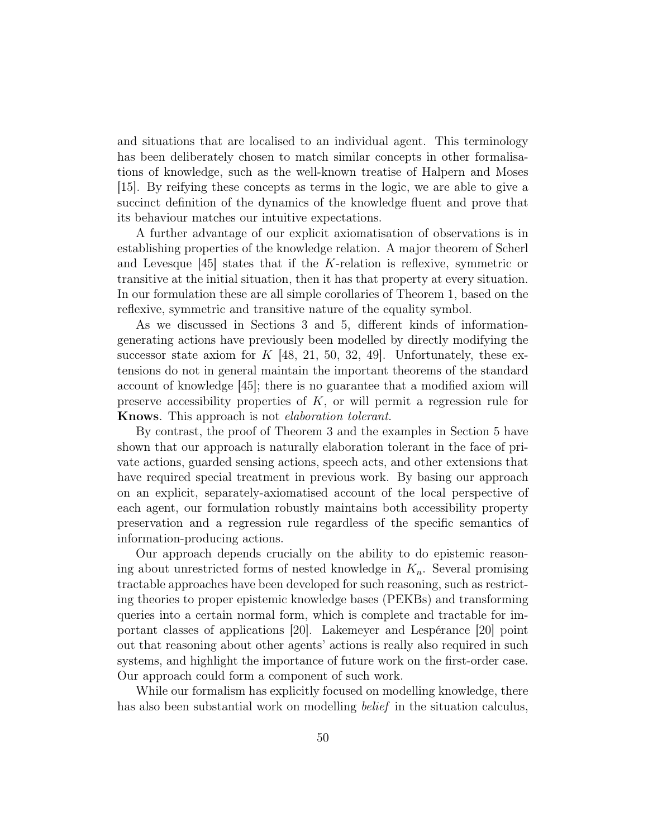and situations that are localised to an individual agent. This terminology has been deliberately chosen to match similar concepts in other formalisations of knowledge, such as the well-known treatise of Halpern and Moses [15]. By reifying these concepts as terms in the logic, we are able to give a succinct definition of the dynamics of the knowledge fluent and prove that its behaviour matches our intuitive expectations.

A further advantage of our explicit axiomatisation of observations is in establishing properties of the knowledge relation. A major theorem of Scherl and Levesque [45] states that if the K-relation is reflexive, symmetric or transitive at the initial situation, then it has that property at every situation. In our formulation these are all simple corollaries of Theorem 1, based on the reflexive, symmetric and transitive nature of the equality symbol.

As we discussed in Sections 3 and 5, different kinds of informationgenerating actions have previously been modelled by directly modifying the successor state axiom for  $K$  [48, 21, 50, 32, 49]. Unfortunately, these extensions do not in general maintain the important theorems of the standard account of knowledge [45]; there is no guarantee that a modified axiom will preserve accessibility properties of  $K$ , or will permit a regression rule for Knows. This approach is not elaboration tolerant.

By contrast, the proof of Theorem 3 and the examples in Section 5 have shown that our approach is naturally elaboration tolerant in the face of private actions, guarded sensing actions, speech acts, and other extensions that have required special treatment in previous work. By basing our approach on an explicit, separately-axiomatised account of the local perspective of each agent, our formulation robustly maintains both accessibility property preservation and a regression rule regardless of the specific semantics of information-producing actions.

Our approach depends crucially on the ability to do epistemic reasoning about unrestricted forms of nested knowledge in  $K_n$ . Several promising tractable approaches have been developed for such reasoning, such as restricting theories to proper epistemic knowledge bases (PEKBs) and transforming queries into a certain normal form, which is complete and tractable for important classes of applications [20]. Lakemeyer and Lespérance [20] point out that reasoning about other agents' actions is really also required in such systems, and highlight the importance of future work on the first-order case. Our approach could form a component of such work.

While our formalism has explicitly focused on modelling knowledge, there has also been substantial work on modelling *belief* in the situation calculus,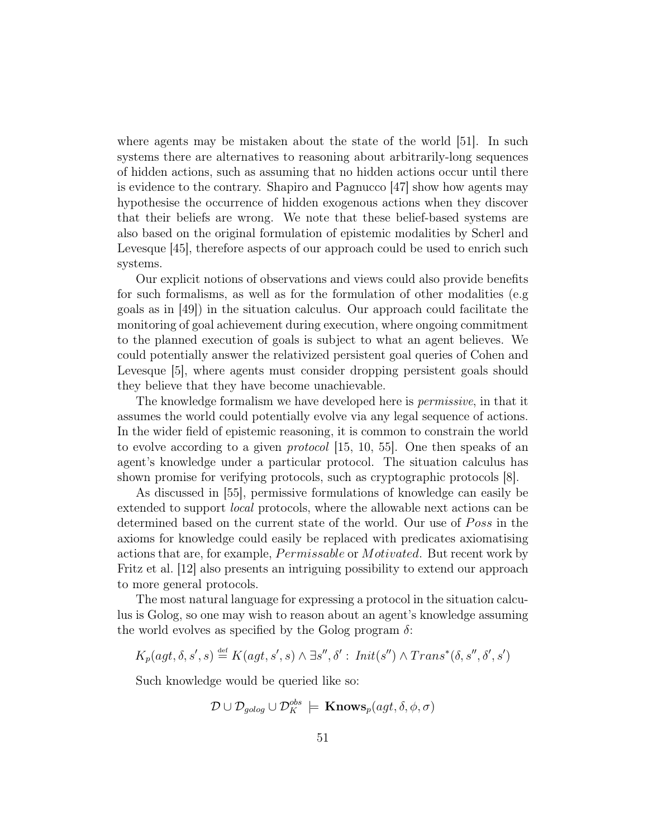where agents may be mistaken about the state of the world [51]. In such systems there are alternatives to reasoning about arbitrarily-long sequences of hidden actions, such as assuming that no hidden actions occur until there is evidence to the contrary. Shapiro and Pagnucco [47] show how agents may hypothesise the occurrence of hidden exogenous actions when they discover that their beliefs are wrong. We note that these belief-based systems are also based on the original formulation of epistemic modalities by Scherl and Levesque [45], therefore aspects of our approach could be used to enrich such systems.

Our explicit notions of observations and views could also provide benefits for such formalisms, as well as for the formulation of other modalities (e.g goals as in [49]) in the situation calculus. Our approach could facilitate the monitoring of goal achievement during execution, where ongoing commitment to the planned execution of goals is subject to what an agent believes. We could potentially answer the relativized persistent goal queries of Cohen and Levesque [5], where agents must consider dropping persistent goals should they believe that they have become unachievable.

The knowledge formalism we have developed here is permissive, in that it assumes the world could potentially evolve via any legal sequence of actions. In the wider field of epistemic reasoning, it is common to constrain the world to evolve according to a given protocol [15, 10, 55]. One then speaks of an agent's knowledge under a particular protocol. The situation calculus has shown promise for verifying protocols, such as cryptographic protocols [8].

As discussed in [55], permissive formulations of knowledge can easily be extended to support local protocols, where the allowable next actions can be determined based on the current state of the world. Our use of *Poss* in the axioms for knowledge could easily be replaced with predicates axiomatising actions that are, for example, *Permissable* or *Motivated*. But recent work by Fritz et al. [12] also presents an intriguing possibility to extend our approach to more general protocols.

The most natural language for expressing a protocol in the situation calculus is Golog, so one may wish to reason about an agent's knowledge assuming the world evolves as specified by the Golog program  $\delta$ :

$$
K_p(agt, \delta, s', s) \stackrel{\text{def}}{=} K(agt, s', s) \land \exists s'', \delta' : \textit{Init}(s'') \land \textit{Trans}^*(\delta, s'', \delta', s')
$$

Such knowledge would be queried like so:

$$
\mathcal{D} \cup \mathcal{D}_{\text{golog}} \cup \mathcal{D}^{\text{obs}}_K \models \mathbf{Knows}_p(\text{agt}, \delta, \phi, \sigma)
$$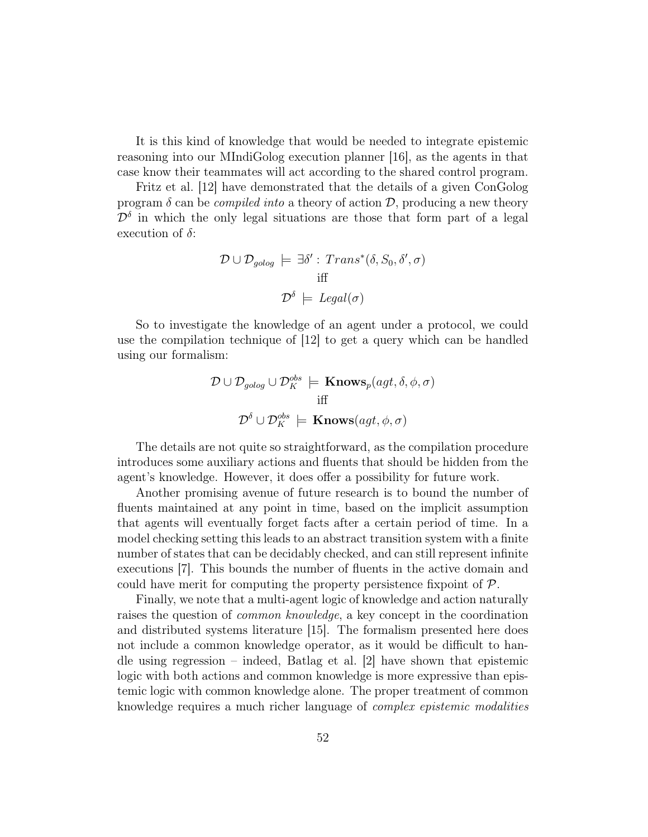It is this kind of knowledge that would be needed to integrate epistemic reasoning into our MIndiGolog execution planner [16], as the agents in that case know their teammates will act according to the shared control program.

Fritz et al. [12] have demonstrated that the details of a given ConGolog program  $\delta$  can be *compiled into* a theory of action  $\mathcal{D}$ , producing a new theory  $\mathcal{D}^{\delta}$  in which the only legal situations are those that form part of a legal execution of  $\delta$ :

$$
\mathcal{D} \cup \mathcal{D}_{\text{golog}} \models \exists \delta' : \text{Trans}^*(\delta, S_0, \delta', \sigma)
$$
  
iff
$$
\mathcal{D}^{\delta} \models \text{legal}(\sigma)
$$

So to investigate the knowledge of an agent under a protocol, we could use the compilation technique of [12] to get a query which can be handled using our formalism:

$$
\mathcal{D} \cup \mathcal{D}_{\text{golog}} \cup \mathcal{D}_{K}^{\text{obs}} \models \mathbf{Knows}_{p}(\text{agt}, \delta, \phi, \sigma)
$$
  
iff  

$$
\mathcal{D}^{\delta} \cup \mathcal{D}_{K}^{\text{obs}} \models \mathbf{Knows}(\text{agt}, \phi, \sigma)
$$

The details are not quite so straightforward, as the compilation procedure introduces some auxiliary actions and fluents that should be hidden from the agent's knowledge. However, it does offer a possibility for future work.

Another promising avenue of future research is to bound the number of fluents maintained at any point in time, based on the implicit assumption that agents will eventually forget facts after a certain period of time. In a model checking setting this leads to an abstract transition system with a finite number of states that can be decidably checked, and can still represent infinite executions [7]. This bounds the number of fluents in the active domain and could have merit for computing the property persistence fixpoint of  $P$ .

Finally, we note that a multi-agent logic of knowledge and action naturally raises the question of *common knowledge*, a key concept in the coordination and distributed systems literature [15]. The formalism presented here does not include a common knowledge operator, as it would be difficult to handle using regression – indeed, Batlag et al. [2] have shown that epistemic logic with both actions and common knowledge is more expressive than epistemic logic with common knowledge alone. The proper treatment of common knowledge requires a much richer language of complex epistemic modalities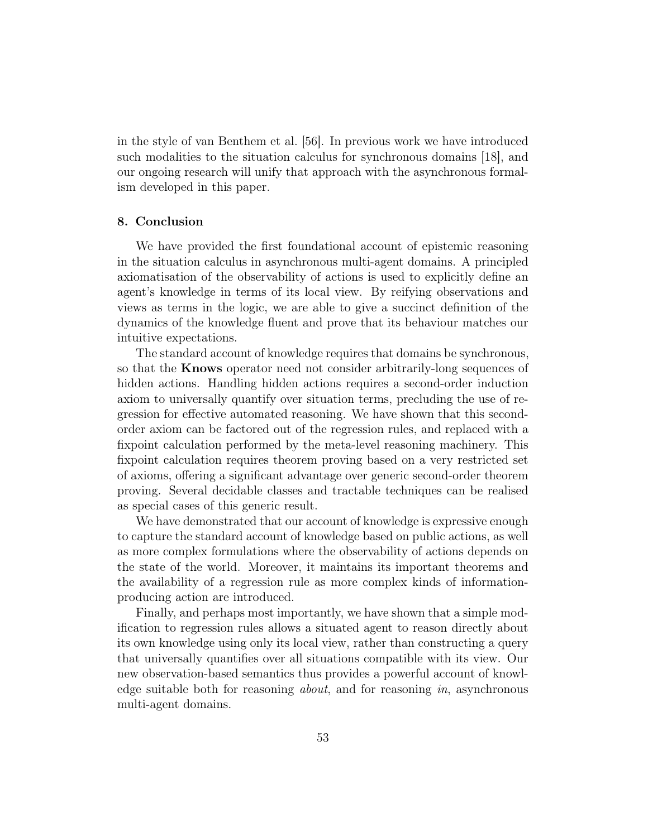in the style of van Benthem et al. [56]. In previous work we have introduced such modalities to the situation calculus for synchronous domains [18], and our ongoing research will unify that approach with the asynchronous formalism developed in this paper.

# 8. Conclusion

We have provided the first foundational account of epistemic reasoning in the situation calculus in asynchronous multi-agent domains. A principled axiomatisation of the observability of actions is used to explicitly define an agent's knowledge in terms of its local view. By reifying observations and views as terms in the logic, we are able to give a succinct definition of the dynamics of the knowledge fluent and prove that its behaviour matches our intuitive expectations.

The standard account of knowledge requires that domains be synchronous, so that the Knows operator need not consider arbitrarily-long sequences of hidden actions. Handling hidden actions requires a second-order induction axiom to universally quantify over situation terms, precluding the use of regression for effective automated reasoning. We have shown that this secondorder axiom can be factored out of the regression rules, and replaced with a fixpoint calculation performed by the meta-level reasoning machinery. This fixpoint calculation requires theorem proving based on a very restricted set of axioms, offering a significant advantage over generic second-order theorem proving. Several decidable classes and tractable techniques can be realised as special cases of this generic result.

We have demonstrated that our account of knowledge is expressive enough to capture the standard account of knowledge based on public actions, as well as more complex formulations where the observability of actions depends on the state of the world. Moreover, it maintains its important theorems and the availability of a regression rule as more complex kinds of informationproducing action are introduced.

Finally, and perhaps most importantly, we have shown that a simple modification to regression rules allows a situated agent to reason directly about its own knowledge using only its local view, rather than constructing a query that universally quantifies over all situations compatible with its view. Our new observation-based semantics thus provides a powerful account of knowledge suitable both for reasoning *about*, and for reasoning *in*, asynchronous multi-agent domains.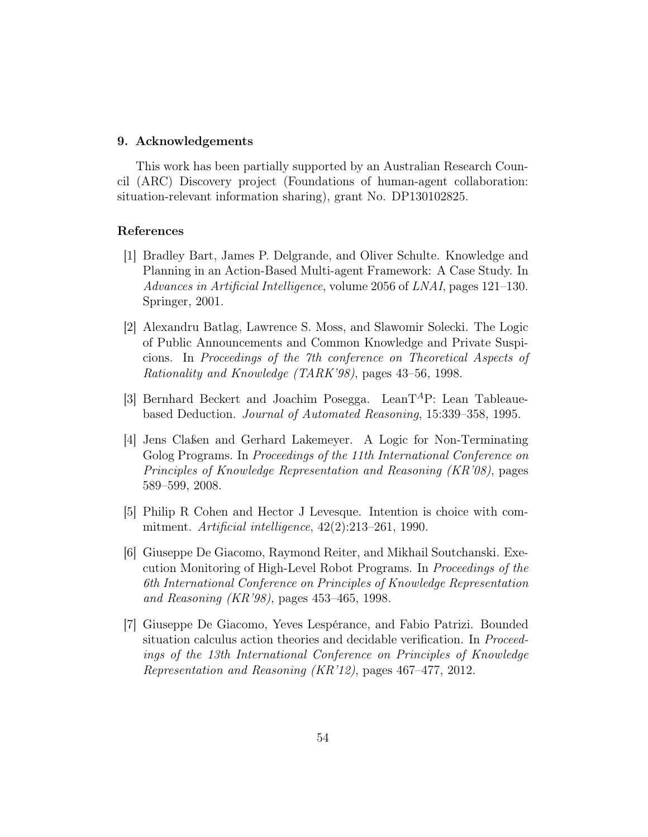#### 9. Acknowledgements

This work has been partially supported by an Australian Research Council (ARC) Discovery project (Foundations of human-agent collaboration: situation-relevant information sharing), grant No. DP130102825.

## References

- [1] Bradley Bart, James P. Delgrande, and Oliver Schulte. Knowledge and Planning in an Action-Based Multi-agent Framework: A Case Study. In Advances in Artificial Intelligence, volume 2056 of LNAI, pages 121–130. Springer, 2001.
- [2] Alexandru Batlag, Lawrence S. Moss, and Slawomir Solecki. The Logic of Public Announcements and Common Knowledge and Private Suspicions. In Proceedings of the 7th conference on Theoretical Aspects of Rationality and Knowledge (TARK'98), pages 43–56, 1998.
- [3] Bernhard Beckert and Joachim Posegga. LeanT<sup>A</sup>P: Lean Tableauebased Deduction. Journal of Automated Reasoning, 15:339–358, 1995.
- [4] Jens Claßen and Gerhard Lakemeyer. A Logic for Non-Terminating Golog Programs. In Proceedings of the 11th International Conference on Principles of Knowledge Representation and Reasoning (KR'08), pages 589–599, 2008.
- [5] Philip R Cohen and Hector J Levesque. Intention is choice with commitment. Artificial intelligence, 42(2):213–261, 1990.
- [6] Giuseppe De Giacomo, Raymond Reiter, and Mikhail Soutchanski. Execution Monitoring of High-Level Robot Programs. In Proceedings of the 6th International Conference on Principles of Knowledge Representation and Reasoning (KR'98), pages 453–465, 1998.
- [7] Giuseppe De Giacomo, Yeves Lespérance, and Fabio Patrizi. Bounded situation calculus action theories and decidable verification. In *Proceed*ings of the 13th International Conference on Principles of Knowledge Representation and Reasoning (KR'12), pages 467–477, 2012.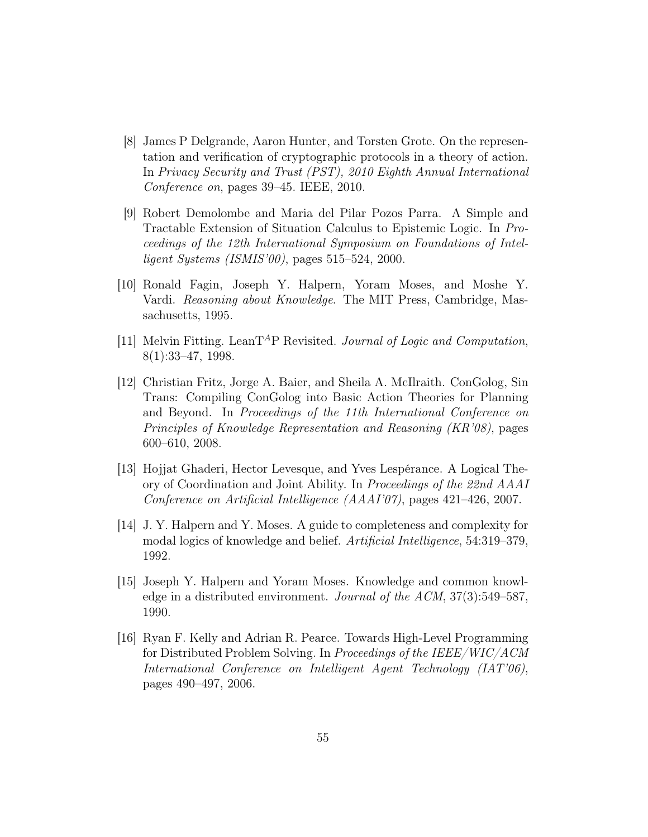- [8] James P Delgrande, Aaron Hunter, and Torsten Grote. On the representation and verification of cryptographic protocols in a theory of action. In Privacy Security and Trust (PST), 2010 Eighth Annual International Conference on, pages 39–45. IEEE, 2010.
- [9] Robert Demolombe and Maria del Pilar Pozos Parra. A Simple and Tractable Extension of Situation Calculus to Epistemic Logic. In Proceedings of the 12th International Symposium on Foundations of Intelligent Systems (ISMIS'00), pages 515–524, 2000.
- [10] Ronald Fagin, Joseph Y. Halpern, Yoram Moses, and Moshe Y. Vardi. Reasoning about Knowledge. The MIT Press, Cambridge, Massachusetts, 1995.
- [11] Melvin Fitting. LeanT<sup>A</sup>P Revisited. Journal of Logic and Computation, 8(1):33–47, 1998.
- [12] Christian Fritz, Jorge A. Baier, and Sheila A. McIlraith. ConGolog, Sin Trans: Compiling ConGolog into Basic Action Theories for Planning and Beyond. In Proceedings of the 11th International Conference on Principles of Knowledge Representation and Reasoning (KR'08), pages 600–610, 2008.
- [13] Hojjat Ghaderi, Hector Levesque, and Yves Lespérance. A Logical Theory of Coordination and Joint Ability. In Proceedings of the 22nd AAAI Conference on Artificial Intelligence (AAAI'07), pages 421–426, 2007.
- [14] J. Y. Halpern and Y. Moses. A guide to completeness and complexity for modal logics of knowledge and belief. Artificial Intelligence, 54:319–379, 1992.
- [15] Joseph Y. Halpern and Yoram Moses. Knowledge and common knowledge in a distributed environment. Journal of the ACM, 37(3):549–587, 1990.
- [16] Ryan F. Kelly and Adrian R. Pearce. Towards High-Level Programming for Distributed Problem Solving. In Proceedings of the IEEE/WIC/ACM International Conference on Intelligent Agent Technology (IAT'06), pages 490–497, 2006.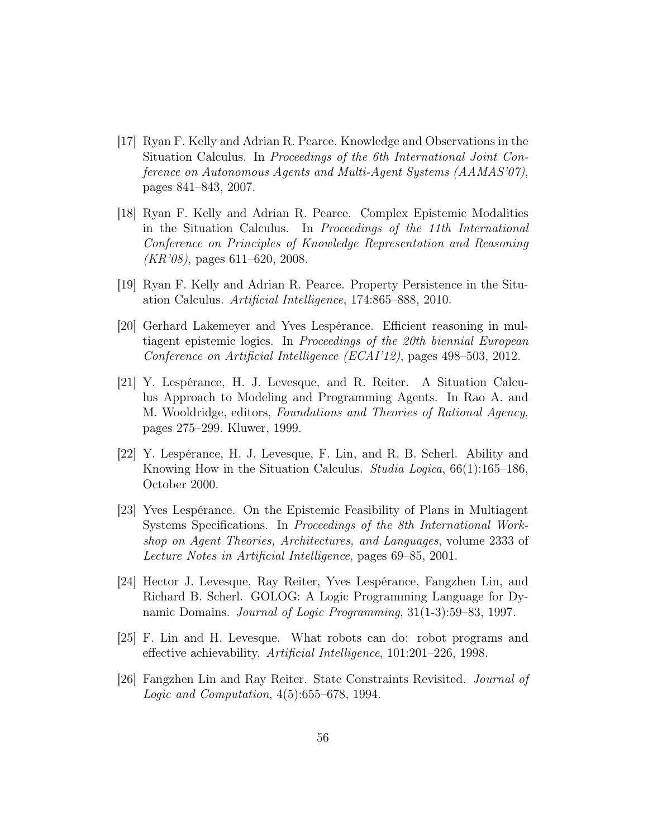- [17] Ryan F. Kelly and Adrian R. Pearce. Knowledge and Observations in the Situation Calculus. In Proceedings of the 6th International Joint Conference on Autonomous Agents and Multi-Agent Systems (AAMAS'07), pages 841–843, 2007.
- [18] Ryan F. Kelly and Adrian R. Pearce. Complex Epistemic Modalities in the Situation Calculus. In Proceedings of the 11th International Conference on Principles of Knowledge Representation and Reasoning  $(KR'08)$ , pages 611–620, 2008.
- [19] Ryan F. Kelly and Adrian R. Pearce. Property Persistence in the Situation Calculus. Artificial Intelligence, 174:865–888, 2010.
- [20] Gerhard Lakemeyer and Yves Lespérance. Efficient reasoning in multiagent epistemic logics. In Proceedings of the 20th biennial European Conference on Artificial Intelligence (ECAI'12), pages 498–503, 2012.
- [21] Y. Lespérance, H. J. Levesque, and R. Reiter. A Situation Calculus Approach to Modeling and Programming Agents. In Rao A. and M. Wooldridge, editors, Foundations and Theories of Rational Agency, pages 275–299. Kluwer, 1999.
- [22] Y. Lespérance, H. J. Levesque, F. Lin, and R. B. Scherl. Ability and Knowing How in the Situation Calculus. Studia Logica, 66(1):165–186, October 2000.
- [23] Yves Lespérance. On the Epistemic Feasibility of Plans in Multiagent Systems Specifications. In Proceedings of the 8th International Workshop on Agent Theories, Architectures, and Languages, volume 2333 of Lecture Notes in Artificial Intelligence, pages 69–85, 2001.
- [24] Hector J. Levesque, Ray Reiter, Yves Lespérance, Fangzhen Lin, and Richard B. Scherl. GOLOG: A Logic Programming Language for Dynamic Domains. Journal of Logic Programming, 31(1-3):59–83, 1997.
- [25] F. Lin and H. Levesque. What robots can do: robot programs and effective achievability. Artificial Intelligence, 101:201–226, 1998.
- [26] Fangzhen Lin and Ray Reiter. State Constraints Revisited. Journal of Logic and Computation, 4(5):655–678, 1994.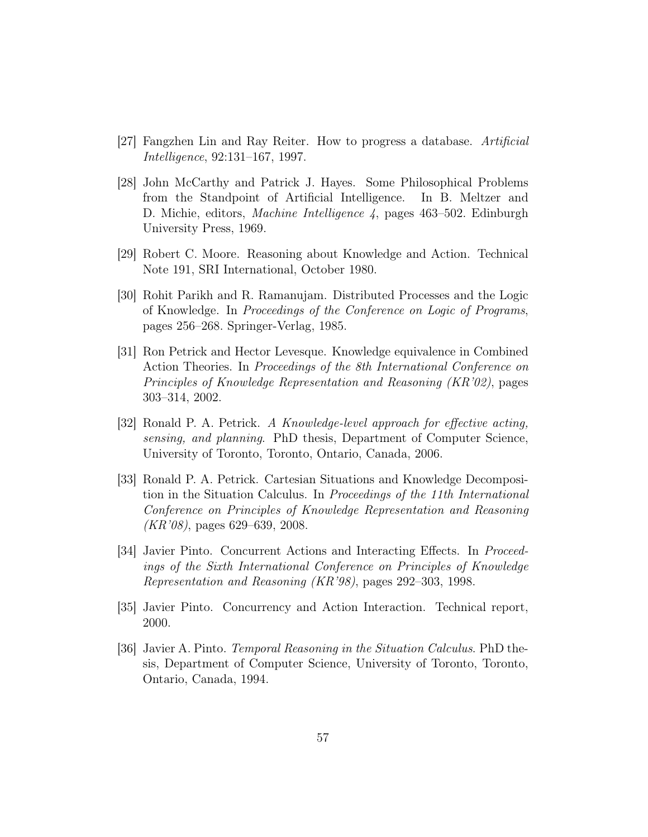- [27] Fangzhen Lin and Ray Reiter. How to progress a database. Artificial Intelligence, 92:131–167, 1997.
- [28] John McCarthy and Patrick J. Hayes. Some Philosophical Problems from the Standpoint of Artificial Intelligence. In B. Meltzer and D. Michie, editors, Machine Intelligence 4, pages 463–502. Edinburgh University Press, 1969.
- [29] Robert C. Moore. Reasoning about Knowledge and Action. Technical Note 191, SRI International, October 1980.
- [30] Rohit Parikh and R. Ramanujam. Distributed Processes and the Logic of Knowledge. In Proceedings of the Conference on Logic of Programs, pages 256–268. Springer-Verlag, 1985.
- [31] Ron Petrick and Hector Levesque. Knowledge equivalence in Combined Action Theories. In Proceedings of the 8th International Conference on Principles of Knowledge Representation and Reasoning (KR'02), pages 303–314, 2002.
- [32] Ronald P. A. Petrick. A Knowledge-level approach for effective acting, sensing, and planning. PhD thesis, Department of Computer Science, University of Toronto, Toronto, Ontario, Canada, 2006.
- [33] Ronald P. A. Petrick. Cartesian Situations and Knowledge Decomposition in the Situation Calculus. In Proceedings of the 11th International Conference on Principles of Knowledge Representation and Reasoning (KR'08), pages 629–639, 2008.
- [34] Javier Pinto. Concurrent Actions and Interacting Effects. In Proceedings of the Sixth International Conference on Principles of Knowledge Representation and Reasoning (KR'98), pages 292–303, 1998.
- [35] Javier Pinto. Concurrency and Action Interaction. Technical report, 2000.
- [36] Javier A. Pinto. Temporal Reasoning in the Situation Calculus. PhD thesis, Department of Computer Science, University of Toronto, Toronto, Ontario, Canada, 1994.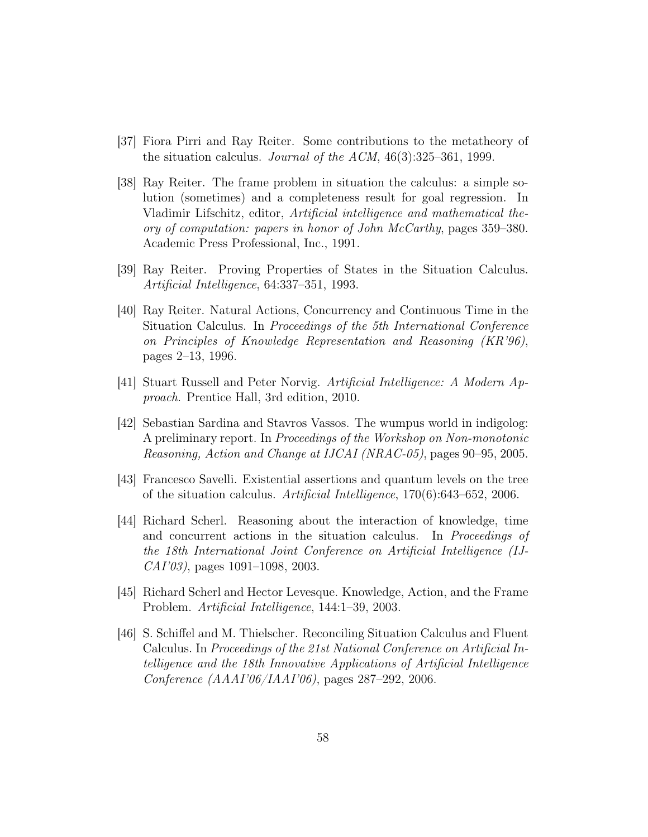- [37] Fiora Pirri and Ray Reiter. Some contributions to the metatheory of the situation calculus. Journal of the ACM, 46(3):325–361, 1999.
- [38] Ray Reiter. The frame problem in situation the calculus: a simple solution (sometimes) and a completeness result for goal regression. In Vladimir Lifschitz, editor, Artificial intelligence and mathematical theory of computation: papers in honor of John McCarthy, pages 359–380. Academic Press Professional, Inc., 1991.
- [39] Ray Reiter. Proving Properties of States in the Situation Calculus. Artificial Intelligence, 64:337–351, 1993.
- [40] Ray Reiter. Natural Actions, Concurrency and Continuous Time in the Situation Calculus. In Proceedings of the 5th International Conference on Principles of Knowledge Representation and Reasoning (KR'96), pages 2–13, 1996.
- [41] Stuart Russell and Peter Norvig. Artificial Intelligence: A Modern Approach. Prentice Hall, 3rd edition, 2010.
- [42] Sebastian Sardina and Stavros Vassos. The wumpus world in indigolog: A preliminary report. In Proceedings of the Workshop on Non-monotonic Reasoning, Action and Change at IJCAI (NRAC-05), pages 90–95, 2005.
- [43] Francesco Savelli. Existential assertions and quantum levels on the tree of the situation calculus. Artificial Intelligence, 170(6):643–652, 2006.
- [44] Richard Scherl. Reasoning about the interaction of knowledge, time and concurrent actions in the situation calculus. In Proceedings of the 18th International Joint Conference on Artificial Intelligence (IJ-CAI'03), pages 1091–1098, 2003.
- [45] Richard Scherl and Hector Levesque. Knowledge, Action, and the Frame Problem. Artificial Intelligence, 144:1–39, 2003.
- [46] S. Schiffel and M. Thielscher. Reconciling Situation Calculus and Fluent Calculus. In Proceedings of the 21st National Conference on Artificial Intelligence and the 18th Innovative Applications of Artificial Intelligence Conference (AAAI'06/IAAI'06), pages 287–292, 2006.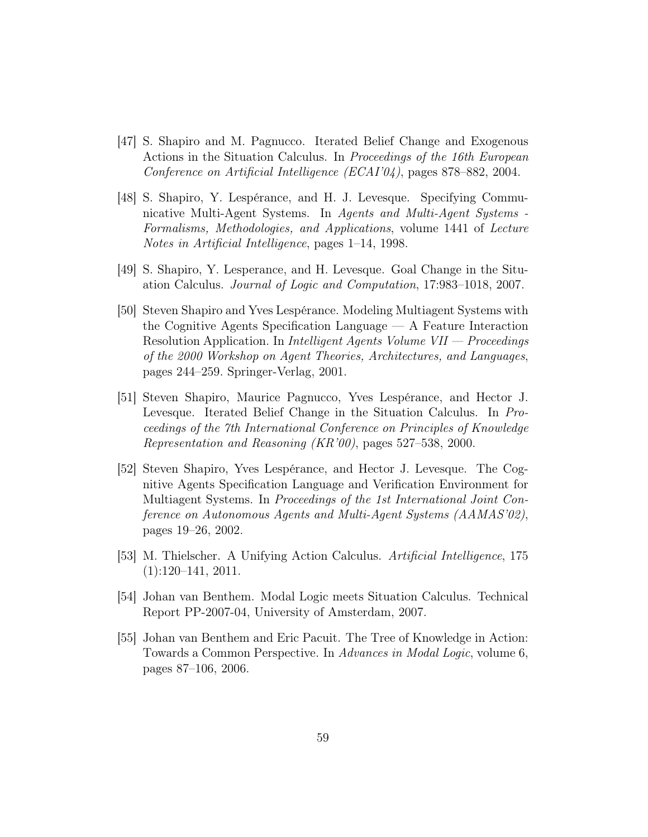- [47] S. Shapiro and M. Pagnucco. Iterated Belief Change and Exogenous Actions in the Situation Calculus. In Proceedings of the 16th European Conference on Artificial Intelligence (ECAI'04), pages 878–882, 2004.
- [48] S. Shapiro, Y. Lespérance, and H. J. Levesque. Specifying Communicative Multi-Agent Systems. In Agents and Multi-Agent Systems - Formalisms, Methodologies, and Applications, volume 1441 of Lecture Notes in Artificial Intelligence, pages 1–14, 1998.
- [49] S. Shapiro, Y. Lesperance, and H. Levesque. Goal Change in the Situation Calculus. Journal of Logic and Computation, 17:983–1018, 2007.
- [50] Steven Shapiro and Yves Lespérance. Modeling Multiagent Systems with the Cognitive Agents Specification Language — A Feature Interaction Resolution Application. In Intelligent Agents Volume VII — Proceedings of the 2000 Workshop on Agent Theories, Architectures, and Languages, pages 244–259. Springer-Verlag, 2001.
- [51] Steven Shapiro, Maurice Pagnucco, Yves Lespérance, and Hector J. Levesque. Iterated Belief Change in the Situation Calculus. In Proceedings of the 7th International Conference on Principles of Knowledge Representation and Reasoning (KR'00), pages 527–538, 2000.
- [52] Steven Shapiro, Yves Lespérance, and Hector J. Levesque. The Cognitive Agents Specification Language and Verification Environment for Multiagent Systems. In Proceedings of the 1st International Joint Conference on Autonomous Agents and Multi-Agent Systems (AAMAS'02), pages 19–26, 2002.
- [53] M. Thielscher. A Unifying Action Calculus. Artificial Intelligence, 175  $(1):120-141, 2011.$
- [54] Johan van Benthem. Modal Logic meets Situation Calculus. Technical Report PP-2007-04, University of Amsterdam, 2007.
- [55] Johan van Benthem and Eric Pacuit. The Tree of Knowledge in Action: Towards a Common Perspective. In Advances in Modal Logic, volume 6, pages 87–106, 2006.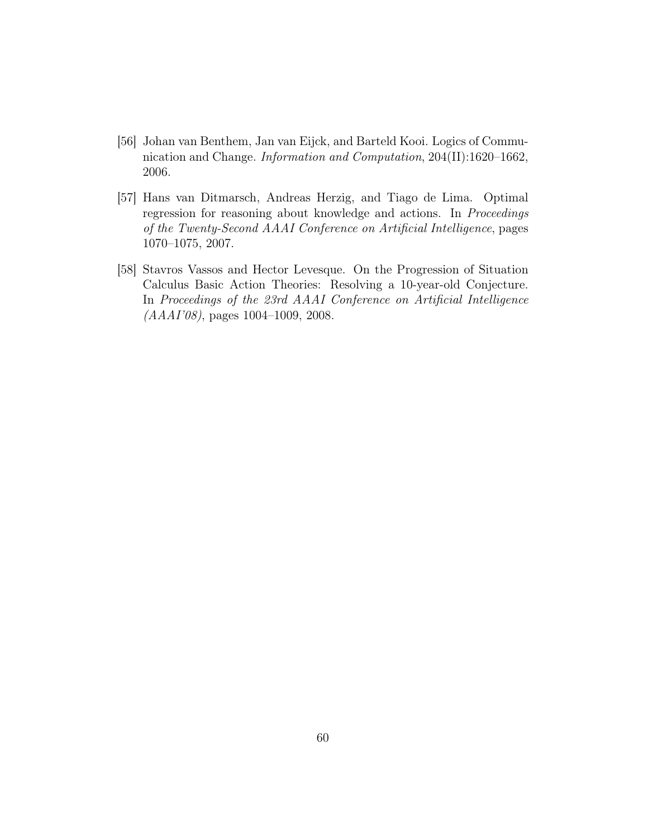- [56] Johan van Benthem, Jan van Eijck, and Barteld Kooi. Logics of Communication and Change. Information and Computation, 204(II):1620–1662, 2006.
- [57] Hans van Ditmarsch, Andreas Herzig, and Tiago de Lima. Optimal regression for reasoning about knowledge and actions. In Proceedings of the Twenty-Second AAAI Conference on Artificial Intelligence, pages 1070–1075, 2007.
- [58] Stavros Vassos and Hector Levesque. On the Progression of Situation Calculus Basic Action Theories: Resolving a 10-year-old Conjecture. In Proceedings of the 23rd AAAI Conference on Artificial Intelligence (AAAI'08), pages 1004–1009, 2008.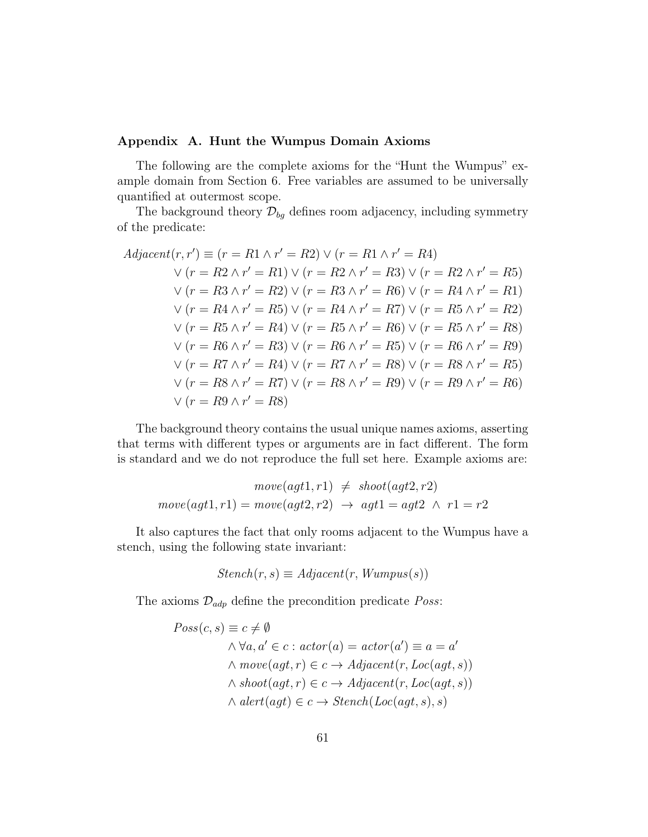## Appendix A. Hunt the Wumpus Domain Axioms

The following are the complete axioms for the "Hunt the Wumpus" example domain from Section 6. Free variables are assumed to be universally quantified at outermost scope.

The background theory  $\mathcal{D}_{bg}$  defines room adjacency, including symmetry of the predicate:

$$
Adjacent(r, r') \equiv (r = R1 \land r' = R2) \lor (r = R1 \land r' = R4)
$$
  
\n
$$
\lor (r = R2 \land r' = R1) \lor (r = R2 \land r' = R3) \lor (r = R2 \land r' = R5)
$$
  
\n
$$
\lor (r = R3 \land r' = R2) \lor (r = R3 \land r' = R6) \lor (r = R4 \land r' = R1)
$$
  
\n
$$
\lor (r = R4 \land r' = R5) \lor (r = R4 \land r' = R7) \lor (r = R5 \land r' = R2)
$$
  
\n
$$
\lor (r = R5 \land r' = R4) \lor (r = R5 \land r' = R6) \lor (r = R5 \land r' = R8)
$$
  
\n
$$
\lor (r = R6 \land r' = R3) \lor (r = R6 \land r' = R5) \lor (r = R6 \land r' = R9)
$$
  
\n
$$
\lor (r = R7 \land r' = R4) \lor (r = R7 \land r' = R8) \lor (r = R8 \land r' = R5)
$$
  
\n
$$
\lor (r = R8 \land r' = R7) \lor (r = R8 \land r' = R9) \lor (r = R9 \land r' = R6)
$$
  
\n
$$
\lor (r = R9 \land r' = R8)
$$

The background theory contains the usual unique names axioms, asserting that terms with different types or arguments are in fact different. The form is standard and we do not reproduce the full set here. Example axioms are:

$$
move(agt1, r1) \neq shoot(agt2, r2)
$$

$$
move(agt1, r1) = move(agt2, r2) \rightarrow agt1 = agt2 \land r1 = r2
$$

It also captures the fact that only rooms adjacent to the Wumpus have a stench, using the following state invariant:

$$
Stench(r, s) \equiv Adjacent(r, Wumpus(s))
$$

The axioms  $\mathcal{D}_{adp}$  define the precondition predicate *Poss*:

$$
Poss(c, s) \equiv c \neq \emptyset
$$
  
\n
$$
\land \forall a, a' \in c : actor(a) = actor(a') \equiv a = a'
$$
  
\n
$$
\land move(agt, r) \in c \rightarrow Adjacent(r, Loc(agt, s))
$$
  
\n
$$
\land shoot(agt, r) \in c \rightarrow Adjacent(r, Loc(agt, s))
$$
  
\n
$$
\land alert(agt) \in c \rightarrow Stench(Loc(agt, s), s)
$$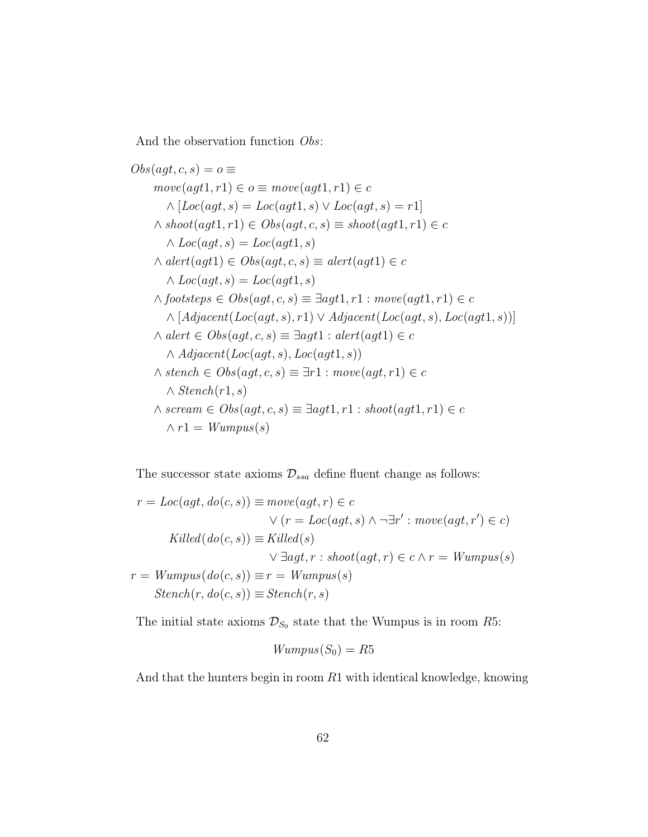And the observation function Obs:

$$
Obs(agt, c, s) = o \equiv
$$
  
\n
$$
move(agt1, r1) \in o \equiv move(agt1, r1) \in c
$$
  
\n
$$
\land [Loc(agt, s) = Loc(agt1, s) \lor Loc(agt, s) = r1]
$$
  
\n
$$
\land shoot(agt1, r1) \in Obs(agt, c, s) \equiv shoot(agt1, r1) \in c
$$
  
\n
$$
\land Loc(agt, s) = Loc(agt1, s)
$$
  
\n
$$
\land alert(agt1) \in Obs(agt, c, s) \equiv alert(agt1) \in c
$$
  
\n
$$
\land Loc(agt, s) = Loc(agt1, s)
$$
  
\n
$$
\land footsteps \in Obs(agt, c, s) \equiv \exists agt1, r1 : move(agt1, r1) \in c
$$
  
\n
$$
\land [Adjacent(Loc(agt, s), r1) \lor Adjacent(Loc(agt, s), Loc(agt1, s))]
$$
  
\n
$$
\land alert \in Obs(agt, c, s) \equiv \exists agt1 : alert(agt1) \in c
$$
  
\n
$$
\land Atench \in Obs(agt, c, s) \equiv \exists r1 : move(agt, r1) \in c
$$
  
\n
$$
\land Stench(r1, s)
$$
  
\n
$$
\land screen \in Obs(agt, c, s) \equiv \exists agt1, r1 : shoot(agt1, r1) \in c
$$
  
\n
$$
\land r1 = Wumpus(s)
$$

The successor state axioms  $\mathcal{D}_{ssa}$  define fluent change as follows:

$$
r = Loc(agt, do(c, s)) \equiv move(agt, r) \in c
$$
  

$$
\lor (r = Loc(agt, s) \land \neg \exists r' : move(agt, r') \in c)
$$
  
Killed(do(c, s)) 
$$
\equiv Killed(s)
$$
  

$$
\lor \exists agt, r : shoot(agt, r) \in c \land r = Wumpus(s)
$$
  

$$
r = Wumpus(do(c, s)) \equiv r = Wumpus(s)
$$
  
Stench(r, do(c, s)) 
$$
\equiv Stench(r, s)
$$

The initial state axioms  $\mathcal{D}_{S_0}$  state that the Wumpus is in room R5:

$$
Wumpus(S_0)=R5
$$

And that the hunters begin in room  $R1$  with identical knowledge, knowing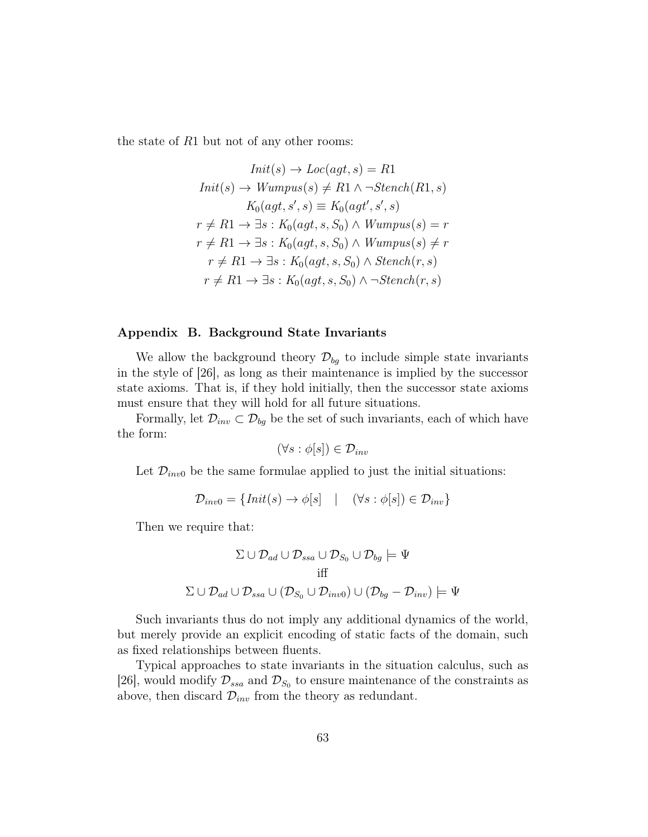the state of  $R1$  but not of any other rooms:

$$
Init(s) \rightarrow Loc(agt, s) = R1
$$
  
\n
$$
Init(s) \rightarrow Wumpus(s) \neq R1 \land \neg Stench(R1, s)
$$
  
\n
$$
K_0(agt, s', s) \equiv K_0(agt', s', s)
$$
  
\n
$$
r \neq R1 \rightarrow \exists s : K_0(agt, s, S_0) \land Wumpus(s) = r
$$
  
\n
$$
r \neq R1 \rightarrow \exists s : K_0(agt, s, S_0) \land Wumpus(s) \neq r
$$
  
\n
$$
r \neq R1 \rightarrow \exists s : K_0(agt, s, S_0) \land Stench(r, s)
$$
  
\n
$$
r \neq R1 \rightarrow \exists s : K_0(agt, s, S_0) \land \neg Stench(r, s)
$$

### Appendix B. Background State Invariants

We allow the background theory  $\mathcal{D}_{bg}$  to include simple state invariants in the style of [26], as long as their maintenance is implied by the successor state axioms. That is, if they hold initially, then the successor state axioms must ensure that they will hold for all future situations.

Formally, let  $\mathcal{D}_{inv} \subset \mathcal{D}_{bg}$  be the set of such invariants, each of which have the form:

$$
(\forall s : \phi[s]) \in \mathcal{D}_{inv}
$$

Let  $\mathcal{D}_{inv0}$  be the same formulae applied to just the initial situations:

$$
\mathcal{D}_{inv0} = \{Init(s) \to \phi[s] \quad | \quad (\forall s : \phi[s]) \in \mathcal{D}_{inv} \}
$$

Then we require that:

$$
\Sigma \cup \mathcal{D}_{ad} \cup \mathcal{D}_{ssa} \cup \mathcal{D}_{S_0} \cup \mathcal{D}_{bg} \models \Psi
$$
  
iff  

$$
\Sigma \cup \mathcal{D}_{ad} \cup \mathcal{D}_{ssa} \cup (\mathcal{D}_{S_0} \cup \mathcal{D}_{inv0}) \cup (\mathcal{D}_{bg} - \mathcal{D}_{inv}) \models \Psi
$$

Such invariants thus do not imply any additional dynamics of the world, but merely provide an explicit encoding of static facts of the domain, such as fixed relationships between fluents.

Typical approaches to state invariants in the situation calculus, such as [26], would modify  $\mathcal{D}_{ssa}$  and  $\mathcal{D}_{S_0}$  to ensure maintenance of the constraints as above, then discard  $\mathcal{D}_{inv}$  from the theory as redundant.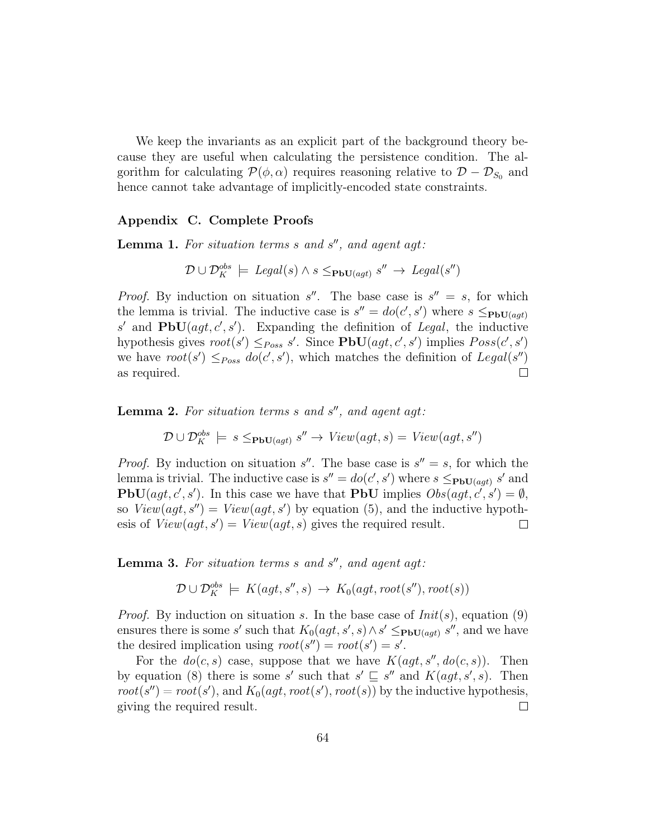We keep the invariants as an explicit part of the background theory because they are useful when calculating the persistence condition. The algorithm for calculating  $\mathcal{P}(\phi,\alpha)$  requires reasoning relative to  $\mathcal{D} - \mathcal{D}_{S_0}$  and hence cannot take advantage of implicitly-encoded state constraints.

# Appendix C. Complete Proofs

**Lemma 1.** For situation terms  $s$  and  $s''$ , and agent agt:

$$
\mathcal{D} \cup \mathcal{D}_K^{obs} \models \text{legal}(s) \land s \leq_{\mathbf{PbU}(agt)} s'' \rightarrow \text{legal}(s'')
$$

*Proof.* By induction on situation s''. The base case is  $s'' = s$ , for which the lemma is trivial. The inductive case is  $s'' = do(c', s')$  where  $s \leq_{\text{PbU}(agt)}$ s' and  $\text{PbU}(agt, c', s')$ . Expanding the definition of Legal, the inductive hypothesis gives  $root(s') \leq_{Poss} s'$ . Since  $PbU(agt, c', s')$  implies  $Poss(c', s')$ we have  $root(s') \leq_{Poss} do(c', s')$ , which matches the definition of  $Legal(s'')$ as required.  $\Box$ 

**Lemma 2.** For situation terms  $s$  and  $s''$ , and agent agt:

$$
\mathcal{D} \cup \mathcal{D}^{obs}_K \models s \leq_{\text{PbU}(agt)} s'' \rightarrow View(agt, s) = View(agt, s'')
$$

*Proof.* By induction on situation s''. The base case is  $s'' = s$ , for which the lemma is trivial. The inductive case is  $s'' = do(c', s')$  where  $s \leq_{\text{PbU}(agt)} s'$  and **PbU**(*agt, c', s'*). In this case we have that **PbU** implies  $Obs(agt, c', s') = \emptyset$ , so  $View(agt, s'') = View(agt, s')$  by equation (5), and the inductive hypothesis of  $View(agt, s') = View(agt, s)$  gives the required result.  $\Box$ 

**Lemma 3.** For situation terms  $s$  and  $s''$ , and agent agt:

$$
\mathcal{D} \cup \mathcal{D}^{obs}_K \models K(agt, s'', s) \rightarrow K_0(agt, root(s''), root(s))
$$

*Proof.* By induction on situation s. In the base case of  $Init(s)$ , equation (9) ensures there is some s' such that  $K_0(agt, s', s) \wedge s' \leq_{\text{PbU}(agt)} s''$ , and we have the desired implication using  $root(s'') = root(s') = s'.$ 

For the  $do(c, s)$  case, suppose that we have  $K(agt, s'', do(c, s))$ . Then by equation (8) there is some s' such that  $s' \sqsubseteq s''$  and  $K(agt, s', s)$ . Then  $root(s'') = root(s')$ , and  $K_0(agt, root(s'), root(s))$  by the inductive hypothesis, giving the required result.  $\Box$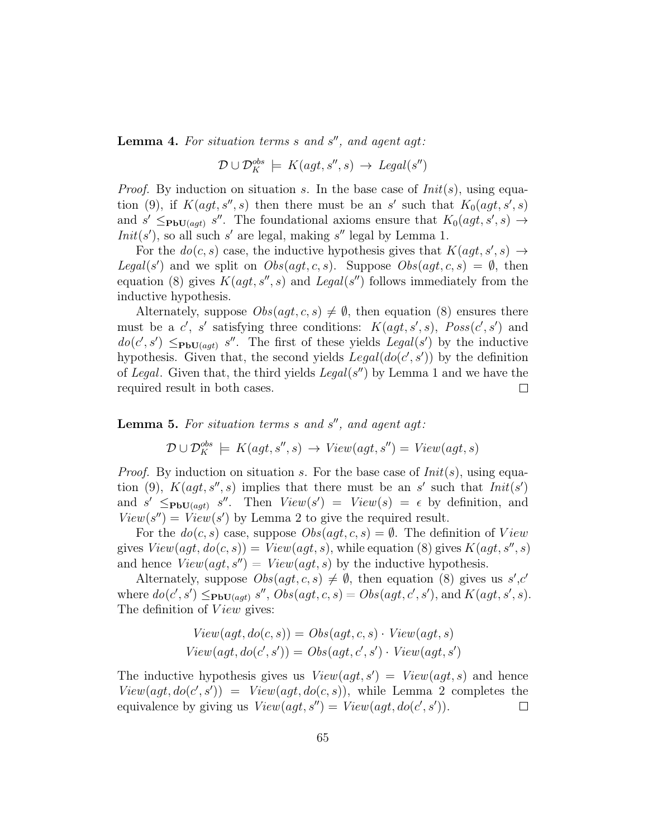**Lemma 4.** For situation terms  $s$  and  $s''$ , and agent agt:

 $\mathcal{D} \cup \mathcal{D}_K^{obs} \models K(agt, s'', s) \rightarrow \text{legal}(s'')$ 

*Proof.* By induction on situation s. In the base case of  $Init(s)$ , using equation (9), if  $K(agt, s'', s)$  then there must be an s' such that  $K_0(agt, s', s)$ and  $s' \leq_{\text{PbU}(agt)} s''$ . The foundational axioms ensure that  $K_0(agt, s', s) \rightarrow$  $Init(s')$ , so all such s' are legal, making s'' legal by Lemma 1.

For the  $do(c, s)$  case, the inductive hypothesis gives that  $K(ag, s', s) \rightarrow$ Legal(s') and we split on  $Obs(agt, c, s)$ . Suppose  $Obs(agt, c, s) = \emptyset$ , then equation (8) gives  $K(agt, s'', s)$  and Legal(s'') follows immediately from the inductive hypothesis.

Alternately, suppose  $Obs(agt, c, s) \neq \emptyset$ , then equation (8) ensures there must be a c', s' satisfying three conditions:  $K(agt, s', s)$ ,  $Poss(c', s')$  and  $do(c', s') \leq_{\text{PbU}(agt)} s''$ . The first of these yields Legal(s') by the inductive hypothesis. Given that, the second yields  $Legal(do(c', s'))$  by the definition of Legal. Given that, the third yields  $Legal(s'')$  by Lemma 1 and we have the required result in both cases.  $\Box$ 

**Lemma 5.** For situation terms  $s$  and  $s''$ , and agent agt:

$$
\mathcal{D} \cup \mathcal{D}^{obs}_K \models K(agt, s'', s) \rightarrow View(agt, s'') = View(agt, s)
$$

*Proof.* By induction on situation s. For the base case of  $Init(s)$ , using equation (9),  $K(agt, s'', s)$  implies that there must be an s' such that  $Init(s')$ and  $s' \leq_{\text{PbU}(agt)} s''$ . Then  $View(s') = View(s) = \epsilon$  by definition, and  $View(s'') = View(s')$  by Lemma 2 to give the required result.

For the  $do(c, s)$  case, suppose  $Obs(agt, c, s) = \emptyset$ . The definition of View gives  $View(agt, do(c, s)) = View(agt, s)$ , while equation (8) gives  $K(agt, s', s)$ and hence  $View(agt, s'') = View(agt, s)$  by the inductive hypothesis.

Alternately, suppose  $Obs(agt, c, s) \neq \emptyset$ , then equation (8) gives us s',c' where  $do(c', s') \leq_{\text{PbU}(agt)} s'', \text{Obs}(agt, c, s) = \text{Obs}(agt, c', s'), \text{and } K(agt, s', s).$ The definition of  $View$  gives:

$$
View(agt, do(c, s)) = Obs(agt, c, s) \cdot View(agt, s)
$$
  

$$
View(agt, do(c', s')) = Obs(agt, c', s') \cdot View(agt, s')
$$

The inductive hypothesis gives us  $View(agt, s') = View(agt, s)$  and hence  $View(agt, do(c', s')) = View(agt, do(c, s)),$  while Lemma 2 completes the equivalence by giving us  $View(agt, s'') = View(agt, do(c', s')).$  $\Box$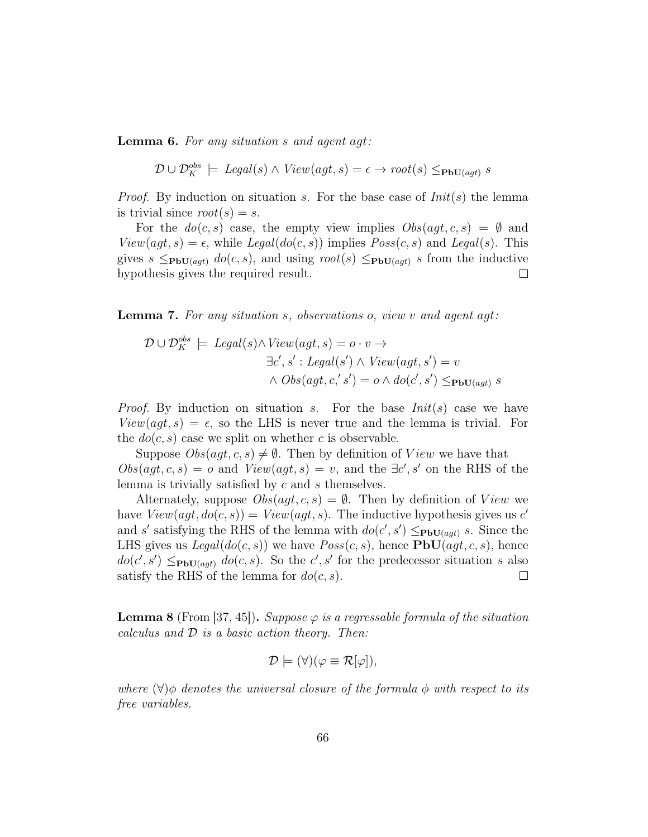Lemma 6. For any situation s and agent agt:

$$
\mathcal{D} \cup \mathcal{D}^{obs}_K \models \text{legal}(s) \land \text{View}(agt, s) = \epsilon \rightarrow \text{root}(s) \leq_{\text{PbU}(agt)} s
$$

*Proof.* By induction on situation s. For the base case of  $Init(s)$  the lemma is trivial since  $root(s) = s$ .

For the  $do(c, s)$  case, the empty view implies  $Obs(agt, c, s) = \emptyset$  and  $View(agt, s) = \epsilon$ , while  $Legal(do(c, s))$  implies  $Poss(c, s)$  and  $Legal(s)$ . This gives  $s \leq_{\text{PbU}(agt)} do(c, s)$ , and using  $root(s) \leq_{\text{PbU}(agt)} s$  from the inductive hypothesis gives the required result.  $\Box$ 

Lemma 7. For any situation s, observations o, view v and agent agt:

$$
\mathcal{D} \cup \mathcal{D}_K^{obs} \models \text{legal}(s) \land \text{View}(agt, s) = o \cdot v \rightarrow
$$
  

$$
\exists c', s' : \text{legal}(s') \land \text{View}(agt, s') = v
$$
  

$$
\land \text{Obs}(agt, c, s') = o \land \text{do}(c', s') \leq_{\text{PbU}(agt)} s
$$

*Proof.* By induction on situation s. For the base  $Init(s)$  case we have  $View(agt, s) = \epsilon$ , so the LHS is never true and the lemma is trivial. For the  $do(c, s)$  case we split on whether c is observable.

Suppose  $Obs(agt, c, s) \neq \emptyset$ . Then by definition of View we have that  $Obs(agt, c, s) = o$  and  $View(agt, s) = v$ , and the  $\exists c', s'$  on the RHS of the lemma is trivially satisfied by c and s themselves.

Alternately, suppose  $Obs(agt, c, s) = \emptyset$ . Then by definition of View we have  $View(agt, do(c, s)) = View(agt, s)$ . The inductive hypothesis gives us c' and s' satisfying the RHS of the lemma with  $do(c', s') \leq_{\text{PbU}(agt)} s$ . Since the LHS gives us  $Legal(do(c, s))$  we have  $Poss(c, s)$ , hence **, hence**  $do(c', s') \leq_{\text{PbU}(agt)} do(c, s)$ . So the c', s' for the predecessor situation s also satisfy the RHS of the lemma for  $do(c, s)$ .  $\Box$ 

**Lemma 8** (From [37, 45]). Suppose  $\varphi$  is a regressable formula of the situation calculus and  $D$  is a basic action theory. Then:

$$
\mathcal{D} \models (\forall)(\varphi \equiv \mathcal{R}[\varphi]),
$$

where  $(\forall) \phi$  denotes the universal closure of the formula  $\phi$  with respect to its free variables.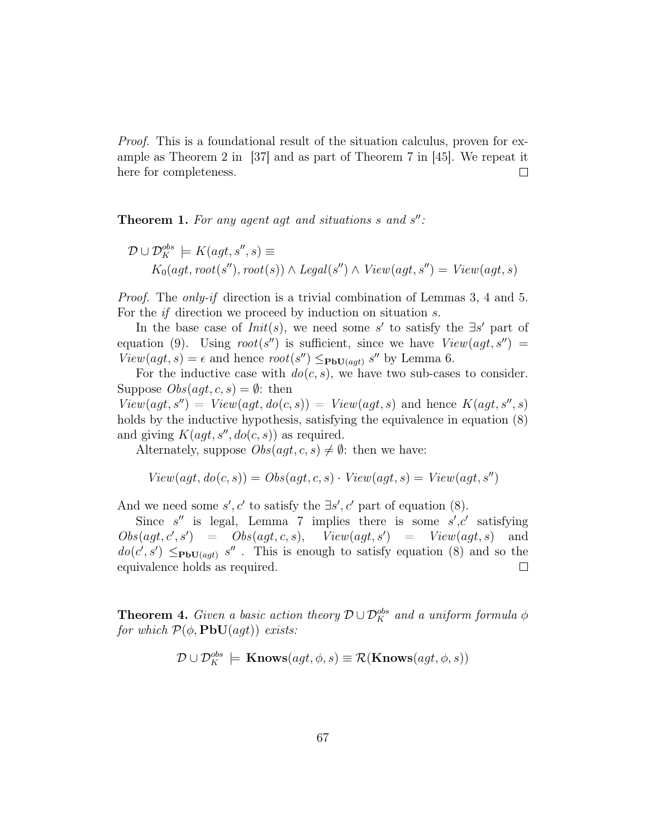Proof. This is a foundational result of the situation calculus, proven for example as Theorem 2 in [37] and as part of Theorem 7 in [45]. We repeat it here for completeness.  $\Box$ 

**Theorem 1.** For any agent agt and situations  $s$  and  $s''$ :

$$
\mathcal{D} \cup \mathcal{D}_K^{obs} \models K(agt, s'', s) \equiv
$$
  
 
$$
K_0(agt, root(s''), root(s)) \land Legal(s'') \land View(agt, s'') = View(agt, s)
$$

Proof. The only-if direction is a trivial combination of Lemmas 3, 4 and 5. For the if direction we proceed by induction on situation s.

In the base case of  $Init(s)$ , we need some s' to satisfy the  $\exists s'$  part of equation (9). Using  $root(s'')$  is sufficient, since we have  $View(agt, s'') =$  $View(agt, s) = \epsilon$  and hence  $root(s'') \leq_{\text{PbU}(agt)} s''$  by Lemma 6.

For the inductive case with  $do(c, s)$ , we have two sub-cases to consider. Suppose  $Obs(agt, c, s) = \emptyset$ : then

 $View(agt, s'') = View(agt, do(c, s)) = View(agt, s)$  and hence  $K(agt, s'', s)$ holds by the inductive hypothesis, satisfying the equivalence in equation  $(8)$ and giving  $K(agt, s'', do(c, s))$  as required.

Alternately, suppose  $Obs(agt, c, s) \neq \emptyset$ : then we have:

$$
View(agt, do(c, s)) = Obs(agt, c, s) \cdot View(agt, s) = View(agt, s'')
$$

And we need some  $s', c'$  to satisfy the  $\exists s', c'$  part of equation (8).

Since  $s''$  is legal, Lemma 7 implies there is some  $s', c'$  satisfying  $Obs(agt, c', s') = Obs(agt, c, s), View(agt, s') = View(agt, s)$  and  $do(c', s') \leq_{\text{PbU}(agt)} s''$ . This is enough to satisfy equation (8) and so the equivalence holds as required.  $\Box$ 

**Theorem 4.** Given a basic action theory  $\mathcal{D} \cup \mathcal{D}_K^{obs}$  and a uniform formula  $\phi$ for which  $\mathcal{P}(\phi, \textbf{PbU}(agt))$  exists:

$$
\mathcal{D} \cup \mathcal{D}_K^{obs} \models \mathbf{Knows}(agt, \phi, s) \equiv \mathcal{R}(\mathbf{Knows}(agt, \phi, s))
$$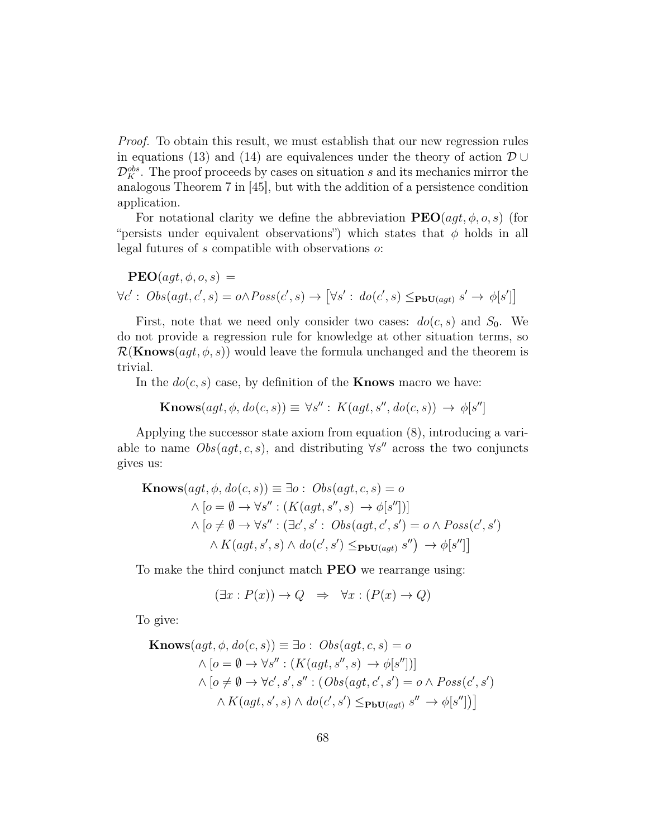Proof. To obtain this result, we must establish that our new regression rules in equations (13) and (14) are equivalences under the theory of action  $\mathcal{D} \cup$  $\mathcal{D}_K^{obs}$ . The proof proceeds by cases on situation s and its mechanics mirror the analogous Theorem 7 in [45], but with the addition of a persistence condition application.

For notational clarity we define the abbreviation  $\text{PEO}(agt, \phi, o, s)$  (for "persists under equivalent observations") which states that  $\phi$  holds in all legal futures of s compatible with observations o:

$$
\mathbf{PEO}(agt, \phi, o, s) =
$$
  

$$
\forall c': Obs(agt, c', s) = o \land Poss(c', s) \rightarrow [\forall s': do(c', s) \leq_{\mathbf{PbU}(agt)} s' \rightarrow \phi[s']]
$$

First, note that we need only consider two cases:  $do(c, s)$  and  $S_0$ . We do not provide a regression rule for knowledge at other situation terms, so  $\mathcal{R}(\mathbf{Knows}(agt, \phi, s))$  would leave the formula unchanged and the theorem is trivial.

In the  $do(c, s)$  case, by definition of the **Knows** macro we have:

 $\textbf{Knows}(agt, \phi, do(c, s)) \equiv \forall s'': K(agt, s'', do(c, s)) \rightarrow \phi[s'']$ 

Applying the successor state axiom from equation (8), introducing a variable to name  $Obs(agt, c, s)$ , and distributing  $\forall s''$  across the two conjuncts gives us:

$$
\begin{aligned} \textbf{Knows}(agt, \phi, do(c, s)) &\equiv \exists o: \; Obs(agt, c, s) = o \\ \land [o = \emptyset \to \forall s'': (K(agt, s'', s) \to \phi[s''])] \\ \land [o \neq \emptyset \to \forall s'': (\exists c', s': \; Obs(agt, c', s') = o \land \; Poss(c', s') \\ \land K(agt, s', s) \land do(c', s') &\leq_{\textbf{PbU}(agt)} s'') \to \phi[s''] \end{aligned}
$$

To make the third conjunct match **PEO** we rearrange using:

$$
(\exists x : P(x)) \to Q \Rightarrow \forall x : (P(x) \to Q)
$$

To give:

$$
\begin{aligned} \textbf{Knows}(agt, \phi, do(c, s)) &\equiv \exists o: \; Obs(agt, c, s) = o \\ \land [o = \emptyset \to \forall s'': (K(agt, s'', s) \to \phi[s''])] \\ \land [o \neq \emptyset \to \forall c', s', s'': (Obs(agt, c', s') = o \land Poss(c', s') \\ \land K(agt, s', s) \land do(c', s') &\leq_{\textbf{PbU}(agt)} s'' \to \phi[s''])] \end{aligned}
$$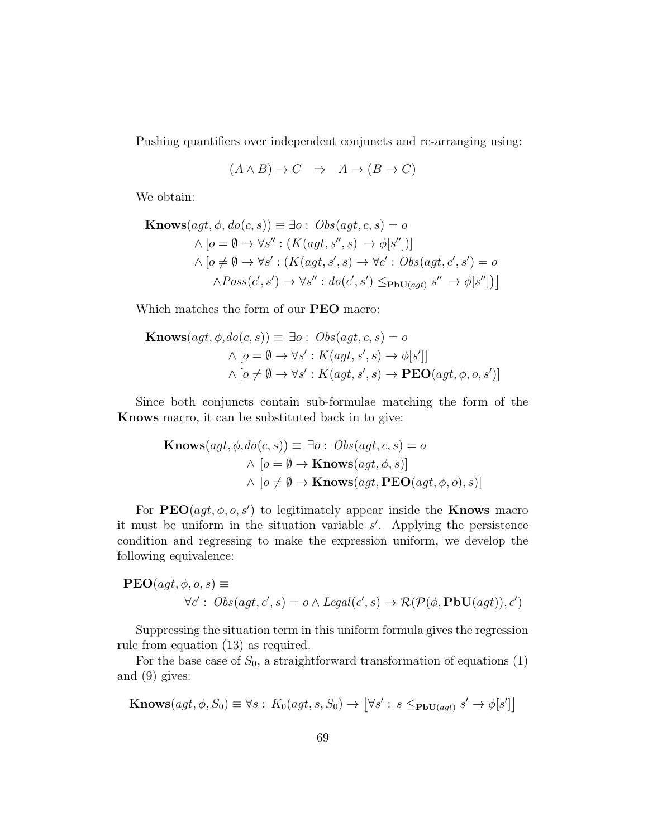Pushing quantifiers over independent conjuncts and re-arranging using:

$$
(A \land B) \to C \Rightarrow A \to (B \to C)
$$

We obtain:

$$
\begin{aligned} \textbf{Knows}(agt, \phi, do(c, s)) &\equiv \exists o: \; Obs(agt, c, s) = o \\ \land [o = \emptyset \to \forall s'': (K(agt, s'', s) \to \phi[s''])] \\ \land [o \neq \emptyset \to \forall s': (K(agt, s', s) \to \forall c': \; Obs(agt, c', s') = o \\ \land Poss(c', s') &\to \forall s'': \; do(c', s') \leq_{\textbf{PbU}(agt)} s'' \to \phi[s''])] \end{aligned}
$$

Which matches the form of our PEO macro:

$$
\begin{aligned} \textbf{Knows}(agt, \phi, do(c, s)) &\equiv \exists o: \; Obs(agt, c, s) = o \\ \land [o = \emptyset \to \forall s': K(agt, s', s) \to \phi[s']] \\ \land [o \neq \emptyset \to \forall s': K(agt, s', s) \to \mathbf{PEO}(agt, \phi, o, s')] \end{aligned}
$$

Since both conjuncts contain sub-formulae matching the form of the Knows macro, it can be substituted back in to give:

$$
\begin{aligned} \mathbf{Knows}(agt, \phi, do(c, s)) &\equiv \exists o: \; Obs(agt, c, s) = o \\ \land \; [o = \emptyset \to \mathbf{Knows}(agt, \phi, s)] \\ \land \; [o \neq \emptyset \to \mathbf{Knows}(agt, \mathbf{PEO}(agt, \phi, o), s)] \end{aligned}
$$

For  $\text{PEO}(agt, \phi, o, s')$  to legitimately appear inside the **Knows** macro it must be uniform in the situation variable  $s'$ . Applying the persistence condition and regressing to make the expression uniform, we develop the following equivalence:

$$
PEO(agt, \phi, o, s) \equiv
$$
  

$$
\forall c': Obs(agt, c', s) = o \land Legal(c', s) \rightarrow \mathcal{R}(\mathcal{P}(\phi, PbU(agt)), c')
$$

Suppressing the situation term in this uniform formula gives the regression rule from equation (13) as required.

For the base case of  $S_0$ , a straightforward transformation of equations (1) and (9) gives:

$$
\mathbf{Knows}(agt, \phi, S_0) \equiv \forall s : K_0(agt, s, S_0) \rightarrow [\forall s' : s \leq_{\mathbf{PbU}(agt)} s' \rightarrow \phi[s']]
$$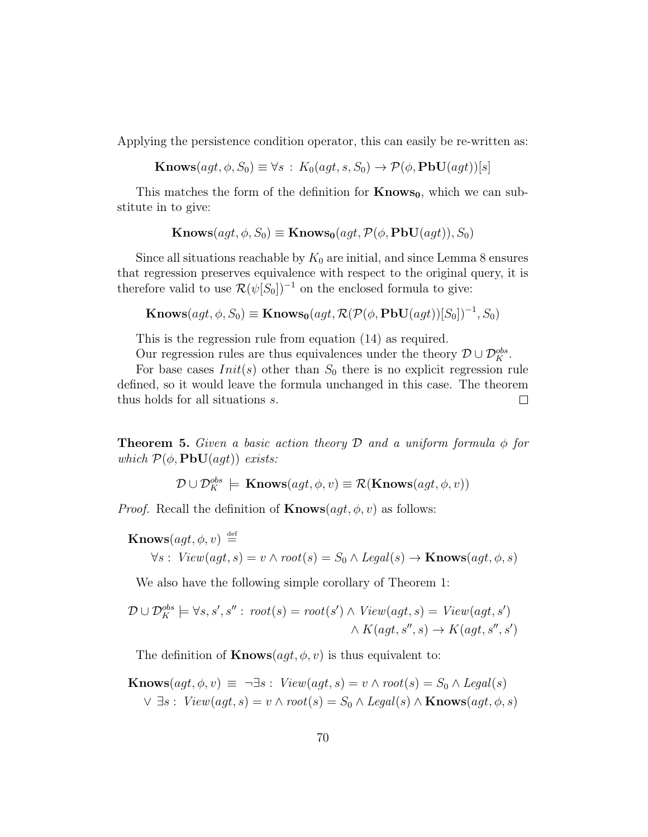Applying the persistence condition operator, this can easily be re-written as:

 $\mathbf{Knows}(agt, \phi, S_0) \equiv \forall s : K_0(agt, s, S_0) \rightarrow \mathcal{P}(\phi, \mathbf{PbU}(agt))[s]$ 

This matches the form of the definition for  $Knows<sub>0</sub>$ , which we can substitute in to give:

$$
\mathbf{Knows}(agt, \phi, S_0) \equiv \mathbf{Knows}_0(agt, \mathcal{P}(\phi, \mathbf{PbU}(agt)), S_0)
$$

Since all situations reachable by  $K_0$  are initial, and since Lemma 8 ensures that regression preserves equivalence with respect to the original query, it is therefore valid to use  $\mathcal{R}(\psi[S_0])^{-1}$  on the enclosed formula to give:

$$
\mathbf{Knows}(agt, \phi, S_0) \equiv \mathbf{Knows_0}(agt, \mathcal{R}(\mathcal{P}(\phi, \mathbf{PbU}(agt))[S_0])^{-1}, S_0)
$$

This is the regression rule from equation (14) as required.

Our regression rules are thus equivalences under the theory  $\mathcal{D} \cup \mathcal{D}_K^{obs}$ .

For base cases  $Init(s)$  other than  $S_0$  there is no explicit regression rule defined, so it would leave the formula unchanged in this case. The theorem thus holds for all situations s.  $\Box$ 

**Theorem 5.** Given a basic action theory D and a uniform formula  $\phi$  for which  $\mathcal{P}(\phi, \textbf{PbU}(agt))$  exists:

$$
\mathcal{D} \cup \mathcal{D}_K^{obs} \models \mathbf{Knows}(agt, \phi, v) \equiv \mathcal{R}(\mathbf{Knows}(agt, \phi, v))
$$

*Proof.* Recall the definition of  $\mathbf{Knows}(agt, \phi, v)$  as follows:

 $\textbf{Knows}(agt, \phi, v) \stackrel{\text{def}}{=}$ 

$$
\forall s: View(agt, s) = v \land root(s) = S_0 \land Legal(s) \rightarrow Knows(agt, \phi, s)
$$

We also have the following simple corollary of Theorem 1:

$$
\mathcal{D} \cup \mathcal{D}_K^{obs} \models \forall s, s', s'': root(s) = root(s') \land View(agt, s) = View(agt, s') \land K(agt, s'', s) \rightarrow K(agt, s'', s')
$$

The definition of **Knows** $(aqt, \phi, v)$  is thus equivalent to:

**Knows** $(agt, \phi, v) \equiv \neg \exists s : View(agt, s) = v \land root(s) = S_0 \land Legal(s)$  $\vee \exists s : \text{View}(agt, s) = v \wedge root(s) = S_0 \wedge \text{Legal}(s) \wedge \text{Knows}(agt, \phi, s)$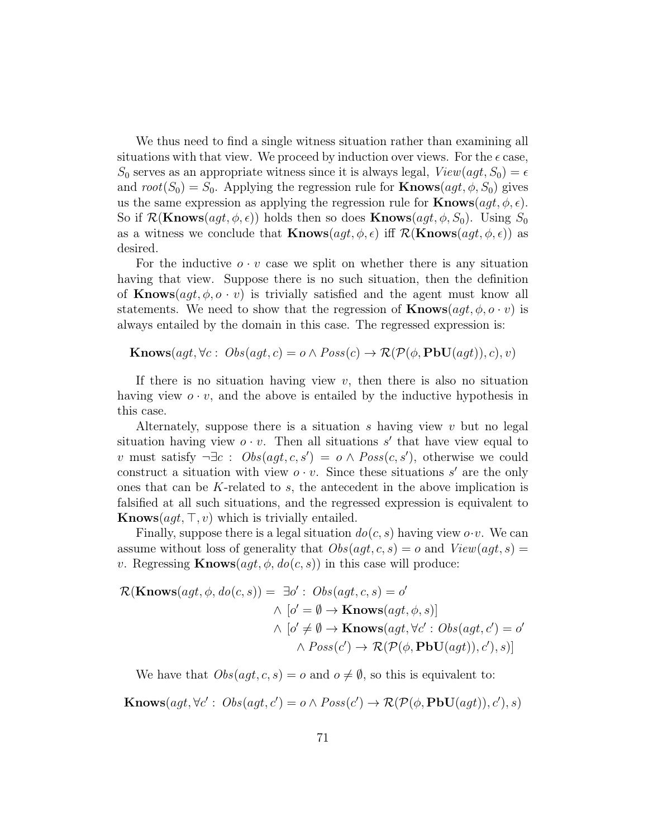We thus need to find a single witness situation rather than examining all situations with that view. We proceed by induction over views. For the  $\epsilon$  case,  $S_0$  serves as an appropriate witness since it is always legal,  $View(agt, S_0) = \epsilon$ and  $root(S_0) = S_0$ . Applying the regression rule for **Knows** $(agt, \phi, S_0)$  gives us the same expression as applying the regression rule for  $\mathbf{Knows}(agt, \phi, \epsilon)$ . So if  $\mathcal{R}(\mathbf{Knows}(agt, \phi, \epsilon))$  holds then so does  $\mathbf{Knows}(agt, \phi, S_0)$ . Using  $S_0$ as a witness we conclude that **Knows** $(agt, \phi, \epsilon)$  iff  $\mathcal{R}(\mathbf{Knows}(agt, \phi, \epsilon))$  as desired.

For the inductive  $o \cdot v$  case we split on whether there is any situation having that view. Suppose there is no such situation, then the definition of **Knows** $(aqt, \phi, o \cdot v)$  is trivially satisfied and the agent must know all statements. We need to show that the regression of  $\mathbf{Knows}(agt, \phi, o \cdot v)$  is always entailed by the domain in this case. The regressed expression is:

**Knows**(agt,  $\forall c : \text{Obs}(agt, c) = o \land \text{Poss}(c) \rightarrow \mathcal{R}(\mathcal{P}(\phi, \text{PbU}(agt)), c), v)$ 

If there is no situation having view  $v$ , then there is also no situation having view  $o \cdot v$ , and the above is entailed by the inductive hypothesis in this case.

Alternately, suppose there is a situation s having view v but no legal situation having view  $o \cdot v$ . Then all situations s' that have view equal to v must satisfy  $\neg \exists c : \text{Obs}(agt, c, s') = o \land \text{Poss}(c, s')$ , otherwise we could construct a situation with view  $o \cdot v$ . Since these situations s' are the only ones that can be K-related to s, the antecedent in the above implication is falsified at all such situations, and the regressed expression is equivalent to **Knows** $(aqt, \top, v)$  which is trivially entailed.

Finally, suppose there is a legal situation  $do(c, s)$  having view  $o \cdot v$ . We can assume without loss of generality that  $Obs(agt, c, s) = o$  and  $View(agt, s) = o$ v. Regressing  $\textbf{Knows}(agt, \phi, do(c, s))$  in this case will produce:

$$
\mathcal{R}(\mathbf{Knows}(agt, \phi, do(c, s)) = \exists o' : Obs(agt, c, s) = o'
$$
  
\n
$$
\wedge [o' = \emptyset \rightarrow \mathbf{Knows}(agt, \phi, s)]
$$
  
\n
$$
\wedge [o' \neq \emptyset \rightarrow \mathbf{Knows}(agt, \forall c' : Obs(agt, c') = o'
$$
  
\n
$$
\wedge Poss(c') \rightarrow \mathcal{R}(\mathcal{P}(\phi, \mathbf{PbU}(agt)), c'), s)]
$$

We have that  $Obs(aqt, c, s) = o$  and  $o \neq \emptyset$ , so this is equivalent to:

Knows $(agt, \forall c' : \textit{Obs}(agt, c') = o \land \textit{Poss}(c') \rightarrow \mathcal{R}(\mathcal{P}(\phi, \textbf{PbU}(agt)), c'), s)$